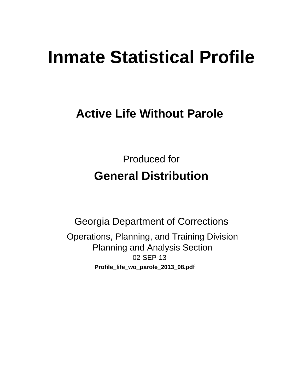# **Inmate Statistical Profile**

## **Active Life Without Parole**

**Produced for General Distribution** 

**Georgia Department of Corrections** Operations, Planning, and Training Division **Planning and Analysis Section** 02-SEP-13 Profile\_life\_wo\_parole\_2013\_08.pdf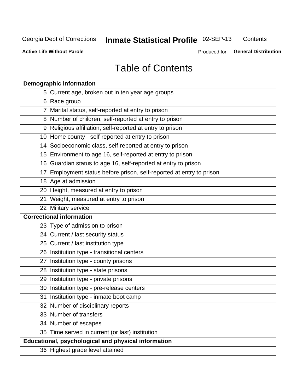## Inmate Statistical Profile 02-SEP-13

Contents

**Active Life Without Parole** 

Produced for General Distribution

## **Table of Contents**

| <b>Demographic information</b>                                       |
|----------------------------------------------------------------------|
| 5 Current age, broken out in ten year age groups                     |
| 6 Race group                                                         |
| 7 Marital status, self-reported at entry to prison                   |
| 8 Number of children, self-reported at entry to prison               |
| 9 Religious affiliation, self-reported at entry to prison            |
| 10 Home county - self-reported at entry to prison                    |
| 14 Socioeconomic class, self-reported at entry to prison             |
| 15 Environment to age 16, self-reported at entry to prison           |
| 16 Guardian status to age 16, self-reported at entry to prison       |
| 17 Employment status before prison, self-reported at entry to prison |
| 18 Age at admission                                                  |
| 20 Height, measured at entry to prison                               |
| 21 Weight, measured at entry to prison                               |
| 22 Military service                                                  |
| <b>Correctional information</b>                                      |
| 23 Type of admission to prison                                       |
| 24 Current / last security status                                    |
| 25 Current / last institution type                                   |
| 26 Institution type - transitional centers                           |
| 27 Institution type - county prisons                                 |
| 28 Institution type - state prisons                                  |
| 29 Institution type - private prisons                                |
| 30 Institution type - pre-release centers                            |
| 31 Institution type - inmate boot camp                               |
| 32 Number of disciplinary reports                                    |
| 33 Number of transfers                                               |
| 34 Number of escapes                                                 |
| 35 Time served in current (or last) institution                      |
| <b>Educational, psychological and physical information</b>           |
| 36 Highest grade level attained                                      |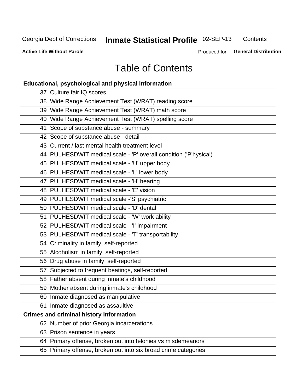## Inmate Statistical Profile 02-SEP-13

Contents

**Active Life Without Parole** 

Produced for General Distribution

## **Table of Contents**

| <b>Educational, psychological and physical information</b>       |
|------------------------------------------------------------------|
| 37 Culture fair IQ scores                                        |
| 38 Wide Range Achievement Test (WRAT) reading score              |
| 39 Wide Range Achievement Test (WRAT) math score                 |
| 40 Wide Range Achievement Test (WRAT) spelling score             |
| 41 Scope of substance abuse - summary                            |
| 42 Scope of substance abuse - detail                             |
| 43 Current / last mental health treatment level                  |
| 44 PULHESDWIT medical scale - 'P' overall condition ('P'hysical) |
| 45 PULHESDWIT medical scale - 'U' upper body                     |
| 46 PULHESDWIT medical scale - 'L' lower body                     |
| 47 PULHESDWIT medical scale - 'H' hearing                        |
| 48 PULHESDWIT medical scale - 'E' vision                         |
| 49 PULHESDWIT medical scale -'S' psychiatric                     |
| 50 PULHESDWIT medical scale - 'D' dental                         |
| 51 PULHESDWIT medical scale - 'W' work ability                   |
| 52 PULHESDWIT medical scale - 'I' impairment                     |
| 53 PULHESDWIT medical scale - 'T' transportability               |
| 54 Criminality in family, self-reported                          |
| 55 Alcoholism in family, self-reported                           |
| 56 Drug abuse in family, self-reported                           |
| 57 Subjected to frequent beatings, self-reported                 |
| 58 Father absent during inmate's childhood                       |
| 59 Mother absent during inmate's childhood                       |
| 60 Inmate diagnosed as manipulative                              |
| 61 Inmate diagnosed as assaultive                                |
| <b>Crimes and criminal history information</b>                   |
| 62 Number of prior Georgia incarcerations                        |
| 63 Prison sentence in years                                      |
| 64 Primary offense, broken out into felonies vs misdemeanors     |
| 65 Primary offense, broken out into six broad crime categories   |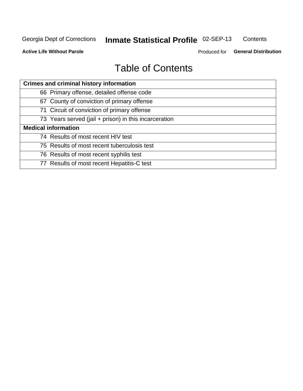#### Inmate Statistical Profile 02-SEP-13 Contents

**Active Life Without Parole** 

Produced for General Distribution

## **Table of Contents**

| <b>Crimes and criminal history information</b>        |
|-------------------------------------------------------|
| 66 Primary offense, detailed offense code             |
| 67 County of conviction of primary offense            |
| 71 Circuit of conviction of primary offense           |
| 73 Years served (jail + prison) in this incarceration |
| <b>Medical information</b>                            |
| 74 Results of most recent HIV test                    |
| 75 Results of most recent tuberculosis test           |
| 76 Results of most recent syphilis test               |
| 77 Results of most recent Hepatitis-C test            |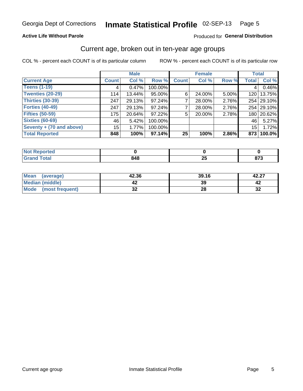#### Inmate Statistical Profile 02-SEP-13 Page 5

### **Active Life Without Parole**

### Produced for General Distribution

### Current age, broken out in ten-year age groups

COL % - percent each COUNT is of its particular column

|                          |              | <b>Male</b> |         |              | <b>Female</b> |          |                 | <b>Total</b> |
|--------------------------|--------------|-------------|---------|--------------|---------------|----------|-----------------|--------------|
| <b>Current Age</b>       | <b>Count</b> | Col %       | Row %   | <b>Count</b> | Col %         | Row %    | <b>Total</b>    | Col %        |
| <b>Teens (1-19)</b>      | 4            | 0.47%       | 100.00% |              |               |          | 4               | 0.46%        |
| <b>Twenties (20-29)</b>  | 114          | 13.44%      | 95.00%  | 6'           | 24.00%        | $5.00\%$ |                 | 120   13.75% |
| <b>Thirties (30-39)</b>  | 247          | 29.13%      | 97.24%  |              | 28.00%        | 2.76%    |                 | 254 29.10%   |
| <b>Forties (40-49)</b>   | 247          | 29.13%      | 97.24%  |              | 28.00%        | 2.76%    |                 | 254 29.10%   |
| <b>Fifties (50-59)</b>   | 175          | 20.64%      | 97.22%  | 5            | 20.00%        | 2.78%    |                 | 180 20.62%   |
| <b>Sixties (60-69)</b>   | 46           | 5.42%       | 100.00% |              |               |          | 46              | 5.27%        |
| Seventy + (70 and above) | 15           | 1.77%       | 100.00% |              |               |          | 15 <sub>1</sub> | 1.72%        |
| <b>Total Reported</b>    | 848          | 100%        | 97.14%  | 25           | 100%          | $2.86\%$ |                 | 873   100.0% |

| <b>A. A. A.</b>     |   |                 |                    |
|---------------------|---|-----------------|--------------------|
| $60 - 60$<br>______ | . | --<br>-11<br>ΔJ | $\sim$<br>.<br>. . |

| <b>Mean</b><br>(average)       | 42.36    | 39.16 | 42.27        |
|--------------------------------|----------|-------|--------------|
| Median (middle)                |          | 39    |              |
| <b>Mode</b><br>(most frequent) | ^^<br>◡▴ | 28    | $\sim$<br>⊾ت |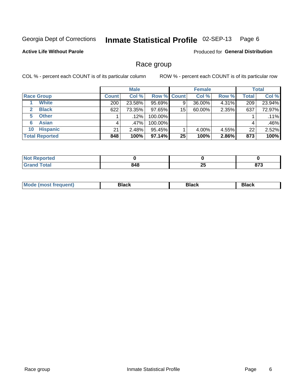#### Inmate Statistical Profile 02-SEP-13 Page 6

### **Active Life Without Parole**

Produced for General Distribution

### Race group

COL % - percent each COUNT is of its particular column

|                              |              | <b>Male</b> |                    |    | <b>Female</b> |       |              | <b>Total</b> |
|------------------------------|--------------|-------------|--------------------|----|---------------|-------|--------------|--------------|
| <b>Race Group</b>            | <b>Count</b> | Col %       | <b>Row % Count</b> |    | Col %         | Row % | <b>Total</b> | Col %        |
| <b>White</b>                 | 200          | 23.58%      | 95.69%             | 9  | 36.00%        | 4.31% | 209          | 23.94%       |
| <b>Black</b><br>$\mathbf{2}$ | 622          | 73.35%      | 97.65%             | 15 | 60.00%        | 2.35% | 637          | 72.97%       |
| <b>Other</b><br>5.           |              | $.12\%$     | 100.00%            |    |               |       |              | .11%         |
| <b>Asian</b><br>6            | 4            | ا 47%.      | 100.00%            |    |               |       | 4            | .46%         |
| <b>Hispanic</b><br>10        | 21           | 2.48%       | 95.45%             |    | 4.00%         | 4.55% | 22           | 2.52%        |
| <b>Total Reported</b>        | 848          | 100%        | $97.14\%$          | 25 | 100%          | 2.86% | 873          | 100%         |

| <b>rted</b>           |                            |           |                   |
|-----------------------|----------------------------|-----------|-------------------|
| <b>Total</b><br>_____ | <b>Q 1 Q</b><br>040<br>- - | OF.<br>ZJ | 0.7<br>01 J<br>__ |

| DIACK |
|-------|
|-------|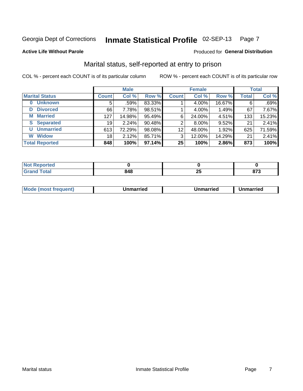#### Inmate Statistical Profile 02-SEP-13 Page 7

### **Active Life Without Parole**

### Produced for General Distribution

### Marital status, self-reported at entry to prison

COL % - percent each COUNT is of its particular column

|                            |              | <b>Male</b> |        |              | <b>Female</b> |        |              | <b>Total</b> |
|----------------------------|--------------|-------------|--------|--------------|---------------|--------|--------------|--------------|
| <b>Marital Status</b>      | <b>Count</b> | Col %       | Row %  | <b>Count</b> | Col %         | Row %  | <b>Total</b> | Col %        |
| <b>Unknown</b><br>$\bf{0}$ | 5            | .59%        | 83.33% |              | 4.00%         | 16.67% | 6            | .69%         |
| <b>Divorced</b><br>D       | 66           | 7.78%       | 98.51% |              | 4.00%         | 1.49%  | 67           | 7.67%        |
| <b>Married</b><br>М        | 127          | 14.98%      | 95.49% | 6            | 24.00%        | 4.51%  | 133          | 15.23%       |
| <b>Separated</b><br>S.     | 19           | 2.24%       | 90.48% | 2            | 8.00%         | 9.52%  | 21           | 2.41%        |
| <b>Unmarried</b><br>U      | 613          | 72.29%      | 98.08% | 12           | 48.00%        | 1.92%  | 625          | 71.59%       |
| <b>Widow</b><br>W          | 18           | 2.12%       | 85.71% | 3            | 12.00%        | 14.29% | 21           | 2.41%        |
| <b>Total Reported</b>      | 848          | 100%        | 97.14% | 25           | 100%          | 2.86%  | 873          | 100%         |

| prted<br><b>NOT REDO</b><br>. <b>.</b> <u>.</u> |          |                    |
|-------------------------------------------------|----------|--------------------|
| <b>Total</b>                                    | ΩF<br>__ | <b>070</b><br>01 J |

|  | Mo | ımarrıed | Unmarried | Unmarried<br>_______ |
|--|----|----------|-----------|----------------------|
|--|----|----------|-----------|----------------------|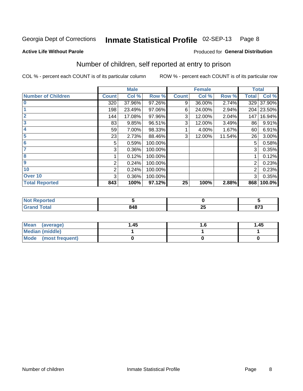#### Inmate Statistical Profile 02-SEP-13 Page 8

### **Active Life Without Parole**

### **Produced for General Distribution**

### Number of children, self reported at entry to prison

COL % - percent each COUNT is of its particular column

|                           |                | <b>Male</b> |         |              | <b>Female</b> |        |              | <b>Total</b> |
|---------------------------|----------------|-------------|---------|--------------|---------------|--------|--------------|--------------|
| <b>Number of Children</b> | <b>Count</b>   | Col %       | Row %   | <b>Count</b> | Col %         | Row %  | <b>Total</b> | Col %        |
| $\bf{0}$                  | 320            | 37.96%      | 97.26%  | 9            | 36.00%        | 2.74%  | 329          | 37.90%       |
|                           | 198            | 23.49%      | 97.06%  | 6            | 24.00%        | 2.94%  | 204          | 23.50%       |
| $\overline{2}$            | 144            | 17.08%      | 97.96%  | 3            | 12.00%        | 2.04%  | 147          | 16.94%       |
| 3                         | 83             | 9.85%       | 96.51%  | 3            | 12.00%        | 3.49%  | 86           | 9.91%        |
| 4                         | 59             | 7.00%       | 98.33%  |              | 4.00%         | 1.67%  | 60           | 6.91%        |
| 5                         | 23             | 2.73%       | 88.46%  | 3            | 12.00%        | 11.54% | 26           | 3.00%        |
| $6\phantom{1}6$           | 5              | 0.59%       | 100.00% |              |               |        | 5            | 0.58%        |
| 7                         | 3              | 0.36%       | 100.00% |              |               |        | 3            | 0.35%        |
| 8                         |                | 0.12%       | 100.00% |              |               |        |              | 0.12%        |
| $\boldsymbol{9}$          | 2              | 0.24%       | 100.00% |              |               |        | 2            | 0.23%        |
| 10                        | $\overline{2}$ | 0.24%       | 100.00% |              |               |        | 2            | 0.23%        |
| Over 10                   | 3              | 0.36%       | 100.00% |              |               |        | 3            | 0.35%        |
| <b>Total Reported</b>     | 843            | 100%        | 97.12%  | 25           | 100%          | 2.88%  | 868          | 100.0%       |

| neo    |            |    |        |
|--------|------------|----|--------|
| $\sim$ | n 1 n      | -- | $\sim$ |
|        | <u>າ4ບ</u> | -- | ט ונ   |

| Mean (average)       | 1.45 | 1.45 |
|----------------------|------|------|
| Median (middle)      |      |      |
| Mode (most frequent) |      |      |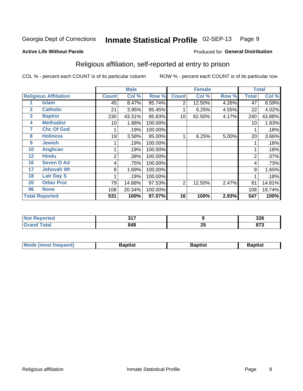#### Inmate Statistical Profile 02-SEP-13 Page 9

Produced for General Distribution

### **Active Life Without Parole**

## Religious affiliation, self-reported at entry to prison

COL % - percent each COUNT is of its particular column

|              |                              |              | <b>Male</b> |         |                | <b>Female</b> |       |       | <b>Total</b> |
|--------------|------------------------------|--------------|-------------|---------|----------------|---------------|-------|-------|--------------|
|              | <b>Religious Affiliation</b> | <b>Count</b> | Col %       | Row %   | <b>Count</b>   | Col %         | Row % | Total | Col %        |
|              | <b>Islam</b>                 | 45           | 8.47%       | 95.74%  | 2              | 12.50%        | 4.26% | 47    | 8.59%        |
| $\mathbf{2}$ | <b>Catholic</b>              | 21           | 3.95%       | 95.45%  |                | 6.25%         | 4.55% | 22    | 4.02%        |
| 3            | <b>Baptist</b>               | 230          | 43.31%      | 95.83%  | 10             | 62.50%        | 4.17% | 240   | 43.88%       |
| 4            | <b>Methodist</b>             | 10           | 1.88%       | 100.00% |                |               |       | 10    | 1.83%        |
| 7            | <b>Chc Of God</b>            |              | .19%        | 100.00% |                |               |       |       | .18%         |
| 8            | <b>Holiness</b>              | 19           | 3.58%       | 95.00%  |                | 6.25%         | 5.00% | 20    | 3.66%        |
| 9            | <b>Jewish</b>                |              | .19%        | 100.00% |                |               |       |       | .18%         |
| 10           | <b>Anglican</b>              |              | .19%        | 100.00% |                |               |       |       | .18%         |
| 12           | <b>Hindu</b>                 | 2            | .38%        | 100.00% |                |               |       | 2     | .37%         |
| 16           | <b>Seven D Ad</b>            | 4            | .75%        | 100.00% |                |               |       | 4     | .73%         |
| 17           | <b>Jehovah Wt</b>            | 9            | 1.69%       | 100.00% |                |               |       | 9     | 1.65%        |
| 18           | <b>Latr Day S</b>            |              | .19%        | 100.00% |                |               |       |       | .18%         |
| 20           | <b>Other Prot</b>            | 79           | 14.88%      | 97.53%  | $\overline{2}$ | 12.50%        | 2.47% | 81    | 14.81%       |
| 96           | <b>None</b>                  | 108          | 20.34%      | 100.00% |                |               |       | 108   | 19.74%       |
|              | <b>Total Reported</b>        | 531          | 100%        | 97.07%  | 16             | 100%          | 2.93% | 547   | 100%         |

| rtea   | $\sim$ $-$ |                  | 22c        |
|--------|------------|------------------|------------|
| $\sim$ | . .        |                  | JZU        |
| ______ | 848        | - -<br>. .<br>ZJ | <b>070</b> |

| M<br>frequent)<br>TA IMOST 1. | 3aptist<br>$  -$ | Baptist | ıntısl |
|-------------------------------|------------------|---------|--------|
|                               |                  |         |        |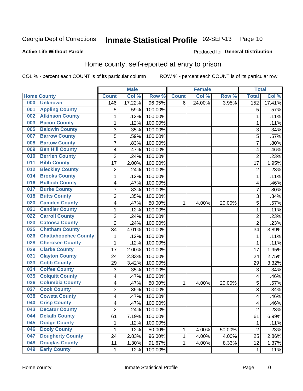#### Inmate Statistical Profile 02-SEP-13 Page 10

#### **Active Life Without Parole**

### Produced for General Distribution

### Home county, self-reported at entry to prison

COL % - percent each COUNT is of its particular column

|     |                             |                         | <b>Male</b> |         |              | <b>Female</b> |        | <b>Total</b>   |        |
|-----|-----------------------------|-------------------------|-------------|---------|--------------|---------------|--------|----------------|--------|
|     | <b>Home County</b>          | <b>Count</b>            | Col %       | Row %   | <b>Count</b> | Col %         | Row %  | <b>Total</b>   | Col %  |
| 000 | <b>Unknown</b>              | 146                     | 17.22%      | 96.05%  | 6            | 24.00%        | 3.95%  | 152            | 17.41% |
| 001 | <b>Appling County</b>       | 5                       | .59%        | 100.00% |              |               |        | 5              | .57%   |
| 002 | <b>Atkinson County</b>      | $\mathbf 1$             | .12%        | 100.00% |              |               |        | 1              | .11%   |
| 003 | <b>Bacon County</b>         | $\mathbf 1$             | .12%        | 100.00% |              |               |        | 1              | .11%   |
| 005 | <b>Baldwin County</b>       | 3                       | .35%        | 100.00% |              |               |        | 3              | .34%   |
| 007 | <b>Barrow County</b>        | 5                       | .59%        | 100.00% |              |               |        | 5              | .57%   |
| 008 | <b>Bartow County</b>        | 7                       | .83%        | 100.00% |              |               |        | 7              | .80%   |
| 009 | <b>Ben Hill County</b>      | 4                       | .47%        | 100.00% |              |               |        | 4              | .46%   |
| 010 | <b>Berrien County</b>       | $\overline{2}$          | .24%        | 100.00% |              |               |        | $\overline{2}$ | .23%   |
| 011 | <b>Bibb County</b>          | 17                      | 2.00%       | 100.00% |              |               |        | 17             | 1.95%  |
| 012 | <b>Bleckley County</b>      | $\overline{\mathbf{c}}$ | .24%        | 100.00% |              |               |        | $\overline{2}$ | .23%   |
| 014 | <b>Brooks County</b>        | $\mathbf 1$             | .12%        | 100.00% |              |               |        | 1              | .11%   |
| 016 | <b>Bulloch County</b>       | 4                       | .47%        | 100.00% |              |               |        | 4              | .46%   |
| 017 | <b>Burke County</b>         | $\overline{7}$          | .83%        | 100.00% |              |               |        | 7              | .80%   |
| 018 | <b>Butts County</b>         | 3                       | .35%        | 100.00% |              |               |        | 3              | .34%   |
| 020 | <b>Camden County</b>        | 4                       | .47%        | 80.00%  | 1            | 4.00%         | 20.00% | 5              | .57%   |
| 021 | <b>Candler County</b>       | 1                       | .12%        | 100.00% |              |               |        | 1              | .11%   |
| 022 | <b>Carroll County</b>       | $\overline{2}$          | .24%        | 100.00% |              |               |        | $\overline{2}$ | .23%   |
| 023 | <b>Catoosa County</b>       | $\overline{2}$          | .24%        | 100.00% |              |               |        | $\overline{2}$ | .23%   |
| 025 | <b>Chatham County</b>       | 34                      | 4.01%       | 100.00% |              |               |        | 34             | 3.89%  |
| 026 | <b>Chattahoochee County</b> | $\mathbf 1$             | .12%        | 100.00% |              |               |        | 1              | .11%   |
| 028 | <b>Cherokee County</b>      | $\mathbf 1$             | .12%        | 100.00% |              |               |        | 1              | .11%   |
| 029 | <b>Clarke County</b>        | 17                      | 2.00%       | 100.00% |              |               |        | 17             | 1.95%  |
| 031 | <b>Clayton County</b>       | 24                      | 2.83%       | 100.00% |              |               |        | 24             | 2.75%  |
| 033 | <b>Cobb County</b>          | 29                      | 3.42%       | 100.00% |              |               |        | 29             | 3.32%  |
| 034 | <b>Coffee County</b>        | 3                       | .35%        | 100.00% |              |               |        | 3              | .34%   |
| 035 | <b>Colquitt County</b>      | 4                       | .47%        | 100.00% |              |               |        | 4              | .46%   |
| 036 | <b>Columbia County</b>      | 4                       | .47%        | 80.00%  | 1            | 4.00%         | 20.00% | 5              | .57%   |
| 037 | <b>Cook County</b>          | 3                       | .35%        | 100.00% |              |               |        | 3              | .34%   |
| 038 | <b>Coweta County</b>        | 4                       | .47%        | 100.00% |              |               |        | 4              | .46%   |
| 040 | <b>Crisp County</b>         | 4                       | .47%        | 100.00% |              |               |        | 4              | .46%   |
| 043 | <b>Decatur County</b>       | 2                       | .24%        | 100.00% |              |               |        | 2              | .23%   |
| 044 | <b>Dekalb County</b>        | 61                      | 7.19%       | 100.00% |              |               |        | 61             | 6.99%  |
| 045 | <b>Dodge County</b>         | $\mathbf 1$             | .12%        | 100.00% |              |               |        | 1              | .11%   |
| 046 | <b>Dooly County</b>         | 1                       | .12%        | 50.00%  | 1            | 4.00%         | 50.00% | $\overline{2}$ | .23%   |
| 047 | <b>Dougherty County</b>     | 24                      | 2.83%       | 96.00%  | 1            | 4.00%         | 4.00%  | 25             | 2.86%  |
| 048 | <b>Douglas County</b>       | 11                      | 1.30%       | 91.67%  | 1            | 4.00%         | 8.33%  | 12             | 1.37%  |
| 049 | <b>Early County</b>         | $\mathbf{1}$            | .12%        | 100.00% |              |               |        | 1              | .11%   |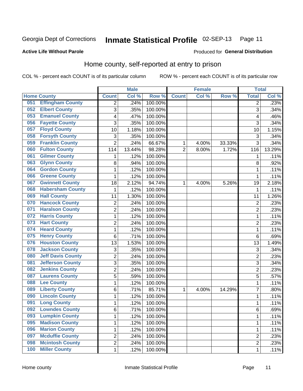#### Inmate Statistical Profile 02-SEP-13 Page 11

### **Active Life Without Parole**

### Produced for General Distribution

### Home county, self-reported at entry to prison

COL % - percent each COUNT is of its particular column

|     |                          |                | <b>Male</b> |                  |                | <b>Female</b> |        | <b>Total</b>   |        |
|-----|--------------------------|----------------|-------------|------------------|----------------|---------------|--------|----------------|--------|
|     | <b>Home County</b>       | <b>Count</b>   | Col %       | Row <sup>%</sup> | <b>Count</b>   | Col %         | Row %  | <b>Total</b>   | Col %  |
| 051 | <b>Effingham County</b>  | $\overline{2}$ | .24%        | 100.00%          |                |               |        | 2              | .23%   |
| 052 | <b>Elbert County</b>     | 3              | .35%        | 100.00%          |                |               |        | 3              | .34%   |
| 053 | <b>Emanuel County</b>    | 4              | .47%        | 100.00%          |                |               |        | 4              | .46%   |
| 056 | <b>Fayette County</b>    | 3              | .35%        | 100.00%          |                |               |        | 3              | .34%   |
| 057 | <b>Floyd County</b>      | 10             | 1.18%       | 100.00%          |                |               |        | 10             | 1.15%  |
| 058 | <b>Forsyth County</b>    | 3              | .35%        | 100.00%          |                |               |        | 3              | .34%   |
| 059 | <b>Franklin County</b>   | $\overline{2}$ | .24%        | 66.67%           | 1              | 4.00%         | 33.33% | 3              | .34%   |
| 060 | <b>Fulton County</b>     | 114            | 13.44%      | 98.28%           | $\overline{2}$ | 8.00%         | 1.72%  | 116            | 13.29% |
| 061 | <b>Gilmer County</b>     | 1              | .12%        | 100.00%          |                |               |        | 1              | .11%   |
| 063 | <b>Glynn County</b>      | 8              | .94%        | 100.00%          |                |               |        | 8              | .92%   |
| 064 | <b>Gordon County</b>     | $\mathbf{1}$   | .12%        | 100.00%          |                |               |        | 1              | .11%   |
| 066 | <b>Greene County</b>     | 1              | .12%        | 100.00%          |                |               |        | 1              | .11%   |
| 067 | <b>Gwinnett County</b>   | 18             | 2.12%       | 94.74%           | 1              | 4.00%         | 5.26%  | 19             | 2.18%  |
| 068 | <b>Habersham County</b>  | 1              | .12%        | 100.00%          |                |               |        | 1              | .11%   |
| 069 | <b>Hall County</b>       | 11             | 1.30%       | 100.00%          |                |               |        | 11             | 1.26%  |
| 070 | <b>Hancock County</b>    | $\overline{2}$ | .24%        | 100.00%          |                |               |        | $\overline{2}$ | .23%   |
| 071 | <b>Haralson County</b>   | $\overline{2}$ | .24%        | 100.00%          |                |               |        | 2              | .23%   |
| 072 | <b>Harris County</b>     | $\mathbf{1}$   | .12%        | 100.00%          |                |               |        | 1              | .11%   |
| 073 | <b>Hart County</b>       | 2              | .24%        | 100.00%          |                |               |        | $\overline{c}$ | .23%   |
| 074 | <b>Heard County</b>      | $\mathbf{1}$   | .12%        | 100.00%          |                |               |        | 1              | .11%   |
| 075 | <b>Henry County</b>      | 6              | .71%        | 100.00%          |                |               |        | 6              | .69%   |
| 076 | <b>Houston County</b>    | 13             | 1.53%       | 100.00%          |                |               |        | 13             | 1.49%  |
| 078 | <b>Jackson County</b>    | 3              | .35%        | 100.00%          |                |               |        | 3              | .34%   |
| 080 | <b>Jeff Davis County</b> | $\overline{2}$ | .24%        | 100.00%          |                |               |        | $\overline{2}$ | .23%   |
| 081 | <b>Jefferson County</b>  | 3              | .35%        | 100.00%          |                |               |        | 3              | .34%   |
| 082 | <b>Jenkins County</b>    | $\overline{2}$ | .24%        | 100.00%          |                |               |        | $\overline{2}$ | .23%   |
| 087 | <b>Laurens County</b>    | $\overline{5}$ | .59%        | 100.00%          |                |               |        | 5              | .57%   |
| 088 | <b>Lee County</b>        | $\mathbf{1}$   | .12%        | 100.00%          |                |               |        | 1              | .11%   |
| 089 | <b>Liberty County</b>    | 6              | .71%        | 85.71%           | 1              | 4.00%         | 14.29% | 7              | .80%   |
| 090 | <b>Lincoln County</b>    | $\mathbf{1}$   | .12%        | 100.00%          |                |               |        | 1              | .11%   |
| 091 | <b>Long County</b>       | $\mathbf{1}$   | .12%        | 100.00%          |                |               |        | 1              | .11%   |
| 092 | <b>Lowndes County</b>    | 6              | .71%        | 100.00%          |                |               |        | 6              | .69%   |
| 093 | <b>Lumpkin County</b>    | $\mathbf{1}$   | .12%        | 100.00%          |                |               |        | 1              | .11%   |
| 095 | <b>Madison County</b>    | $\mathbf 1$    | .12%        | 100.00%          |                |               |        | $\mathbf{1}$   | .11%   |
| 096 | <b>Marion County</b>     | 1              | .12%        | 100.00%          |                |               |        | 1              | .11%   |
| 097 | <b>Mcduffie County</b>   | $\overline{2}$ | .24%        | 100.00%          |                |               |        | 2              | .23%   |
| 098 | <b>Mcintosh County</b>   | $\overline{2}$ | .24%        | 100.00%          |                |               |        | 2              | .23%   |
| 100 | <b>Miller County</b>     | $\mathbf 1$    | .12%        | 100.00%          |                |               |        | 1              | .11%   |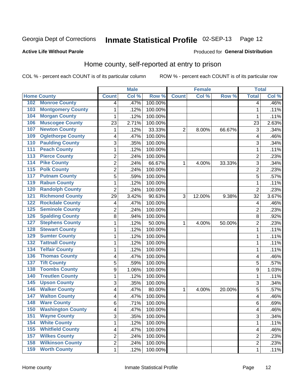## Inmate Statistical Profile 02-SEP-13 Page 12

### **Active Life Without Parole**

### Produced for General Distribution

### Home county, self-reported at entry to prison

COL % - percent each COUNT is of its particular column

|                  |                          |                          | <b>Male</b> | <b>Female</b> |                | <b>Total</b> |        |                         |       |
|------------------|--------------------------|--------------------------|-------------|---------------|----------------|--------------|--------|-------------------------|-------|
|                  | <b>Home County</b>       | <b>Count</b>             | Col %       | Row %         | <b>Count</b>   | Col %        | Row %  | <b>Total</b>            | Col % |
| 102              | <b>Monroe County</b>     | $\overline{4}$           | .47%        | 100.00%       |                |              |        | 4                       | .46%  |
| 103              | <b>Montgomery County</b> | 1                        | .12%        | 100.00%       |                |              |        | 1                       | .11%  |
| 104              | <b>Morgan County</b>     | 1                        | .12%        | 100.00%       |                |              |        | 1                       | .11%  |
| 106              | <b>Muscogee County</b>   | 23                       | 2.71%       | 100.00%       |                |              |        | 23                      | 2.63% |
| 107              | <b>Newton County</b>     | 1                        | .12%        | 33.33%        | $\overline{2}$ | 8.00%        | 66.67% | 3                       | .34%  |
| 109              | <b>Oglethorpe County</b> | 4                        | .47%        | 100.00%       |                |              |        | 4                       | .46%  |
| 110              | <b>Paulding County</b>   | 3                        | .35%        | 100.00%       |                |              |        | 3                       | .34%  |
| 111              | <b>Peach County</b>      | 1                        | .12%        | 100.00%       |                |              |        | 1                       | .11%  |
| 113              | <b>Pierce County</b>     | 2                        | .24%        | 100.00%       |                |              |        | 2                       | .23%  |
| 114              | <b>Pike County</b>       | $\overline{2}$           | .24%        | 66.67%        | 1              | 4.00%        | 33.33% | 3                       | .34%  |
| $\overline{115}$ | <b>Polk County</b>       | $\overline{c}$           | .24%        | 100.00%       |                |              |        | $\overline{c}$          | .23%  |
| 117              | <b>Putnam County</b>     | 5                        | .59%        | 100.00%       |                |              |        | 5                       | .57%  |
| 119              | <b>Rabun County</b>      | 1                        | .12%        | 100.00%       |                |              |        | 1                       | .11%  |
| 120              | <b>Randolph County</b>   | $\overline{2}$           | .24%        | 100.00%       |                |              |        | $\overline{2}$          | .23%  |
| $121$            | <b>Richmond County</b>   | 29                       | 3.42%       | 90.63%        | 3              | 12.00%       | 9.38%  | 32                      | 3.67% |
| 122              | <b>Rockdale County</b>   | 4                        | .47%        | 100.00%       |                |              |        | 4                       | .46%  |
| 125              | <b>Seminole County</b>   | 2                        | .24%        | 100.00%       |                |              |        | 2                       | .23%  |
| 126              | <b>Spalding County</b>   | 8                        | .94%        | 100.00%       |                |              |        | 8                       | .92%  |
| 127              | <b>Stephens County</b>   | 1                        | .12%        | 50.00%        | 1              | 4.00%        | 50.00% | $\overline{c}$          | .23%  |
| 128              | <b>Stewart County</b>    | $\mathbf{1}$             | .12%        | 100.00%       |                |              |        | 1                       | .11%  |
| 129              | <b>Sumter County</b>     | 1                        | .12%        | 100.00%       |                |              |        | 1                       | .11%  |
| 132              | <b>Tattnall County</b>   | $\mathbf{1}$             | .12%        | 100.00%       |                |              |        | 1                       | .11%  |
| 134              | <b>Telfair County</b>    | $\mathbf{1}$             | .12%        | 100.00%       |                |              |        | 1                       | .11%  |
| 136              | <b>Thomas County</b>     | 4                        | .47%        | 100.00%       |                |              |        | 4                       | .46%  |
| $\overline{137}$ | <b>Tift County</b>       | 5                        | .59%        | 100.00%       |                |              |        | 5                       | .57%  |
| 138              | <b>Toombs County</b>     | 9                        | 1.06%       | 100.00%       |                |              |        | 9                       | 1.03% |
| 140              | <b>Treutlen County</b>   | 1                        | .12%        | 100.00%       |                |              |        | 1                       | .11%  |
| 145              | <b>Upson County</b>      | 3                        | .35%        | 100.00%       |                |              |        | 3                       | .34%  |
| 146              | <b>Walker County</b>     | $\overline{\mathcal{A}}$ | .47%        | 80.00%        | 1              | 4.00%        | 20.00% | 5                       | .57%  |
| 147              | <b>Walton County</b>     | $\overline{\mathcal{A}}$ | .47%        | 100.00%       |                |              |        | 4                       | .46%  |
| 148              | <b>Ware County</b>       | 6                        | .71%        | 100.00%       |                |              |        | 6                       | .69%  |
| 150              | <b>Washington County</b> | $\overline{\mathbf{4}}$  | .47%        | 100.00%       |                |              |        | $\overline{\mathbf{4}}$ | .46%  |
| 151              | <b>Wayne County</b>      | 3                        | .35%        | 100.00%       |                |              |        | 3                       | .34%  |
| 154              | <b>White County</b>      | $\mathbf{1}$             | .12%        | 100.00%       |                |              |        | 1                       | .11%  |
| 155              | <b>Whitfield County</b>  | $\overline{\mathcal{A}}$ | .47%        | 100.00%       |                |              |        | 4                       | .46%  |
| 157              | <b>Wilkes County</b>     | $\overline{2}$           | .24%        | 100.00%       |                |              |        | 2                       | .23%  |
| 158              | <b>Wilkinson County</b>  | $\overline{2}$           | .24%        | 100.00%       |                |              |        | 2                       | .23%  |
| 159              | <b>Worth County</b>      | $\mathbf 1$              | .12%        | 100.00%       |                |              |        | 1                       | .11%  |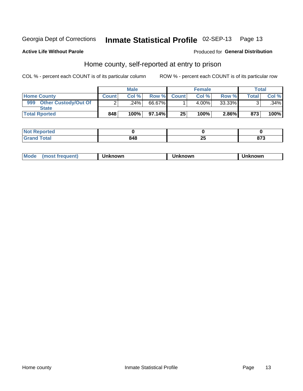#### Inmate Statistical Profile 02-SEP-13 Page 13

### **Active Life Without Parole**

### Produced for General Distribution

### Home county, self-reported at entry to prison

COL % - percent each COUNT is of its particular column

|                                    |              | <b>Male</b> |        |              | <b>Female</b> |        |              | <b>Total</b> |
|------------------------------------|--------------|-------------|--------|--------------|---------------|--------|--------------|--------------|
| <b>Home County</b>                 | <b>Count</b> | Col%        | Row %  | <b>Count</b> | Col %         | Row %  | $\tau$ otal. | Col %        |
| 999<br><b>Other Custody/Out Of</b> |              | ا 24%.      | 66.67% |              | 4.00%         | 33.33% |              | .34%         |
| <b>State</b>                       |              |             |        |              |               |        |              |              |
| <b>Total Rported</b>               | 848          | 100%        | 97.14% | 25           | 100%          | 2.86%  | 873          | 100%         |

| <b>Not</b><br><b>Section Administration</b><br>керогтеа<br>$\sim$ |       |   |     |
|-------------------------------------------------------------------|-------|---|-----|
| <b>fotal</b>                                                      | 0 A O | ⊷ | ~-~ |
| ' Grand                                                           | 94O   |   | 01. |

| Mode<br>rreguent) | nown | knowr | known |
|-------------------|------|-------|-------|
|-------------------|------|-------|-------|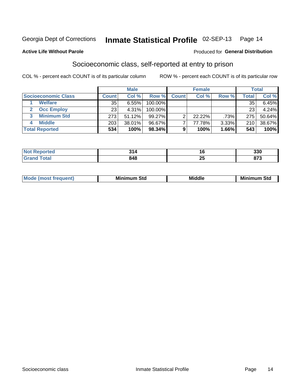### Inmate Statistical Profile 02-SEP-13 Page 14

### **Active Life Without Parole**

### Produced for General Distribution

### Socioeconomic class, self-reported at entry to prison

COL % - percent each COUNT is of its particular column

|                       |        | <b>Male</b> |           |              | <b>Female</b> |       |       | <b>Total</b> |
|-----------------------|--------|-------------|-----------|--------------|---------------|-------|-------|--------------|
| Socioeconomic Class   | Count⊺ | Col %       | Row %     | <b>Count</b> | Col %         | Row % | Total | Col %        |
| <b>Welfare</b>        | 35     | 6.55%       | 100.00%   |              |               |       | 35    | $6.45\%$     |
| <b>Occ Employ</b>     | 23     | 4.31%       | 100.00%   |              |               |       | 23    | 4.24%        |
| <b>Minimum Std</b>    | 273    | 51.12%      | $99.27\%$ |              | 22.22%        | .73%  | 275   | 50.64%       |
| <b>Middle</b>         | 203    | 38.01%      | 96.67%    |              | 77.78%        | 3.33% | 210   | 38.67%       |
| <b>Total Reported</b> | 534    | 100%        | 98.34%    |              | 100%          | 1.66% | 543   | 100%         |

|      | O 4        | 10              | $\sim$<br>JJU |
|------|------------|-----------------|---------------|
| ____ | 848<br>- - | --<br>. .<br>ΔJ | ~-~<br>- - -  |

|  | Mo | Minin<br>Std<br>$- - - -$ | <b>Middle</b> | Min<br>Std<br>. |
|--|----|---------------------------|---------------|-----------------|
|--|----|---------------------------|---------------|-----------------|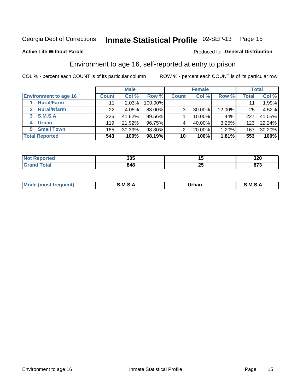### Inmate Statistical Profile 02-SEP-13 Page 15

### **Active Life Without Parole**

### Produced for General Distribution

### Environment to age 16, self-reported at entry to prison

COL % - percent each COUNT is of its particular column

|                              |              | <b>Male</b> |           |              | <b>Female</b> |        |       | <b>Total</b> |
|------------------------------|--------------|-------------|-----------|--------------|---------------|--------|-------|--------------|
| <b>Environment to age 16</b> | <b>Count</b> | Col %       | Row %     | <b>Count</b> | Col %         | Row %  | Total | Col %        |
| <b>Rural/Farm</b>            | 11           | 2.03%       | 100.00%   |              |               |        |       | 1.99%        |
| <b>Rural/Nfarm</b><br>2      | 22           | 4.05%       | 88.00%    | 3            | 30.00%        | 12.00% | 25    | 4.52%        |
| S.M.S.A<br>3                 | 226          | 41.62%      | $99.56\%$ |              | 10.00%        | .44%   | 227   | 41.05%       |
| <b>Urban</b>                 | 119          | 21.92%      | 96.75%    |              | 40.00%        | 3.25%  | 123   | 22.24%       |
| <b>Small Town</b><br>5       | 165          | 30.39%      | 98.80%    | ⌒            | 20.00%        | 1.20%  | 167   | 30.20%       |
| <b>Total Reported</b>        | 543          | 100%        | 98.19%    | 10           | 100%          | 1.81%  | 553   | 100%         |

| rted | 20E<br>ວບວ |                   | າາດ<br>JZU  |
|------|------------|-------------------|-------------|
|      | 848        | $\mathbf{f}$<br>∼ | ^7^<br>ט וט |

| $Mc$ | M | <b>Jrhan</b> | M.     |
|------|---|--------------|--------|
|      |   | _____        | ______ |
|      |   |              |        |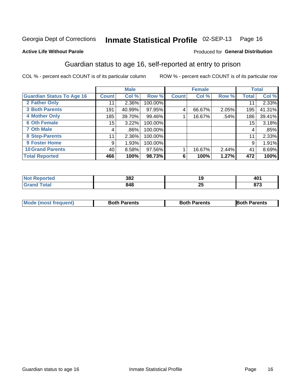## Inmate Statistical Profile 02-SEP-13 Page 16

### **Active Life Without Parole**

### Produced for General Distribution

### Guardian status to age 16, self-reported at entry to prison

COL % - percent each COUNT is of its particular column

|                                  |              | <b>Male</b> |         |              | <b>Female</b> |       |                 | <b>Total</b> |
|----------------------------------|--------------|-------------|---------|--------------|---------------|-------|-----------------|--------------|
| <b>Guardian Status To Age 16</b> | <b>Count</b> | Col %       | Row %   | <b>Count</b> | Col %         | Row % | Total           | Col %        |
| 2 Father Only                    | 11           | $2.36\%$    | 100.00% |              |               |       | 11              | 2.33%        |
| <b>3 Both Parents</b>            | 191          | 40.99%      | 97.95%  | 4            | 66.67%        | 2.05% | 195             | 41.31%       |
| <b>4 Mother Only</b>             | 185          | 39.70%      | 99.46%  |              | 16.67%        | .54%  | 186             | 39.41%       |
| <b>6 Oth Female</b>              | 15           | 3.22%       | 100.00% |              |               |       | 15 <sub>1</sub> | 3.18%        |
| <b>7 Oth Male</b>                | 4            | .86%        | 100.00% |              |               |       | 4               | .85%         |
| 8 Step-Parents                   | 11           | 2.36%       | 100.00% |              |               |       | 11              | 2.33%        |
| <b>9 Foster Home</b>             | 9            | 1.93%       | 100.00% |              |               |       | 9               | 1.91%        |
| <b>10 Grand Parents</b>          | 40           | 8.58%       | 97.56%  |              | 16.67%        | 2.44% | 41              | 8.69%        |
| <b>Total Reported</b>            | 466          | 100%        | 98.73%  | 6            | 100%          | 1.27% | 472             | 100%         |

| rted        | 382 | ت ا      | TV.          |
|-------------|-----|----------|--------------|
| <b>otal</b> | 848 | ОŁ<br>20 | 0.70<br>01 J |

| <b>Mode (most frequent)</b> | <b>Both Parents</b> | <b>Both Parents</b> | <b>Both Parents</b> |
|-----------------------------|---------------------|---------------------|---------------------|
|                             |                     |                     |                     |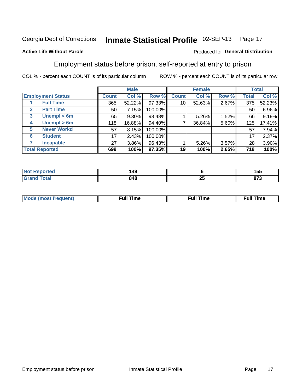#### Inmate Statistical Profile 02-SEP-13 Page 17

### **Active Life Without Parole**

### Produced for General Distribution

### Employment status before prison, self-reported at entry to prison

COL % - percent each COUNT is of its particular column

|                                  |              | <b>Male</b> |         |              | <b>Female</b> |       |       | <b>Total</b> |
|----------------------------------|--------------|-------------|---------|--------------|---------------|-------|-------|--------------|
| <b>Employment Status</b>         | <b>Count</b> | Col %       | Row %   | <b>Count</b> | Col %         | Row % | Total | Col %        |
| <b>Full Time</b>                 | 365          | 52.22%      | 97.33%  | 10           | 52.63%        | 2.67% | 375   | 52.23%       |
| <b>Part Time</b><br>$\mathbf{2}$ | 50           | 7.15%       | 100.00% |              |               |       | 50    | 6.96%        |
| Unempl $<$ 6m<br>3               | 65           | 9.30%       | 98.48%  |              | 5.26%         | 1.52% | 66    | 9.19%        |
| Unempl > 6m<br>4                 | 118          | 16.88%      | 94.40%  | ⇁            | 36.84%        | 5.60% | 125   | 17.41%       |
| <b>Never Workd</b><br>5          | 57           | 8.15%       | 100.00% |              |               |       | 57    | 7.94%        |
| <b>Student</b><br>6              | 17           | 2.43%       | 100.00% |              |               |       | 17    | 2.37%        |
| <b>Incapable</b><br>7            | 27           | 3.86%       | 96.43%  |              | $5.26\%$      | 3.57% | 28    | 3.90%        |
| <b>Total Reported</b>            | 699          | 100%        | 97.35%  | 19           | 100%          | 2.65% | 718   | 100%         |

| 149 |          | ィドド<br>טטו   |
|-----|----------|--------------|
| 848 | . .<br>~ | ---<br>0 I J |

| Mc | ∴ul! | ----<br>ıme<br>w |
|----|------|------------------|
|    |      |                  |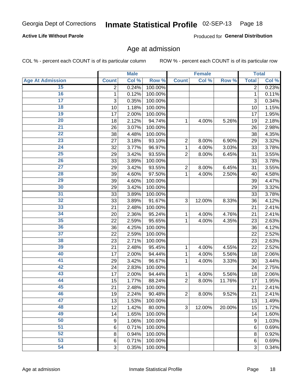## Inmate Statistical Profile 02-SEP-13 Page 18

### **Active Life Without Parole**

Produced for General Distribution

### Age at admission

COL % - percent each COUNT is of its particular column

|                         |                 | <b>Male</b> |         |                | <b>Female</b> |        |              | <b>Total</b> |
|-------------------------|-----------------|-------------|---------|----------------|---------------|--------|--------------|--------------|
| <b>Age At Admission</b> | <b>Count</b>    | Col %       | Row %   | <b>Count</b>   | Col %         | Row %  | <b>Total</b> | Col %        |
| 15                      | $\overline{2}$  | 0.24%       | 100.00% |                |               |        | 2            | 0.23%        |
| 16                      | 1               | 0.12%       | 100.00% |                |               |        | $\mathbf{1}$ | 0.11%        |
| $\overline{17}$         | 3               | 0.35%       | 100.00% |                |               |        | 3            | 0.34%        |
| 18                      | 10              | 1.18%       | 100.00% |                |               |        | 10           | 1.15%        |
| 19                      | 17              | 2.00%       | 100.00% |                |               |        | 17           | 1.95%        |
| $\overline{20}$         | 18              | 2.12%       | 94.74%  | 1              | 4.00%         | 5.26%  | 19           | 2.18%        |
| 21                      | 26              | 3.07%       | 100.00% |                |               |        | 26           | 2.98%        |
| $\overline{22}$         | 38              | 4.48%       | 100.00% |                |               |        | 38           | 4.35%        |
| 23                      | 27              | 3.18%       | 93.10%  | $\overline{2}$ | 8.00%         | 6.90%  | 29           | 3.32%        |
| 24                      | 32              | 3.77%       | 96.97%  | 1              | 4.00%         | 3.03%  | 33           | 3.78%        |
| $\overline{25}$         | 29              | 3.42%       | 93.55%  | $\overline{2}$ | 8.00%         | 6.45%  | 31           | 3.55%        |
| 26                      | 33              | 3.89%       | 100.00% |                |               |        | 33           | 3.78%        |
| $\overline{27}$         | 29              | 3.42%       | 93.55%  | $\overline{2}$ | 8.00%         | 6.45%  | 31           | 3.55%        |
| 28                      | 39              | 4.60%       | 97.50%  | 1              | 4.00%         | 2.50%  | 40           | 4.58%        |
| 29                      | 39              | 4.60%       | 100.00% |                |               |        | 39           | 4.47%        |
| 30                      | 29              | 3.42%       | 100.00% |                |               |        | 29           | 3.32%        |
| 31                      | 33              | 3.89%       | 100.00% |                |               |        | 33           | 3.78%        |
| 32                      | 33              | 3.89%       | 91.67%  | 3              | 12.00%        | 8.33%  | 36           | 4.12%        |
| 33                      | 21              | 2.48%       | 100.00% |                |               |        | 21           | 2.41%        |
| 34                      | 20              | 2.36%       | 95.24%  | 1              | 4.00%         | 4.76%  | 21           | 2.41%        |
| 35                      | 22              | 2.59%       | 95.65%  | 1              | 4.00%         | 4.35%  | 23           | 2.63%        |
| 36                      | 36              | 4.25%       | 100.00% |                |               |        | 36           | 4.12%        |
| $\overline{37}$         | 22              | 2.59%       | 100.00% |                |               |        | 22           | 2.52%        |
| 38                      | 23              | 2.71%       | 100.00% |                |               |        | 23           | 2.63%        |
| 39                      | 21              | 2.48%       | 95.45%  | 1              | 4.00%         | 4.55%  | 22           | 2.52%        |
| 40                      | 17              | 2.00%       | 94.44%  | 1              | 4.00%         | 5.56%  | 18           | 2.06%        |
| 41                      | 29              | 3.42%       | 96.67%  | 1              | 4.00%         | 3.33%  | 30           | 3.44%        |
| 42                      | 24              | 2.83%       | 100.00% |                |               |        | 24           | 2.75%        |
| 43                      | 17              | 2.00%       | 94.44%  | 1              | 4.00%         | 5.56%  | 18           | 2.06%        |
| 44                      | 15              | 1.77%       | 88.24%  | $\overline{2}$ | 8.00%         | 11.76% | 17           | 1.95%        |
| 45                      | 21              | 2.48%       | 100.00% |                |               |        | 21           | 2.41%        |
| 46                      | 19              | 2.24%       | 90.48%  | $\overline{2}$ | 8.00%         | 9.52%  | 21           | 2.41%        |
| 47                      | 13              | 1.53%       | 100.00% |                |               |        | 13           | 1.49%        |
| 48                      | 12              | 1.42%       | 80.00%  | 3              | 12.00%        | 20.00% | 15           | 1.72%        |
| 49                      | 14              | 1.65%       | 100.00% |                |               |        | 14           | 1.60%        |
| 50                      | 9               | 1.06%       | 100.00% |                |               |        | 9            | 1.03%        |
| $\overline{51}$         | 6               | 0.71%       | 100.00% |                |               |        | 6            | 0.69%        |
| 52                      | 8               | 0.94%       | 100.00% |                |               |        | 8            | 0.92%        |
| 53                      | $6\phantom{1}6$ | 0.71%       | 100.00% |                |               |        | 6            | 0.69%        |
| 54                      | 3               | 0.35%       | 100.00% |                |               |        | 3            | 0.34%        |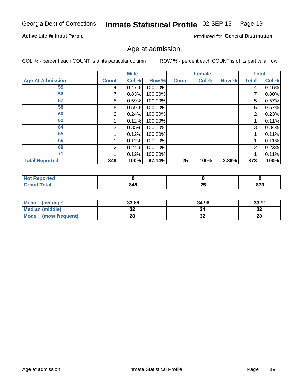## Inmate Statistical Profile 02-SEP-13 Page 19

### **Active Life Without Parole**

Produced for General Distribution

### Age at admission

COL % - percent each COUNT is of its particular column

|                         |              | <b>Male</b> |         |              | <b>Female</b> |       |       | <b>Total</b> |
|-------------------------|--------------|-------------|---------|--------------|---------------|-------|-------|--------------|
| <b>Age At Admission</b> | <b>Count</b> | Col %       | Row %   | <b>Count</b> | Col %         | Row % | Total | Col %        |
| 55                      | 4            | 0.47%       | 100.00% |              |               |       | 4     | 0.46%        |
| 56                      |              | 0.83%       | 100.00% |              |               |       | 7     | 0.80%        |
| 57                      | 5            | 0.59%       | 100.00% |              |               |       | 5     | 0.57%        |
| 58                      | 5            | 0.59%       | 100.00% |              |               |       | 5     | 0.57%        |
| 60                      | 2            | 0.24%       | 100.00% |              |               |       | 2     | 0.23%        |
| 62                      |              | 0.12%       | 100.00% |              |               |       |       | 0.11%        |
| 64                      | 3            | 0.35%       | 100.00% |              |               |       | 3     | 0.34%        |
| 65                      |              | 0.12%       | 100.00% |              |               |       |       | 0.11%        |
| 66                      |              | 0.12%       | 100.00% |              |               |       |       | 0.11%        |
| 69                      | 2            | 0.24%       | 100.00% |              |               |       | 2     | 0.23%        |
| 71                      |              | 0.12%       | 100.00% |              |               |       |       | 0.11%        |
| <b>Total Reported</b>   | 848          | 100%        | 97.14%  | 25           | 100%          | 2.86% | 873   | 100%         |

| orted        |     |                |            |
|--------------|-----|----------------|------------|
| <b>Total</b> | 848 | ^^<br><u>_</u> | 070<br>013 |

| Mean<br>(average)              | 33.88   | 34.96 | 33.91    |
|--------------------------------|---------|-------|----------|
| Median (middle)                | u       | 34    | ົາ<br>∠ت |
| <b>Mode</b><br>(most frequent) | ົ<br>ZO | JZ    | 28       |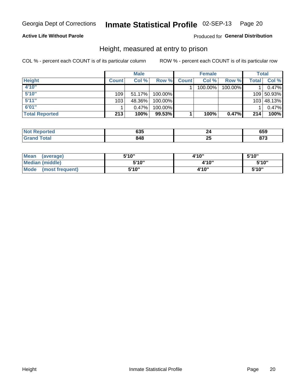#### Inmate Statistical Profile 02-SEP-13 Page 20

### **Active Life Without Parole**

### Produced for General Distribution

### Height, measured at entry to prison

COL % - percent each COUNT is of its particular column

|                       |              | <b>Male</b> |         |              | <b>Female</b> |         |       | Total      |
|-----------------------|--------------|-------------|---------|--------------|---------------|---------|-------|------------|
| <b>Height</b>         | <b>Count</b> | Col %       | Row %   | <b>Count</b> | Col %         | Row %   | Total | Col %      |
| 4'10"                 |              |             |         |              | 100.00%       | 100.00% |       | 0.47%      |
| 5'10''                | 109          | 51.17%      | 100.00% |              |               |         |       | 109 50.93% |
| 5'11''                | 103          | 48.36%      | 100.00% |              |               |         |       | 103 48.13% |
| 6'01''                |              | $0.47\%$    | 100.00% |              |               |         |       | 0.47%      |
| <b>Total Reported</b> | 213          | 100%        | 99.53%  |              | 100%          | 0.47%   | 214   | 100%       |

| <b>Not</b><br>Reported       | 635 |    | ^-^<br>טטס |
|------------------------------|-----|----|------------|
| <b>Total</b><br><b>Grand</b> | 848 | -- | 0.70       |

| Mean<br>(average)              | 5'10" | 4'10" | 5'10"  |
|--------------------------------|-------|-------|--------|
| Median (middle)                | 5'10" | 4'10" | 5'10'' |
| <b>Mode</b><br>(most frequent) | 5'10" | 4'10" | 5'10"  |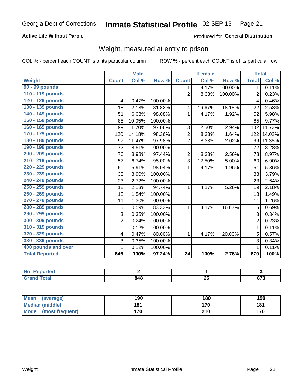#### Inmate Statistical Profile 02-SEP-13 Page 21

### **Active Life Without Parole**

Produced for General Distribution

### Weight, measured at entry to prison

COL % - percent each COUNT is of its particular column

|                       |                | <b>Male</b> |         |                | <b>Female</b> |         | <b>Total</b>   |        |
|-----------------------|----------------|-------------|---------|----------------|---------------|---------|----------------|--------|
| <b>Weight</b>         | <b>Count</b>   | Col %       | Row %   | <b>Count</b>   | Col%          | Row %   | <b>Total</b>   | Col %  |
| 90 - 99 pounds        |                |             |         | 1              | 4.17%         | 100.00% | $\mathbf{1}$   | 0.11%  |
| 110 - 119 pounds      |                |             |         | $\overline{2}$ | 8.33%         | 100.00% | $\overline{2}$ | 0.23%  |
| 120 - 129 pounds      | 4              | 0.47%       | 100.00% |                |               |         | 4              | 0.46%  |
| 130 - 139 pounds      | 18             | 2.13%       | 81.82%  | 4              | 16.67%        | 18.18%  | 22             | 2.53%  |
| 140 - 149 pounds      | 51             | 6.03%       | 98.08%  | 1              | 4.17%         | 1.92%   | 52             | 5.98%  |
| 150 - 159 pounds      | 85             | 10.05%      | 100.00% |                |               |         | 85             | 9.77%  |
| 160 - 169 pounds      | 99             | 11.70%      | 97.06%  | 3              | 12.50%        | 2.94%   | 102            | 11.72% |
| 170 - 179 pounds      | 120            | 14.18%      | 98.36%  | $\overline{2}$ | 8.33%         | 1.64%   | 122            | 14.02% |
| 180 - 189 pounds      | 97             | 11.47%      | 97.98%  | $\overline{2}$ | 8.33%         | 2.02%   | 99             | 11.38% |
| 190 - 199 pounds      | 72             | 8.51%       | 100.00% |                |               |         | 72             | 8.28%  |
| 200 - 209 pounds      | 76             | 8.98%       | 97.44%  | $\overline{2}$ | 8.33%         | 2.56%   | 78             | 8.97%  |
| 210 - 219 pounds      | 57             | 6.74%       | 95.00%  | 3              | 12.50%        | 5.00%   | 60             | 6.90%  |
| 220 - 229 pounds      | 50             | 5.91%       | 98.04%  | 1              | 4.17%         | 1.96%   | 51             | 5.86%  |
| 230 - 239 pounds      | 33             | 3.90%       | 100.00% |                |               |         | 33             | 3.79%  |
| 240 - 249 pounds      | 23             | 2.72%       | 100.00% |                |               |         | 23             | 2.64%  |
| 250 - 259 pounds      | 18             | 2.13%       | 94.74%  | 1              | 4.17%         | 5.26%   | 19             | 2.18%  |
| 260 - 269 pounds      | 13             | 1.54%       | 100.00% |                |               |         | 13             | 1.49%  |
| 270 - 279 pounds      | 11             | 1.30%       | 100.00% |                |               |         | 11             | 1.26%  |
| 280 - 289 pounds      | 5              | 0.59%       | 83.33%  | 1              | 4.17%         | 16.67%  | 6              | 0.69%  |
| 290 - 299 pounds      | 3              | 0.35%       | 100.00% |                |               |         | 3              | 0.34%  |
| 300 - 309 pounds      | $\overline{2}$ | 0.24%       | 100.00% |                |               |         | $\overline{2}$ | 0.23%  |
| 310 - 319 pounds      | 1              | 0.12%       | 100.00% |                |               |         | $\mathbf{1}$   | 0.11%  |
| 320 - 329 pounds      | 4              | 0.47%       | 80.00%  | 1              | 4.17%         | 20.00%  | 5              | 0.57%  |
| 330 - 339 pounds      | 3              | 0.35%       | 100.00% |                |               |         | 3              | 0.34%  |
| 400 pounds and over   | 1              | 0.12%       | 100.00% |                |               |         | $\mathbf 1$    | 0.11%  |
| <b>Total Reported</b> | 846            | 100%        | 97.24%  | 24             | 100%          | 2.76%   | 870            | 100%   |

| тео |             |             |                      |
|-----|-------------|-------------|----------------------|
|     | 010<br>$ -$ | - A F<br>∼∸ | 0.70<br>91 J<br>$ -$ |

| <b>Mean</b><br>(average) | 190 | 180 | 190 |
|--------------------------|-----|-----|-----|
| <b>Median (middle)</b>   | 181 | 170 | 181 |
| Mode<br>(most frequent)  | 170 | 210 | 170 |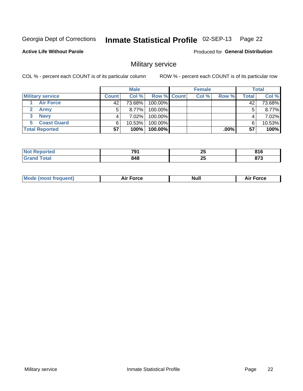#### Inmate Statistical Profile 02-SEP-13 Page 22

### **Active Life Without Parole**

Produced for General Distribution

### Military service

COL % - percent each COUNT is of its particular column

|                         |              | <b>Male</b> |                    | <b>Female</b> |        |       | <b>Total</b> |
|-------------------------|--------------|-------------|--------------------|---------------|--------|-------|--------------|
| <b>Military service</b> | <b>Count</b> | Col%        | <b>Row % Count</b> | Col %         | Row %  | Total | Col %        |
| <b>Air Force</b>        | 42           | 73.68%      | 100.00%            |               |        | 42    | 73.68%       |
| <b>Army</b>             |              | $8.77\%$    | 100.00%            |               |        | 5     | 8.77%        |
| <b>Navy</b>             |              | $7.02\%$    | 100.00%            |               |        |       | 7.02%        |
| <b>Coast Guard</b>      | 6            | $10.53\%$   | 100.00%            |               |        | 6     | 10.53%       |
| <b>Total Reported</b>   | 57           | 100%        | 100.00%            |               | .00% l | 57    | 100%         |

|       | 791 | ሳር | 04 C  |
|-------|-----|----|-------|
|       | $-$ | ZJ | 0 I U |
| 'ndin | 848 | ሳር | .     |
| .     |     | ΔJ | - - - |

| <b>Mode (most frequent)</b> | Force<br>Aır | Null | ∙orce |
|-----------------------------|--------------|------|-------|
|                             |              |      |       |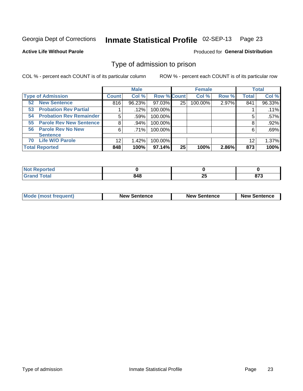#### Inmate Statistical Profile 02-SEP-13 Page 23

**Active Life Without Parole** 

Produced for General Distribution

### Type of admission to prison

COL % - percent each COUNT is of its particular column

|                                      |              | <b>Male</b> |                    |    | <b>Female</b> |       |              | <b>Total</b> |
|--------------------------------------|--------------|-------------|--------------------|----|---------------|-------|--------------|--------------|
| <b>Type of Admission</b>             | <b>Count</b> | Col %       | <b>Row % Count</b> |    | Col %         | Row % | <b>Total</b> | Col %        |
| <b>New Sentence</b><br>52            | 816          | 96.23%      | 97.03%             | 25 | 100.00%       | 2.97% | 841          | 96.33%       |
| <b>Probation Rev Partial</b><br>53   |              | .12%        | 100.00%            |    |               |       |              | .11%         |
| <b>Probation Rev Remainder</b><br>54 | 5            | .59%        | 100.00%            |    |               |       | 5            | $.57\%$      |
| <b>Parole Rev New Sentence</b><br>55 | 8            | .94%        | 100.00%            |    |               |       | 8            | .92%         |
| 56 Parole Rev No New                 | 6            | .71%        | 100.00%            |    |               |       | 6            | .69%         |
| <b>Sentence</b>                      |              |             |                    |    |               |       |              |              |
| <b>Life W/O Parole</b><br>70         | 12           | 1.42%       | 100.00%            |    |               |       | 12           | 1.37%        |
| <b>Total Reported</b>                | 848          | 100%        | $97.14\%$          | 25 | 100%          | 2.86% | 873          | 100%         |

| ported<br>' NOT<br>n e l |     |                          |         |
|--------------------------|-----|--------------------------|---------|
| <b>cotal</b><br>-        | 010 | $\mathbf{f}$<br><u>r</u> | $- - -$ |

| <b>Mode (most frequent)</b> | <b>New Sentence</b> | <b>New Sentence</b> | <b>New Sentence</b> |
|-----------------------------|---------------------|---------------------|---------------------|
|                             |                     |                     |                     |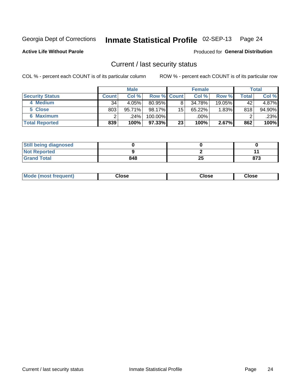## Inmate Statistical Profile 02-SEP-13 Page 24

**Active Life Without Parole** 

Produced for General Distribution

### Current / last security status

COL % - percent each COUNT is of its particular column

|                        |              | <b>Male</b> |                    |    | <b>Female</b> |           |       | <b>Total</b> |
|------------------------|--------------|-------------|--------------------|----|---------------|-----------|-------|--------------|
| <b>Security Status</b> | <b>Count</b> | Col %       | <b>Row % Count</b> |    | Col %         | Row %     | Total | Col %        |
| 4 Medium               | 34           | 4.05%       | $80.95\%$          | 8  | 34.78%        | $19.05\%$ | 42    | 4.87%        |
| 5 Close                | 803          | 95.71%      | 98.17%             | 15 | 65.22%        | 1.83%     | 818   | 94.90%       |
| <b>6 Maximum</b>       |              | ا 24%.      | 100.00%            |    | .00%          |           |       | .23%         |
| <b>Total Reported</b>  | 839          | 100%        | 97.33% I           | 23 | 100%          | 2.67%     | 862   | 100%         |

| <b>Still being diagnosed</b> |     |    |     |
|------------------------------|-----|----|-----|
| <b>Not Reported</b>          |     |    |     |
| <b>Grand Total</b>           | 848 | 25 | 873 |

| Mode (most frequent) | Close | Close | <b>Close</b> |
|----------------------|-------|-------|--------------|
|                      |       |       |              |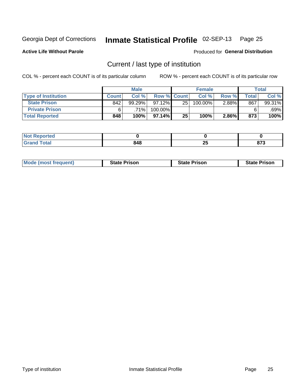#### Inmate Statistical Profile 02-SEP-13 Page 25

**Active Life Without Parole** 

Produced for General Distribution

### Current / last type of institution

COL % - percent each COUNT is of its particular column

|                            |              | <b>Male</b> |                    |    | <b>Female</b> |          |       | <b>Total</b> |
|----------------------------|--------------|-------------|--------------------|----|---------------|----------|-------|--------------|
| <b>Type of Institution</b> | <b>Count</b> | Col %       | <b>Row % Count</b> |    | Col %         | Row %    | Total | Col %        |
| <b>State Prison</b>        | 842          | 99.29%      | $97.12\%$          | 25 | 100.00%       | $2.88\%$ | 867   | 99.31%       |
| <b>Private Prison</b>      |              | $.71\%$     | 100.00%            |    |               |          |       | .69%         |
| <b>Total Reported</b>      | 848          | 100%        | $97.14\%$          | 25 | 100%          | 2.86%    | 873   | 100%         |

| .<br>τeα |     |          |                  |
|----------|-----|----------|------------------|
| otal     | 848 | ሳር<br>ZJ | $- - -$<br>0 I J |

| <b>Mode (most frequent)</b> | <b>State Prison</b> | <b>State Prison</b> | <b>State Prison</b> |
|-----------------------------|---------------------|---------------------|---------------------|
|                             |                     |                     |                     |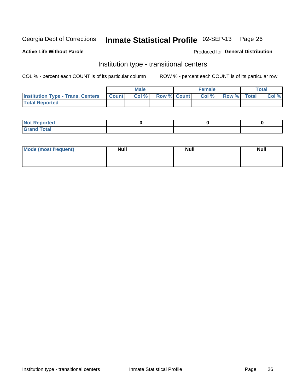## Inmate Statistical Profile 02-SEP-13 Page 26

**Active Life Without Parole** 

### Produced for General Distribution

### Institution type - transitional centers

COL % - percent each COUNT is of its particular column

|                                                | Male  |                    | <b>Female</b> |                   | Total |
|------------------------------------------------|-------|--------------------|---------------|-------------------|-------|
| <b>Institution Type - Trans. Centers Count</b> | Col % | <b>Row % Count</b> |               | Col % Row % Total | Col % |
| <b>Total Reported</b>                          |       |                    |               |                   |       |

| <b>Reported</b><br><b>NOT</b><br>$\sim$            |  |  |
|----------------------------------------------------|--|--|
| $f$ $f \circ f \circ f$<br>$C = 1$<br><b>TULAI</b> |  |  |

| Mode (most frequent) | <b>Null</b> | <b>Null</b> | <b>Null</b> |
|----------------------|-------------|-------------|-------------|
|                      |             |             |             |
|                      |             |             |             |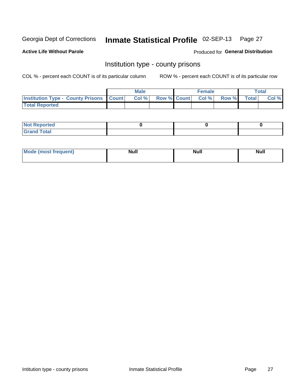## Inmate Statistical Profile 02-SEP-13 Page 27

**Active Life Without Parole** 

Produced for General Distribution

### Institution type - county prisons

COL % - percent each COUNT is of its particular column

|                                                    | <b>Male</b> |       |                          | <b>Female</b> |  |             | <b>Total</b> |       |
|----------------------------------------------------|-------------|-------|--------------------------|---------------|--|-------------|--------------|-------|
| <b>Institution Type - County Prisons   Count  </b> |             | Col % | <b>Row % Count Col %</b> |               |  | Row % Total |              | Col % |
| <b>Total Reported</b>                              |             |       |                          |               |  |             |              |       |

| <b>Not Reported</b>         |  |  |
|-----------------------------|--|--|
| <b>Total</b><br>-<br>______ |  |  |

| <b>Mode</b>      | <b>Null</b> | <b>Null</b> | <b>Null</b> |
|------------------|-------------|-------------|-------------|
| (most freauent). |             |             |             |
|                  |             |             |             |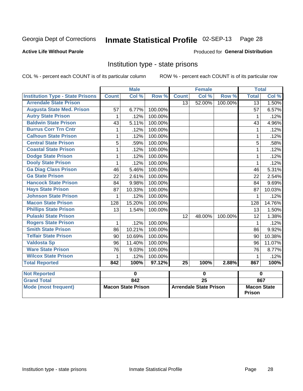## Inmate Statistical Profile 02-SEP-13 Page 28

### **Active Life Without Parole**

### **Produced for General Distribution**

### Institution type - state prisons

COL % - percent each COUNT is of its particular column ROW % - percent each COUNT is of its particular row

|                                         | <b>Male</b>               |             |         | <b>Female</b>                 |                 |         | <b>Total</b>                        |             |
|-----------------------------------------|---------------------------|-------------|---------|-------------------------------|-----------------|---------|-------------------------------------|-------------|
| <b>Institution Type - State Prisons</b> | <b>Count</b>              | Col %       | Row %   | <b>Count</b>                  | Col %           | Row %   | <b>Total</b>                        | Col %       |
| <b>Arrendale State Prison</b>           |                           |             |         | 13                            | 52.00%          | 100.00% | 13                                  | 1.50%       |
| <b>Augusta State Med. Prison</b>        | 57                        | 6.77%       | 100.00% |                               |                 |         | 57                                  | 6.57%       |
| <b>Autry State Prison</b>               | 1                         | .12%        | 100.00% |                               |                 |         | 1                                   | .12%        |
| <b>Baldwin State Prison</b>             | 43                        | 5.11%       | 100.00% |                               |                 |         | 43                                  | 4.96%       |
| <b>Burrus Corr Trn Cntr</b>             | 1                         | .12%        | 100.00% |                               |                 |         | 1                                   | .12%        |
| <b>Calhoun State Prison</b>             | 1                         | .12%        | 100.00% |                               |                 |         | 1                                   | .12%        |
| <b>Central State Prison</b>             | 5                         | .59%        | 100.00% |                               |                 |         | 5                                   | .58%        |
| <b>Coastal State Prison</b>             | 1                         | .12%        | 100.00% |                               |                 |         | 1                                   | .12%        |
| <b>Dodge State Prison</b>               | 1                         | .12%        | 100.00% |                               |                 |         | 1                                   | .12%        |
| <b>Dooly State Prison</b>               | 1                         | .12%        | 100.00% |                               |                 |         | 1                                   | .12%        |
| <b>Ga Diag Class Prison</b>             | 46                        | 5.46%       | 100.00% |                               |                 |         | 46                                  | 5.31%       |
| <b>Ga State Prison</b>                  | 22                        | 2.61%       | 100.00% |                               |                 |         | 22                                  | 2.54%       |
| <b>Hancock State Prison</b>             | 84                        | 9.98%       | 100.00% |                               |                 |         | 84                                  | 9.69%       |
| <b>Hays State Prison</b>                | 87                        | 10.33%      | 100.00% |                               |                 |         | 87                                  | 10.03%      |
| <b>Johnson State Prison</b>             | 1                         | .12%        | 100.00% |                               |                 |         | 1                                   | .12%        |
| <b>Macon State Prison</b>               | 128                       | 15.20%      | 100.00% |                               |                 |         | 128                                 | 14.76%      |
| <b>Phillips State Prison</b>            | 13                        | 1.54%       | 100.00% |                               |                 |         | 13                                  | 1.50%       |
| <b>Pulaski State Prison</b>             |                           |             |         | 12                            | 48.00%          | 100.00% | 12                                  | 1.38%       |
| <b>Rogers State Prison</b>              | 1                         | .12%        | 100.00% |                               |                 |         | 1                                   | .12%        |
| <b>Smith State Prison</b>               | 86                        | 10.21%      | 100.00% |                               |                 |         | 86                                  | 9.92%       |
| <b>Telfair State Prison</b>             | 90                        | 10.69%      | 100.00% |                               |                 |         | 90                                  | 10.38%      |
| <b>Valdosta Sp</b>                      | 96                        | 11.40%      | 100.00% |                               |                 |         | 96                                  | 11.07%      |
| <b>Ware State Prison</b>                | 76                        | 9.03%       | 100.00% |                               |                 |         | 76                                  | 8.77%       |
| <b>Wilcox State Prison</b>              | 1                         | .12%        | 100.00% |                               |                 |         | 1                                   | .12%        |
| <b>Total Reported</b>                   | 842                       | 100%        | 97.12%  | $\overline{25}$               | 100%            | 2.88%   | 867                                 | 100%        |
|                                         |                           |             |         |                               |                 |         |                                     |             |
| <b>Not Reported</b>                     |                           | $\mathbf 0$ |         | $\mathbf 0$                   |                 |         |                                     | $\mathbf 0$ |
| <b>Grand Total</b>                      |                           | 842         |         |                               | $\overline{25}$ |         |                                     | 867         |
| <b>Mode (most frequent)</b>             | <b>Macon State Prison</b> |             |         | <b>Arrendale State Prison</b> |                 |         | <b>Macon State</b><br><b>Prison</b> |             |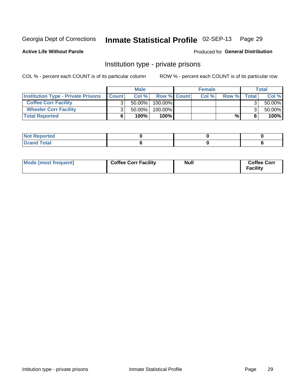## Inmate Statistical Profile 02-SEP-13 Page 29

### **Active Life Without Parole**

### Produced for General Distribution

### Institution type - private prisons

COL % - percent each COUNT is of its particular column

|                                           | <b>Male</b>  |           |                    | <b>Female</b> |      |       | <b>Total</b> |           |
|-------------------------------------------|--------------|-----------|--------------------|---------------|------|-------|--------------|-----------|
| <b>Institution Type - Private Prisons</b> | <b>Count</b> | Col%      | <b>Row % Count</b> |               | Col% | Row % | <b>Total</b> | Col %     |
| <b>Coffee Corr Facility</b>               |              | $50.00\%$ | $100.00\%$         |               |      |       |              | $50.00\%$ |
| <b>Wheeler Corr Facility</b>              |              | 50.00%    | 100.00%            |               |      |       |              | $50.00\%$ |
| <b>Total Reported</b>                     |              | 100%      | 100%               |               |      | %     | 6            | $100\%$   |

| portea<br>.     |  |  |
|-----------------|--|--|
| $-4-$<br>$\sim$ |  |  |

| Mode (most frequent) | <b>Coffee Corr Facility</b> | <b>Null</b> | <b>Coffee Corr</b><br><b>Facility</b> |
|----------------------|-----------------------------|-------------|---------------------------------------|
|----------------------|-----------------------------|-------------|---------------------------------------|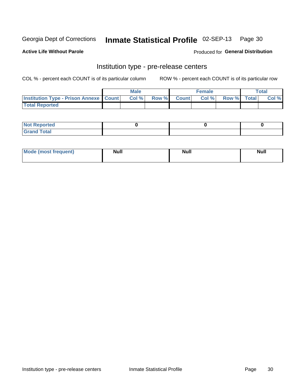### Inmate Statistical Profile 02-SEP-13 Page 30

**Active Life Without Parole** 

Produced for General Distribution

## Institution type - pre-release centers

COL % - percent each COUNT is of its particular column

|                                                   | <b>Male</b> |       |              |       | <b>Female</b> | <b>Total</b>       |  |       |
|---------------------------------------------------|-------------|-------|--------------|-------|---------------|--------------------|--|-------|
| <b>Institution Type - Prison Annexe   Count  </b> |             | Col % | <b>Row %</b> | Count | Col %         | <b>Row %</b> Total |  | Col % |
| <b>Total Reported</b>                             |             |       |              |       |               |                    |  |       |

| <b>Reported</b><br>I NOT |  |  |
|--------------------------|--|--|
| <b>Total</b><br>$C$ ren  |  |  |

| <b>Mo</b><br>frequent)<br>(most | <b>Null</b> | <b>Null</b> | <b>Null</b> |
|---------------------------------|-------------|-------------|-------------|
|                                 |             |             |             |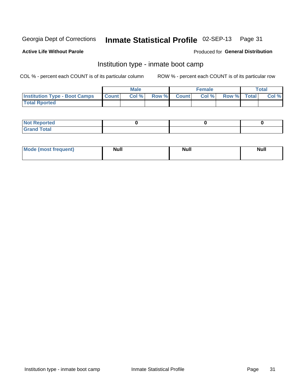#### Inmate Statistical Profile 02-SEP-13 Page 31

### **Active Life Without Parole**

### Produced for General Distribution

### Institution type - inmate boot camp

COL % - percent each COUNT is of its particular column

|                                      |              | <b>Male</b> |               |              | <b>Female</b> |             | <b>Total</b> |
|--------------------------------------|--------------|-------------|---------------|--------------|---------------|-------------|--------------|
| <b>Institution Type - Boot Camps</b> | <b>Count</b> | Col %       | <b>Row %I</b> | <b>Count</b> | Col %         | Row % Total | Col %        |
| <b>Total Rported</b>                 |              |             |               |              |               |             |              |

| <b>Not Reported</b> |  |  |
|---------------------|--|--|
| <b>Total</b><br>Cro |  |  |

| <b>I Mode (most frequent)</b> | <b>Null</b> | <b>Null</b> | <b>Null</b> |
|-------------------------------|-------------|-------------|-------------|
|                               |             |             |             |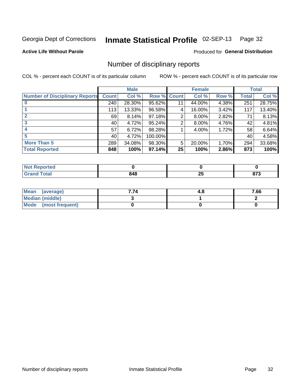#### Inmate Statistical Profile 02-SEP-13 Page 32

**Active Life Without Parole** 

Produced for General Distribution

### Number of disciplinary reports

COL % - percent each COUNT is of its particular column

|                                       |              | <b>Male</b> |             |    | <b>Female</b> |       |              | <b>Total</b> |
|---------------------------------------|--------------|-------------|-------------|----|---------------|-------|--------------|--------------|
| <b>Number of Disciplinary Reports</b> | <b>Count</b> | Col %       | Row % Count |    | Col %         | Row % | <b>Total</b> | Col %        |
|                                       | 240          | 28.30%      | 95.62%      | 11 | 44.00%        | 4.38% | 251          | 28.75%       |
|                                       | 113          | 13.33%      | 96.58%      | 4  | 16.00%        | 3.42% | 117          | 13.40%       |
|                                       | 69           | 8.14%       | 97.18%      | 2  | 8.00%         | 2.82% | 71           | 8.13%        |
| 3                                     | 40           | 4.72%       | 95.24%      | 2  | 8.00%         | 4.76% | 42           | 4.81%        |
|                                       | 57           | 6.72%       | 98.28%      |    | 4.00%         | 1.72% | 58           | 6.64%        |
| 5                                     | 40           | 4.72%       | 100.00%     |    |               |       | 40           | 4.58%        |
| <b>More Than 5</b>                    | 289          | 34.08%      | 98.30%      | 5  | 20.00%        | 1.70% | 294          | 33.68%       |
| <b>Total Reported</b>                 | 848          | 100%        | 97.14%      | 25 | 100%          | 2.86% | 873          | 100%         |

| NO.<br>teo |     |    |            |
|------------|-----|----|------------|
| Total      | 848 | Δv | ~-~<br>u . |

| Mean (average)       | 7.74 | 4.C | 7.66 |
|----------------------|------|-----|------|
| Median (middle)      |      |     |      |
| Mode (most frequent) |      |     |      |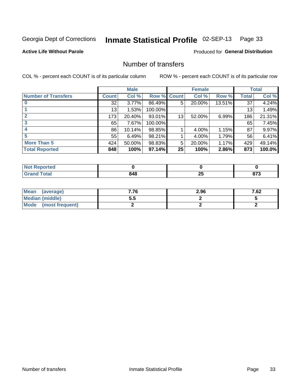## Inmate Statistical Profile 02-SEP-13 Page 33

**Active Life Without Parole** 

**Produced for General Distribution** 

### Number of transfers

COL % - percent each COUNT is of its particular column

|                            |         | <b>Male</b> |         |              | <b>Female</b> |        |              | <b>Total</b> |
|----------------------------|---------|-------------|---------|--------------|---------------|--------|--------------|--------------|
| <b>Number of Transfers</b> | Count l | Col %       | Row %   | <b>Count</b> | Col %         | Row %  | <b>Total</b> | Col %        |
|                            | 32      | $3.77\%$    | 86.49%  | 5            | 20.00%        | 13.51% | 37           | 4.24%        |
|                            | 13      | 1.53%       | 100.00% |              |               |        | 13           | 1.49%        |
|                            | 173     | 20.40%      | 93.01%  | 13           | 52.00%        | 6.99%  | 186          | 21.31%       |
| 3                          | 65      | 7.67%       | 100.00% |              |               |        | 65           | 7.45%        |
|                            | 86      | 10.14%      | 98.85%  |              | 4.00%         | 1.15%  | 87           | 9.97%        |
| 5                          | 55      | 6.49%       | 98.21%  |              | 4.00%         | 1.79%  | 56           | 6.41%        |
| <b>More Than 5</b>         | 424     | 50.00%      | 98.83%  | 5            | 20.00%        | 1.17%  | 429          | 49.14%       |
| <b>Total Reported</b>      | 848     | 100%        | 97.14%  | 25           | 100%          | 2.86%  | 873          | 100.0%       |

| prted<br>NOT |     |         |                |
|--------------|-----|---------|----------------|
| 「otal        | 848 | ∼<br>__ | $\sim$<br>. וט |

| Mean (average)       | 7.76 | 2.96 | 7.62 |
|----------------------|------|------|------|
| Median (middle)      | ວ.ວ  |      |      |
| Mode (most frequent) |      |      |      |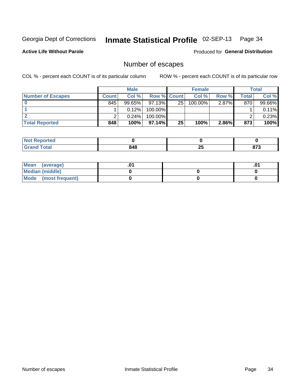## Inmate Statistical Profile 02-SEP-13 Page 34

**Active Life Without Parole** 

Produced for General Distribution

### Number of escapes

COL % - percent each COUNT is of its particular column

|                          | <b>Male</b>  |           |                    | <b>Female</b> |         |          | Total |        |
|--------------------------|--------------|-----------|--------------------|---------------|---------|----------|-------|--------|
| <b>Number of Escapes</b> | <b>Count</b> | Col%      | <b>Row % Count</b> |               | Col %   | Row %    | Total | Col %  |
|                          | 845          | $99.65\%$ | $97.13\%$          | 25            | 100.00% | $2.87\%$ | 870   | 99.66% |
|                          |              | 0.12%     | 100.00%            |               |         |          |       | 0.11%  |
|                          |              | 0.24%     | $100.00\%$         |               |         |          |       | 0.23%  |
| <b>Total Reported</b>    | 848          | 100%      | $97.14\%$          | 25            | 100%    | 2.86%    | 873   | 100%   |

| <b>Not Reported</b> |     |    |      |
|---------------------|-----|----|------|
| Total               | 848 | ሳሪ | 079  |
| Grs                 |     | ZJ | 01 J |

| Mean (average)       |  | .01 |
|----------------------|--|-----|
| Median (middle)      |  |     |
| Mode (most frequent) |  |     |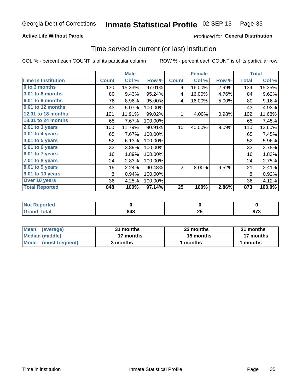#### Inmate Statistical Profile 02-SEP-13 Page 35

### **Active Life Without Parole**

### **Produced for General Distribution**

### Time served in current (or last) institution

COL % - percent each COUNT is of its particular column

|                              |              | <b>Male</b> |         |                 | <b>Female</b> |       |              | <b>Total</b> |
|------------------------------|--------------|-------------|---------|-----------------|---------------|-------|--------------|--------------|
| <b>Time In Institution</b>   | <b>Count</b> | Col %       | Row %   | <b>Count</b>    | Col %         | Row % | <b>Total</b> | Col %        |
| 0 to 3 months                | 130          | 15.33%      | 97.01%  | 4               | 16.00%        | 2.99% | 134          | 15.35%       |
| <b>3.01 to 6 months</b>      | 80           | 9.43%       | 95.24%  | 4               | 16.00%        | 4.76% | 84           | 9.62%        |
| 6.01 to 9 months             | 76           | 8.96%       | 95.00%  | 4               | 16.00%        | 5.00% | 80           | 9.16%        |
| 9.01 to 12 months            | 43           | 5.07%       | 100.00% |                 |               |       | 43           | 4.93%        |
| 12.01 to 18 months           | 101          | 11.91%      | 99.02%  | 1               | 4.00%         | 0.98% | 102          | 11.68%       |
| <b>18.01 to 24 months</b>    | 65           | 7.67%       | 100.00% |                 |               |       | 65           | 7.45%        |
| $2.01$ to 3 years            | 100          | 11.79%      | 90.91%  | 10 <sup>1</sup> | 40.00%        | 9.09% | 110          | 12.60%       |
| 3.01 to 4 years              | 65           | 7.67%       | 100.00% |                 |               |       | 65           | 7.45%        |
| $4.01$ to 5 years            | 52           | 6.13%       | 100.00% |                 |               |       | 52           | 5.96%        |
| $\overline{5.01}$ to 6 years | 33           | 3.89%       | 100.00% |                 |               |       | 33           | 3.78%        |
| 6.01 to 7 years              | 16           | 1.89%       | 100.00% |                 |               |       | 16           | 1.83%        |
| 7.01 to 8 years              | 24           | 2.83%       | 100.00% |                 |               |       | 24           | 2.75%        |
| 8.01 to 9 years              | 19           | 2.24%       | 90.48%  | $\overline{2}$  | 8.00%         | 9.52% | 21           | 2.41%        |
| 9.01 to 10 years             | 8            | 0.94%       | 100.00% |                 |               |       | 8            | 0.92%        |
| Over 10 years                | 36           | 4.25%       | 100.00% |                 |               |       | 36           | 4.12%        |
| <b>Total Reported</b>        | 848          | 100%        | 97.14%  | 25              | 100%          | 2.86% | 873          | 100.0%       |

| Reported<br><b>NOT</b> |                    |                     |             |
|------------------------|--------------------|---------------------|-------------|
| <i>i</i> otal          | <b>010</b><br>94 O | OE.<br>∼∸<br>$\sim$ | ~~~<br>ט וט |

| <b>Mean</b><br>(average) | 31 months | 22 months | 31 months |  |
|--------------------------|-----------|-----------|-----------|--|
| Median (middle)          | 17 months | 15 months | 17 months |  |
| Mode (most frequent)     | 3 months  | 1 months  | 1 months  |  |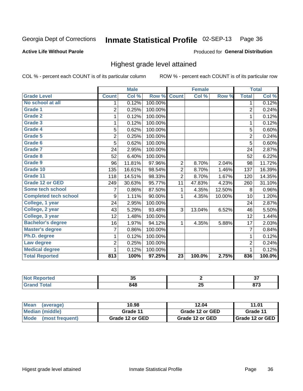#### Inmate Statistical Profile 02-SEP-13 Page 36

### **Active Life Without Parole**

### Produced for General Distribution

### Highest grade level attained

COL % - percent each COUNT is of its particular column

|                              |                | <b>Male</b> |         |                 | <b>Female</b> |        |                | <b>Total</b> |
|------------------------------|----------------|-------------|---------|-----------------|---------------|--------|----------------|--------------|
| <b>Grade Level</b>           | <b>Count</b>   | Col %       | Row %   | <b>Count</b>    | Col %         | Row %  | <b>Total</b>   | Col %        |
| No school at all             | 1              | 0.12%       | 100.00% |                 |               |        | 1              | 0.12%        |
| Grade 1                      | $\overline{2}$ | 0.25%       | 100.00% |                 |               |        | $\overline{2}$ | 0.24%        |
| <b>Grade 2</b>               | 1              | 0.12%       | 100.00% |                 |               |        | 1              | 0.12%        |
| Grade 3                      | 1              | 0.12%       | 100.00% |                 |               |        | 1              | 0.12%        |
| Grade 4                      | 5              | 0.62%       | 100.00% |                 |               |        | 5              | 0.60%        |
| Grade 5                      | 2              | 0.25%       | 100.00% |                 |               |        | $\overline{2}$ | 0.24%        |
| Grade 6                      | 5              | 0.62%       | 100.00% |                 |               |        | $\overline{5}$ | 0.60%        |
| <b>Grade 7</b>               | 24             | 2.95%       | 100.00% |                 |               |        | 24             | 2.87%        |
| Grade 8                      | 52             | 6.40%       | 100.00% |                 |               |        | 52             | 6.22%        |
| Grade 9                      | 96             | 11.81%      | 97.96%  | 2               | 8.70%         | 2.04%  | 98             | 11.72%       |
| Grade 10                     | 135            | 16.61%      | 98.54%  | 2               | 8.70%         | 1.46%  | 137            | 16.39%       |
| Grade 11                     | 118            | 14.51%      | 98.33%  | $\overline{2}$  | 8.70%         | 1.67%  | 120            | 14.35%       |
| <b>Grade 12 or GED</b>       | 249            | 30.63%      | 95.77%  | 11              | 47.83%        | 4.23%  | 260            | 31.10%       |
| Some tech school             | 7              | 0.86%       | 87.50%  | 1               | 4.35%         | 12.50% | 8              | 0.96%        |
| <b>Completed tech school</b> | 9              | 1.11%       | 90.00%  | 1               | 4.35%         | 10.00% | 10             | 1.20%        |
| College, 1 year              | 24             | 2.95%       | 100.00% |                 |               |        | 24             | 2.87%        |
| College, 2 year              | 43             | 5.29%       | 93.48%  | 3               | 13.04%        | 6.52%  | 46             | 5.50%        |
| College, 3 year              | 12             | 1.48%       | 100.00% |                 |               |        | 12             | 1.44%        |
| <b>Bachelor's degree</b>     | 16             | 1.97%       | 94.12%  | $\mathbf{1}$    | 4.35%         | 5.88%  | 17             | 2.03%        |
| <b>Master's degree</b>       | 7              | 0.86%       | 100.00% |                 |               |        | $\overline{7}$ | 0.84%        |
| Ph.D. degree                 | 1              | 0.12%       | 100.00% |                 |               |        | 1              | 0.12%        |
| Law degree                   | $\overline{2}$ | 0.25%       | 100.00% |                 |               |        | $\overline{2}$ | 0.24%        |
| <b>Medical degree</b>        | 1              | 0.12%       | 100.00% |                 |               |        | 1              | 0.12%        |
| <b>Total Reported</b>        | 813            | 100%        | 97.25%  | $\overline{23}$ | 100.0%        | 2.75%  | 836            | 100.0%       |

| - eoorteg            | - -<br>uu  |                 | ~-<br>J,    |
|----------------------|------------|-----------------|-------------|
| $\sim$ $\sim$ $\sim$ | 348<br>- - | --<br>י נ<br>ΔJ | 070<br>01 J |

| <b>Mean</b><br>(average)       | 10.98           | 12.04           | 11.01             |
|--------------------------------|-----------------|-----------------|-------------------|
| Median (middle)                | Grade 11        | Grade 12 or GED | Grade 11          |
| <b>Mode</b><br>(most frequent) | Grade 12 or GED | Grade 12 or GED | I Grade 12 or GED |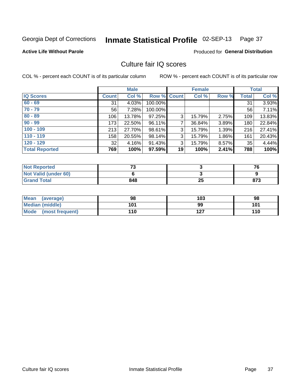# Inmate Statistical Profile 02-SEP-13 Page 37

**Active Life Without Parole** 

Produced for General Distribution

# Culture fair IQ scores

COL % - percent each COUNT is of its particular column

|                       |              | <b>Male</b> |                    |    | <b>Female</b> |       |              | <b>Total</b> |
|-----------------------|--------------|-------------|--------------------|----|---------------|-------|--------------|--------------|
| <b>IQ Scores</b>      | <b>Count</b> | Col %       | <b>Row % Count</b> |    | Col %         | Row % | <b>Total</b> | Col %        |
| $60 - 69$             | 31           | 4.03%       | 100.00%            |    |               |       | 31           | 3.93%        |
| $70 - 79$             | 56           | 7.28%       | 100.00%            |    |               |       | 56           | 7.11%        |
| $80 - 89$             | 106          | 13.78%      | 97.25%             | 3  | 15.79%        | 2.75% | 109          | 13.83%       |
| $90 - 99$             | 173          | 22.50%      | 96.11%             | 7  | 36.84%        | 3.89% | 180          | 22.84%       |
| $100 - 109$           | 213          | 27.70%      | 98.61%             | 3  | 15.79%        | 1.39% | 216          | 27.41%       |
| $110 - 119$           | 158          | 20.55%      | 98.14%             | 3  | 15.79%        | 1.86% | 161          | 20.43%       |
| $120 - 129$           | 32           | 4.16%       | 91.43%             | 3  | 15.79%        | 8.57% | 35           | 4.44%        |
| <b>Total Reported</b> | 769          | 100%        | 97.59%             | 19 | 100%          | 2.41% | 788          | 100%         |

| <b>Not Reported</b>         | 70  |    | 76  |
|-----------------------------|-----|----|-----|
| <b>Not Valid (under 60)</b> |     |    |     |
| <b>Grand Total</b>          | 848 | 23 | 873 |

| <b>Mean</b><br>(average) | 98  | 103 | 98  |
|--------------------------|-----|-----|-----|
| Median (middle)          | 101 | 99  | 101 |
| Mode (most frequent)     | 110 | 127 | 110 |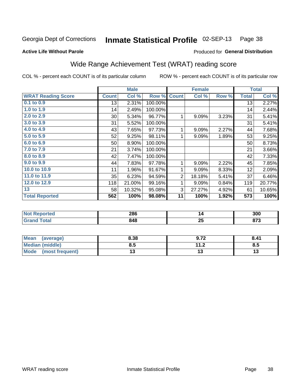#### Inmate Statistical Profile 02-SEP-13 Page 38

### **Active Life Without Parole**

## Produced for General Distribution

# Wide Range Achievement Test (WRAT) reading score

COL % - percent each COUNT is of its particular column

| <b>WRAT Reading Score</b><br>0.1 to 0.9<br>1.0 to 1.9 | <b>Count</b><br>13 | Col %  | Row %   |                |        |       |              |        |
|-------------------------------------------------------|--------------------|--------|---------|----------------|--------|-------|--------------|--------|
|                                                       |                    |        |         | <b>Count</b>   | Col %  | Row % | <b>Total</b> | Col %  |
|                                                       |                    | 2.31%  | 100.00% |                |        |       | 13           | 2.27%  |
|                                                       | 14                 | 2.49%  | 100.00% |                |        |       | 14           | 2.44%  |
| 2.0 to 2.9                                            | 30 <sup>°</sup>    | 5.34%  | 96.77%  | 1              | 9.09%  | 3.23% | 31           | 5.41%  |
| 3.0 to 3.9                                            | 31                 | 5.52%  | 100.00% |                |        |       | 31           | 5.41%  |
| 4.0 to 4.9                                            | 43                 | 7.65%  | 97.73%  | 1              | 9.09%  | 2.27% | 44           | 7.68%  |
| 5.0 to 5.9                                            | 52                 | 9.25%  | 98.11%  | 1              | 9.09%  | 1.89% | 53           | 9.25%  |
| 6.0 to 6.9                                            | 50                 | 8.90%  | 100.00% |                |        |       | 50           | 8.73%  |
| 7.0 to 7.9                                            | 21                 | 3.74%  | 100.00% |                |        |       | 21           | 3.66%  |
| 8.0 to 8.9                                            | 42                 | 7.47%  | 100.00% |                |        |       | 42           | 7.33%  |
| 9.0 to 9.9                                            | 44                 | 7.83%  | 97.78%  | 1              | 9.09%  | 2.22% | 45           | 7.85%  |
| 10.0 to 10.9                                          | 11                 | 1.96%  | 91.67%  | 1              | 9.09%  | 8.33% | 12           | 2.09%  |
| 11.0 to 11.9                                          | 35                 | 6.23%  | 94.59%  | $\overline{2}$ | 18.18% | 5.41% | 37           | 6.46%  |
| 12.0 to 12.9                                          | 118                | 21.00% | 99.16%  | 1              | 9.09%  | 0.84% | 119          | 20.77% |
| 13                                                    | 58                 | 10.32% | 95.08%  | 3              | 27.27% | 4.92% | 61           | 10.65% |
| <b>Total Reported</b>                                 | 562                | 100%   | 98.08%  | 11             | 100%   | 1.92% | 573          | 100%   |

| <b>Not Reported</b> | 286 |    | 300   |
|---------------------|-----|----|-------|
| <b>Total</b>        | 848 | ОL | 679   |
| Grand               |     | ZJ | 0 I J |

| Mean (average)         | 8.38 | 9.72                | 8.41 |
|------------------------|------|---------------------|------|
| <b>Median (middle)</b> | 8.5  | 112<br>$\mathbf{L}$ | ၓ.Ე  |
| Mode (most frequent)   |      |                     |      |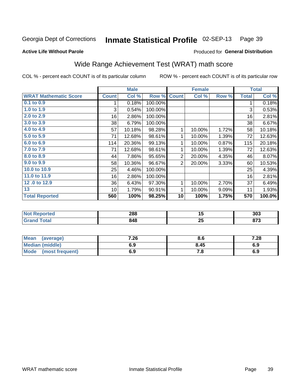#### Inmate Statistical Profile 02-SEP-13 Page 39

## **Active Life Without Parole**

## Produced for General Distribution

# Wide Range Achievement Test (WRAT) math score

COL % - percent each COUNT is of its particular column

|                              |                 | <b>Male</b> |         |                | <b>Female</b> |       |              | <b>Total</b> |
|------------------------------|-----------------|-------------|---------|----------------|---------------|-------|--------------|--------------|
| <b>WRAT Mathematic Score</b> | <b>Count</b>    | Col %       | Row %   | <b>Count</b>   | Col %         | Row % | <b>Total</b> | Col %        |
| $0.1$ to $0.9$               |                 | 0.18%       | 100.00% |                |               |       | 1            | 0.18%        |
| 1.0 to 1.9                   | 3               | 0.54%       | 100.00% |                |               |       | 3            | 0.53%        |
| 2.0 to 2.9                   | 16              | 2.86%       | 100.00% |                |               |       | 16           | 2.81%        |
| 3.0 to 3.9                   | 38              | 6.79%       | 100.00% |                |               |       | 38           | 6.67%        |
| 4.0 to 4.9                   | 57              | 10.18%      | 98.28%  | 1              | 10.00%        | 1.72% | 58           | 10.18%       |
| 5.0 to 5.9                   | 71              | 12.68%      | 98.61%  | 1              | 10.00%        | 1.39% | 72           | 12.63%       |
| 6.0 to 6.9                   | 114             | 20.36%      | 99.13%  | 1              | 10.00%        | 0.87% | 115          | 20.18%       |
| 7.0 to 7.9                   | 71              | 12.68%      | 98.61%  | 1              | 10.00%        | 1.39% | 72           | 12.63%       |
| 8.0 to 8.9                   | 44              | 7.86%       | 95.65%  | $\overline{2}$ | 20.00%        | 4.35% | 46           | 8.07%        |
| 9.0 to 9.9                   | 58              | 10.36%      | 96.67%  | $\overline{2}$ | 20.00%        | 3.33% | 60           | 10.53%       |
| 10.0 to 10.9                 | 25              | 4.46%       | 100.00% |                |               |       | 25           | 4.39%        |
| 11.0 to 11.9                 | 16              | 2.86%       | 100.00% |                |               |       | 16           | 2.81%        |
| 12.0 to 12.9                 | 36              | 6.43%       | 97.30%  | 1              | 10.00%        | 2.70% | 37           | 6.49%        |
| 13                           | 10 <sup>1</sup> | 1.79%       | 90.91%  | 1              | 10.00%        | 9.09% | 11           | 1.93%        |
| <b>Total Reported</b>        | 560             | 100%        | 98.25%  | 10             | 100%          | 1.75% | 570          | 100.0%       |
|                              |                 |             |         |                |               |       |              |              |
|                              |                 |             |         |                |               |       |              |              |

| N        | 288 | . .          | 303   |
|----------|-----|--------------|-------|
| olatetol | - - | $\sim$       |       |
| int      | 848 | $\mathbf{a}$ | ---   |
| _____    |     | ZJ           | 0 I J |

| <b>Mean</b><br>(average)       | 7.26 | o.o  | 7.28 |
|--------------------------------|------|------|------|
| <b>Median (middle)</b>         | 6.9  | 8.45 | 6.9  |
| <b>Mode</b><br>(most frequent) | 6.9  | 7. a | 6.9  |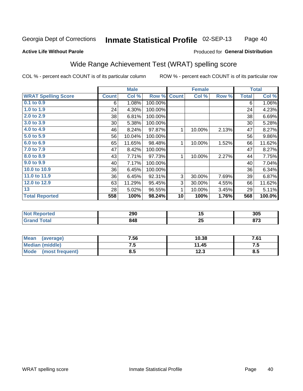#### Inmate Statistical Profile 02-SEP-13 Page 40

### **Active Life Without Parole**

## Produced for General Distribution

# Wide Range Achievement Test (WRAT) spelling score

COL % - percent each COUNT is of its particular column

|                            |                 | <b>Male</b> |         |              | <b>Female</b> |       |              | <b>Total</b> |
|----------------------------|-----------------|-------------|---------|--------------|---------------|-------|--------------|--------------|
| <b>WRAT Spelling Score</b> | <b>Count</b>    | Col %       | Row %   | <b>Count</b> | Col %         | Row % | <b>Total</b> | Col %        |
| $0.1$ to $0.9$             | 6               | 1.08%       | 100.00% |              |               |       | 6            | 1.06%        |
| 1.0 to 1.9                 | 24              | 4.30%       | 100.00% |              |               |       | 24           | 4.23%        |
| 2.0 to 2.9                 | 38              | 6.81%       | 100.00% |              |               |       | 38           | 6.69%        |
| 3.0 to 3.9                 | 30 <sup>°</sup> | 5.38%       | 100.00% |              |               |       | 30           | 5.28%        |
| 4.0 to 4.9                 | 46              | 8.24%       | 97.87%  | 1            | 10.00%        | 2.13% | 47           | 8.27%        |
| 5.0 to 5.9                 | 56              | 10.04%      | 100.00% |              |               |       | 56           | 9.86%        |
| 6.0 to 6.9                 | 65              | 11.65%      | 98.48%  | $\mathbf{1}$ | 10.00%        | 1.52% | 66           | 11.62%       |
| 7.0 to 7.9                 | 47              | 8.42%       | 100.00% |              |               |       | 47           | 8.27%        |
| 8.0 to 8.9                 | 43              | 7.71%       | 97.73%  | $\mathbf{1}$ | 10.00%        | 2.27% | 44           | 7.75%        |
| 9.0 to 9.9                 | 40              | 7.17%       | 100.00% |              |               |       | 40           | 7.04%        |
| 10.0 to 10.9               | 36              | 6.45%       | 100.00% |              |               |       | 36           | 6.34%        |
| 11.0 to 11.9               | 36              | 6.45%       | 92.31%  | 3            | 30.00%        | 7.69% | 39           | 6.87%        |
| 12.0 to 12.9               | 63              | 11.29%      | 95.45%  | 3            | 30.00%        | 4.55% | 66           | 11.62%       |
| 13                         | 28              | 5.02%       | 96.55%  | 1            | 10.00%        | 3.45% | 29           | 5.11%        |
| <b>Total Reported</b>      | 558             | 100%        | 98.24%  | 10           | 100%          | 1.76% | 568          | 100.0%       |
|                            |                 |             |         |              |               |       |              |              |
|                            |                 |             |         |              |               |       |              |              |

| 'Not<br><b>Reported</b> | 290 | יי       | 305        |
|-------------------------|-----|----------|------------|
| <b>otal</b>             | 848 | ባር<br>ZJ | 070<br>013 |

| <b>Mean</b><br>(average)       | 7.56 | 10.38 | 7.61 |
|--------------------------------|------|-------|------|
| Median (middle)                | ں. ر | 11.45 | ں. ، |
| <b>Mode</b><br>(most frequent) | 8.5  | 12.3  | გ.ე  |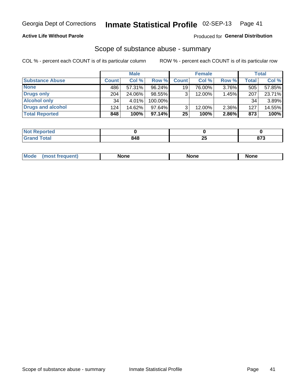## **Active Life Without Parole**

## Produced for General Distribution

## Scope of substance abuse - summary

COL % - percent each COUNT is of its particular column

|                        |              | <b>Male</b> |           |              | <b>Female</b> |          |       | Total  |
|------------------------|--------------|-------------|-----------|--------------|---------------|----------|-------|--------|
| <b>Substance Abuse</b> | <b>Count</b> | Col %       | Row %     | <b>Count</b> | Col %         | Row %    | Total | Col %  |
| <b>None</b>            | 486          | 57.31%      | 96.24%    | 19           | 76.00%        | $3.76\%$ | 505   | 57.85% |
| <b>Drugs only</b>      | 204          | 24.06%      | 98.55%    |              | 12.00%        | 1.45%    | 207   | 23.71% |
| <b>Alcohol only</b>    | 34           | $4.01\%$    | 100.00%   |              |               |          | 34    | 3.89%  |
| Drugs and alcohol      | 124          | 14.62%      | $97.64\%$ |              | 12.00%        | 2.36%    | 127   | 14.55% |
| <b>Total Reported</b>  | 848          | 100%        | 97.14%    | 25           | 100%          | 2.86%    | 873   | 100%   |

| Reported      |     |    |              |
|---------------|-----|----|--------------|
| <b>c</b> otal | 848 | ZJ | 679<br>0 I J |

| Mode<br>None<br>None<br>None<br>quenu |
|---------------------------------------|
|---------------------------------------|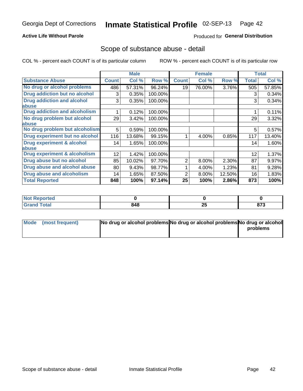## **Active Life Without Parole**

## **Produced for General Distribution**

## Scope of substance abuse - detail

COL % - percent each COUNT is of its particular column

|                                         |              | <b>Male</b> |         |              | <b>Female</b> |        |              | <b>Total</b> |
|-----------------------------------------|--------------|-------------|---------|--------------|---------------|--------|--------------|--------------|
| <b>Substance Abuse</b>                  | <b>Count</b> | Col %       | Row %   | <b>Count</b> | Col %         | Row %  | <b>Total</b> | Col %        |
| No drug or alcohol problems             | 486          | 57.31%      | 96.24%  | 19           | 76.00%        | 3.76%  | 505          | 57.85%       |
| Drug addiction but no alcohol           | 3            | 0.35%       | 100.00% |              |               |        | 3            | 0.34%        |
| <b>Drug addiction and alcohol</b>       | 3            | 0.35%       | 100.00% |              |               |        | 3            | 0.34%        |
| abuse                                   |              |             |         |              |               |        |              |              |
| <b>Drug addiction and alcoholism</b>    |              | 0.12%       | 100.00% |              |               |        |              | 0.11%        |
| No drug problem but alcohol             | 29           | 3.42%       | 100.00% |              |               |        | 29           | 3.32%        |
| abuse                                   |              |             |         |              |               |        |              |              |
| No drug problem but alcoholism          | 5            | 0.59%       | 100.00% |              |               |        | 5            | 0.57%        |
| Drug experiment but no alcohol          | 116          | 13.68%      | 99.15%  |              | 4.00%         | 0.85%  | 117          | 13.40%       |
| <b>Drug experiment &amp; alcohol</b>    | 14           | 1.65%       | 100.00% |              |               |        | 14           | 1.60%        |
| abuse                                   |              |             |         |              |               |        |              |              |
| <b>Drug experiment &amp; alcoholism</b> | 12           | 1.42%       | 100.00% |              |               |        | 12           | 1.37%        |
| Drug abuse but no alcohol               | 85           | 10.02%      | 97.70%  | 2            | 8.00%         | 2.30%  | 87           | 9.97%        |
| Drug abuse and alcohol abuse            | 80           | 9.43%       | 98.77%  |              | 4.00%         | 1.23%  | 81           | 9.28%        |
| <b>Drug abuse and alcoholism</b>        | 14           | 1.65%       | 87.50%  | 2            | 8.00%         | 12.50% | 16           | 1.83%        |
| <b>Total Reported</b>                   | 848          | 100%        | 97.14%  | 25           | 100%          | 2.86%  | 873          | 100%         |

| ported<br><b>N</b> |     |     |       |
|--------------------|-----|-----|-------|
| $\sim$             | 848 | י ה | 0.75  |
| _____              |     | Žν  | 0 I J |

| Mode (most frequent) | No drug or alcohol problems No drug or alcohol problems No drug or alcohol |          |
|----------------------|----------------------------------------------------------------------------|----------|
|                      |                                                                            | problems |
|                      |                                                                            |          |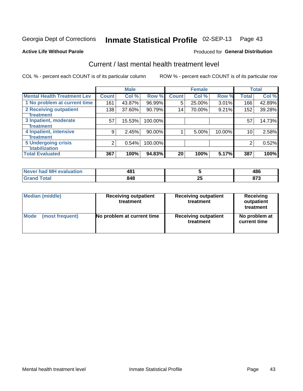#### Inmate Statistical Profile 02-SEP-13 Page 43

### **Active Life Without Parole**

### Produced for General Distribution

# Current / last mental health treatment level

COL % - percent each COUNT is of its particular column

|                                    |              | <b>Male</b> |           |              | <b>Female</b> |        |              | <b>Total</b> |
|------------------------------------|--------------|-------------|-----------|--------------|---------------|--------|--------------|--------------|
| <b>Mental Health Treatment Lev</b> | <b>Count</b> | Col %       | Row %     | <b>Count</b> | Col%          | Row %  | <b>Total</b> | Col %        |
| 1 No problem at current time       | 161          | 43.87%      | 96.99%    | 5            | 25.00%        | 3.01%  | 166          | 42.89%       |
| 2 Receiving outpatient             | 138          | 37.60%      | 90.79%    | 14           | 70.00%        | 9.21%  | 152          | 39.28%       |
| <b>Treatment</b>                   |              |             |           |              |               |        |              |              |
| 3 Inpatient, moderate              | 57           | 15.53%      | 100.00%   |              |               |        | 57           | 14.73%       |
| Treatment                          |              |             |           |              |               |        |              |              |
| 4 Inpatient, intensive             | 9            | 2.45%       | $90.00\%$ |              | 5.00%         | 10.00% | 10           | 2.58%        |
| Treatment                          |              |             |           |              |               |        |              |              |
| <b>5 Undergoing crisis</b>         | 2            | 0.54%       | 100.00%   |              |               |        | 2            | 0.52%        |
| <b>stabilization</b>               |              |             |           |              |               |        |              |              |
| <b>Total Evaluated</b>             | 367          | 100%        | 94.83%    | 20           | 100%          | 5.17%  | 387          | 100%         |

| had MH<br>uation<br>$\triangle$ Va<br><b>INAVAL</b> | 481<br>- ∪<br>$ -$ |     | 10C<br>ruw |
|-----------------------------------------------------|--------------------|-----|------------|
|                                                     | 848                | - - | $- - -$    |
|                                                     | $ -$               | w   | __         |

| Median (middle) | <b>Receiving outpatient</b><br>treatment | <b>Receiving outpatient</b><br>treatment | <b>Receiving</b><br>outpatient<br>treatment |  |  |
|-----------------|------------------------------------------|------------------------------------------|---------------------------------------------|--|--|
| Mode            | No problem at current time               | <b>Receiving outpatient</b>              | No problem at                               |  |  |
| (most frequent) |                                          | treatment                                | current time                                |  |  |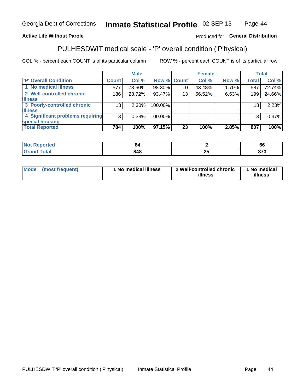#### Inmate Statistical Profile 02-SEP-13 Page 44

## **Active Life Without Parole**

## Produced for General Distribution

# PULHESDWIT medical scale - 'P' overall condition ('P'hysical)

COL % - percent each COUNT is of its particular column

|                                  |                | <b>Male</b> |             |    | <b>Female</b> |       |              | <b>Total</b> |
|----------------------------------|----------------|-------------|-------------|----|---------------|-------|--------------|--------------|
| 'P' Overall Condition            | <b>Count</b>   | Col %       | Row % Count |    | Col %         | Row % | <b>Total</b> | Col %        |
| 1 No medical illness             | 577            | 73.60%      | 98.30%      | 10 | 43.48%        | 1.70% | 587          | 72.74%       |
| 2 Well-controlled chronic        | 186            | 23.72%      | 93.47%      | 13 | 56.52%        | 6.53% | 199          | 24.66%       |
| <b>illness</b>                   |                |             |             |    |               |       |              |              |
| 3 Poorly-controlled chronic      | 18             | $2.30\%$    | 100.00%     |    |               |       | 18           | 2.23%        |
| <b>illness</b>                   |                |             |             |    |               |       |              |              |
| 4 Significant problems requiring | 3 <sup>1</sup> | 0.38%       | 100.00%     |    |               |       | 3            | 0.37%        |
| special housing                  |                |             |             |    |               |       |              |              |
| <b>Total Reported</b>            | 784            | 100%        | 97.15%      | 23 | 100%          | 2.85% | 807          | 100%         |

|        | n   |          | oo       |
|--------|-----|----------|----------|
| ו טנמו | 848 | o.<br>-- | ^7^<br>. |

| Mode | (most frequent) | <sup>1</sup> No medical illness | 2 Well-controlled chronic<br>illness | 1 No medical<br>illness |
|------|-----------------|---------------------------------|--------------------------------------|-------------------------|
|------|-----------------|---------------------------------|--------------------------------------|-------------------------|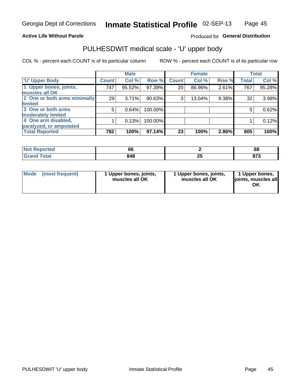## **Active Life Without Parole**

## Produced for General Distribution

# PULHESDWIT medical scale - 'U' upper body

COL % - percent each COUNT is of its particular column

|                              |              | <b>Male</b> |           |              | <b>Female</b> |       |              | <b>Total</b> |
|------------------------------|--------------|-------------|-----------|--------------|---------------|-------|--------------|--------------|
| <b>'U' Upper Body</b>        | <b>Count</b> | Col %       | Row %     | <b>Count</b> | Col %         | Row % | <b>Total</b> | Col %        |
| 1 Upper bones, joints,       | 747          | 95.52%      | 97.39%    | 20           | 86.96%        | 2.61% | 767          | 95.28%       |
| muscles all OK               |              |             |           |              |               |       |              |              |
| 2 One or both arms minimally | 29           | 3.71%       | $90.63\%$ | 3            | 13.04%        | 9.38% | 32           | 3.98%        |
| limited                      |              |             |           |              |               |       |              |              |
| 3 One or both arms           | 5            | 0.64%       | 100.00%   |              |               |       | 5            | 0.62%        |
| <b>moderately limited</b>    |              |             |           |              |               |       |              |              |
| 4 One arm disabled,          |              | 0.13%       | 100.00%   |              |               |       |              | 0.12%        |
| paralyzed, or amputated      |              |             |           |              |               |       |              |              |
| <b>Total Reported</b>        | 782          | 100%        | 97.14%    | 23           | 100%          | 2.86% | 805          | 100%         |

| <b>Not Reported</b>      | oc  |     | r<br>oc        |
|--------------------------|-----|-----|----------------|
| <b>Total</b><br>ا الله ا | 848 | 2 J | $\sim$<br>01 J |

| Mode | (most frequent) | 1 Upper bones, joints,<br>muscles all OK | 1 Upper bones, joints,<br>muscles all OK | 1 Upper bones,<br>ljoints, muscles all<br>OK |
|------|-----------------|------------------------------------------|------------------------------------------|----------------------------------------------|
|------|-----------------|------------------------------------------|------------------------------------------|----------------------------------------------|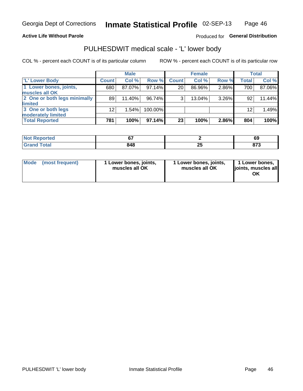## **Active Life Without Parole**

Produced for General Distribution

# PULHESDWIT medical scale - 'L' lower body

COL % - percent each COUNT is of its particular column

|                                             |              | <b>Male</b> |         |                 | <b>Female</b> |          |       | Total  |
|---------------------------------------------|--------------|-------------|---------|-----------------|---------------|----------|-------|--------|
| 'L' Lower Body                              | <b>Count</b> | Col %       | Row %   | <b>Count</b>    | Col %         | Row %    | Total | Col %  |
| 1 Lower bones, joints,<br>muscles all OK    | 680          | 87.07%      | 97.14%  | 20 <sub>1</sub> | 86.96%        | 2.86%    | 700   | 87.06% |
| 2 One or both legs minimally                | 89           | 11.40%      | 96.74%  | 3               | $13.04\%$     | $3.26\%$ | 92    | 11.44% |
| limited<br>3 One or both legs               | 12           | 1.54%       | 100.00% |                 |               |          | 12    | 1.49%  |
| moderately limited<br><b>Total Reported</b> | 781          | 100%        | 97.14%  | 23              | 100%          | 2.86%    | 804   | 100%   |

| тес.                   | $\sim$ $-$<br>$\sim$ |         | r,<br>່ວະ   |
|------------------------|----------------------|---------|-------------|
| $f \wedge f \wedge f'$ | 848                  | --<br>~ | ---<br>01 J |

| <b>Mode</b> | (most frequent) | 1 Lower bones, joints,<br>muscles all OK | l Lower bones, joints,<br>muscles all OK | <b>1 Lower bones,</b><br>joints, muscles all<br>ΟK |
|-------------|-----------------|------------------------------------------|------------------------------------------|----------------------------------------------------|
|-------------|-----------------|------------------------------------------|------------------------------------------|----------------------------------------------------|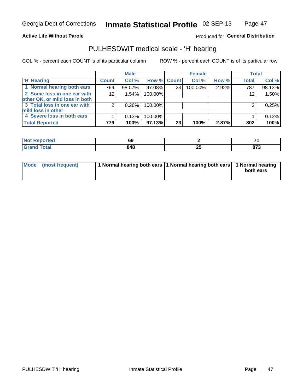## **Active Life Without Parole**

## Produced for General Distribution

# PULHESDWIT medical scale - 'H' hearing

COL % - percent each COUNT is of its particular column

|                                |              | <b>Male</b> |                    |    | <b>Female</b> |       | <b>Total</b> |        |
|--------------------------------|--------------|-------------|--------------------|----|---------------|-------|--------------|--------|
| <b>H' Hearing</b>              | <b>Count</b> | Col %       | <b>Row % Count</b> |    | Col %         | Row % | <b>Total</b> | Col %  |
| 1 Normal hearing both ears     | 764          | 98.07%      | 97.08%             | 23 | 100.00%       | 2.92% | 787          | 98.13% |
| 2 Some loss in one ear with    | 12           | 1.54%       | 100.00%            |    |               |       | 12           | 1.50%  |
| other OK, or mild loss in both |              |             |                    |    |               |       |              |        |
| 3 Total loss in one ear with   | 2            | 0.26%       | 100.00%            |    |               |       | 2            | 0.25%  |
| mild loss in other             |              |             |                    |    |               |       |              |        |
| 4 Severe loss in both ears     |              | 0.13%       | 100.00%            |    |               |       |              | 0.12%  |
| <b>Total Reported</b>          | 779          | 100%        | 97.13%             | 23 | 100%          | 2.87% | 802          | 100%   |

| 'N<br>тео                   | uj |     |                    |
|-----------------------------|----|-----|--------------------|
| $\sim$ $\sim$ $\sim$ $\sim$ | .  | $-$ | 072<br>ט וט<br>- - |

| Mode (most frequent) | 1 Normal hearing both ears 1 Normal hearing both ears 1 Normal hearing | both ears |
|----------------------|------------------------------------------------------------------------|-----------|
|                      |                                                                        |           |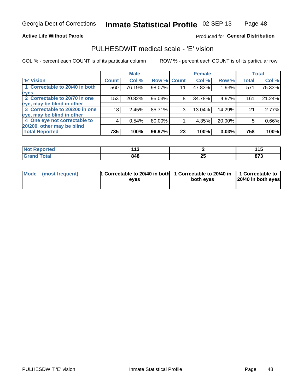## **Active Life Without Parole**

## Produced for General Distribution

## PULHESDWIT medical scale - 'E' vision

COL % - percent each COUNT is of its particular column

|                                |              | <b>Male</b> |             |    | <b>Female</b> |        |              | <b>Total</b> |
|--------------------------------|--------------|-------------|-------------|----|---------------|--------|--------------|--------------|
| <b>E' Vision</b>               | <b>Count</b> | Col %       | Row % Count |    | Col %         | Row %  | <b>Total</b> | Col %        |
| 1 Correctable to 20/40 in both | 560          | 76.19%      | 98.07%      | 11 | 47.83%        | 1.93%  | 571          | 75.33%       |
| eyes                           |              |             |             |    |               |        |              |              |
| 2 Correctable to 20/70 in one  | 153          | 20.82%      | 95.03%      | 8  | 34.78%        | 4.97%  | 161          | 21.24%       |
| eye, may be blind in other     |              |             |             |    |               |        |              |              |
| 3 Correctable to 20/200 in one | 18           | 2.45%       | 85.71%      | 3  | 13.04%        | 14.29% | 21           | 2.77%        |
| eye, may be blind in other     |              |             |             |    |               |        |              |              |
| 4 One eye not correctable to   | 4            | 0.54%       | 80.00%      |    | 4.35%         | 20.00% | 5            | 0.66%        |
| 20/200, other may be blind     |              |             |             |    |               |        |              |              |
| <b>Total Reported</b>          | 735          | 100%        | 96.97%      | 23 | 100%          | 3.03%  | 758          | 100%         |

| <b>Not Reported</b><br>$\sim$ | .<br>44<br>. |         | 4 A<br>.      |
|-------------------------------|--------------|---------|---------------|
| Total                         | 848          | ሳሪ<br>∼ | 0.75<br>o 1 J |

| Mode (most frequent) | <sup>1</sup> Correctable to 20/40 in both 1 Correctable to 20/40 in 1 Correctable to<br>eves | both eyes | 20/40 in both eyes |  |
|----------------------|----------------------------------------------------------------------------------------------|-----------|--------------------|--|
|                      |                                                                                              |           |                    |  |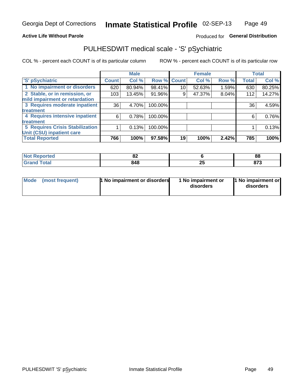## **Active Life Without Parole**

## Produced for General Distribution

# PULHESDWIT medical scale - 'S' pSychiatric

COL % - percent each COUNT is of its particular column

|                                                                 |              | <b>Male</b> |                    |                 | <b>Female</b> |       |              | <b>Total</b> |
|-----------------------------------------------------------------|--------------|-------------|--------------------|-----------------|---------------|-------|--------------|--------------|
| 'S' pSychiatric                                                 | <b>Count</b> | Col %       | <b>Row % Count</b> |                 | Col %         | Row % | <b>Total</b> | Col %        |
| 1 No impairment or disorders                                    | 620          | 80.94%      | 98.41%             | 10 <sup>°</sup> | 52.63%        | 1.59% | 630          | 80.25%       |
| 2 Stable, or in remission, or<br>mild impairment or retardation | 103          | 13.45%      | 91.96%             | 9               | 47.37%        | 8.04% | 112          | 14.27%       |
| 3 Requires moderate inpatient                                   | 36           | 4.70%       | 100.00%            |                 |               |       | 36           | 4.59%        |
| treatment                                                       |              |             |                    |                 |               |       |              |              |
| 4 Requires intensive inpatient                                  | 6            | 0.78%       | 100.00%            |                 |               |       | 6            | 0.76%        |
| treatment                                                       |              |             |                    |                 |               |       |              |              |
| <b>5 Requires Crisis Stabilization</b>                          |              | 0.13%       | 100.00%            |                 |               |       |              | 0.13%        |
| Unit (CSU) inpatient care                                       |              |             |                    |                 |               |       |              |              |
| <b>Total Reported</b>                                           | 766          | 100%        | 97.58%             | 19              | 100%          | 2.42% | 785          | 100%         |

| <b>Experied</b><br>NO<br>Rebor | . .<br>0Z |   | 88          |
|--------------------------------|-----------|---|-------------|
| <b>Total</b>                   | 848       | ∼ | 079<br>০। এ |

| Mode | (most frequent) | 1 No impairment or disorders | 1 No impairment or<br>disorders | 1 No impairment or<br>disorders |
|------|-----------------|------------------------------|---------------------------------|---------------------------------|
|------|-----------------|------------------------------|---------------------------------|---------------------------------|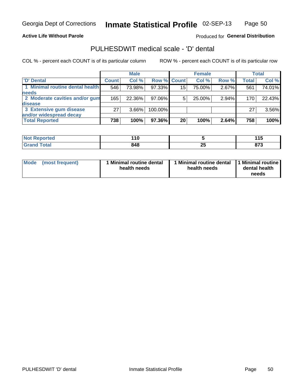## **Active Life Without Parole**

Produced for General Distribution

# PULHESDWIT medical scale - 'D' dental

COL % - percent each COUNT is of its particular column

|                                 |              | <b>Male</b> |         |             | <b>Female</b> |       |                  | Total  |
|---------------------------------|--------------|-------------|---------|-------------|---------------|-------|------------------|--------|
| 'D' Dental                      | <b>Count</b> | Col %       |         | Row % Count | Col %         | Row % | <b>Total</b>     | Col %  |
| 1 Minimal routine dental health | 546          | 73.98%      | 97.33%  | 15          | 75.00%        | 2.67% | 561              | 74.01% |
| <b>needs</b>                    |              |             |         |             |               |       |                  |        |
| 2 Moderate cavities and/or gum  | 165          | 22.36%      | 97.06%  | 5           | 25.00%        | 2.94% | 170 <sub>1</sub> | 22.43% |
| disease                         |              |             |         |             |               |       |                  |        |
| 3 Extensive gum disease         | 27           | $3.66\%$    | 100.00% |             |               |       | 27               | 3.56%  |
| and/or widespread decay         |              |             |         |             |               |       |                  |        |
| <b>Total Reported</b>           | 738          | 100%        | 97.36%  | 20          | 100%          | 2.64% | 758              | 100%   |

| <b>NOT Reported</b> | -445 |         | .            |
|---------------------|------|---------|--------------|
|                     | . .  |         | .            |
| <b>Total</b>        | 848  | ሳር<br>~ | ---<br>0 I J |

| Mode<br>(most frequent) | Minimal routine dental<br>health needs | <b>Minimal routine dental</b><br>health needs | 1 Minimal routine<br>dental health<br>needs |
|-------------------------|----------------------------------------|-----------------------------------------------|---------------------------------------------|
|-------------------------|----------------------------------------|-----------------------------------------------|---------------------------------------------|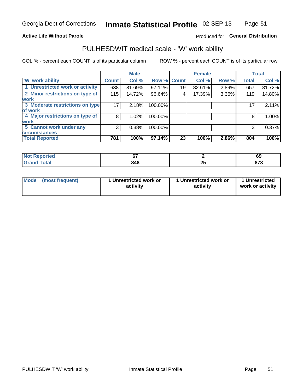## **Active Life Without Parole**

## Produced for General Distribution

# PULHESDWIT medical scale - 'W' work ability

COL % - percent each COUNT is of its particular column

|                                 |              | <b>Male</b> |         |             | <b>Female</b> |       |              | <b>Total</b> |
|---------------------------------|--------------|-------------|---------|-------------|---------------|-------|--------------|--------------|
| <b>W' work ability</b>          | <b>Count</b> | Col %       |         | Row % Count | Col %         | Row % | <b>Total</b> | Col %        |
| 1 Unrestricted work or activity | 638          | 81.69%      | 97.11%  | 19          | 82.61%        | 2.89% | 657          | 81.72%       |
| 2 Minor restrictions on type of | 115          | 14.72%      | 96.64%  | 4           | 17.39%        | 3.36% | 119          | 14.80%       |
| <b>work</b>                     |              |             |         |             |               |       |              |              |
| 3 Moderate restrictions on type | 17           | 2.18%       | 100.00% |             |               |       | 17           | 2.11%        |
| lof work                        |              |             |         |             |               |       |              |              |
| 4 Major restrictions on type of | 8            | $1.02\%$    | 100.00% |             |               |       | 8            | 1.00%        |
| <b>work</b>                     |              |             |         |             |               |       |              |              |
| 5 Cannot work under any         | 3            | 0.38%       | 100.00% |             |               |       | 3            | 0.37%        |
| <b>circumstances</b>            |              |             |         |             |               |       |              |              |
| <b>Total Reported</b>           | 781          | 100%        | 97.14%  | 23          | 100%          | 2.86% | 804          | 100%         |

| <b>Not Reported</b>                    | ~-  |                | c1<br>o,      |
|----------------------------------------|-----|----------------|---------------|
| <b>Total</b><br><b>Cron</b><br>Grand l | 848 | ОE<br><u>_</u> | 0.75<br>o 1 J |

| <b>Mode</b>     | 1 Unrestricted work or | 1 Unrestricted work or | 1 Unrestricted   |
|-----------------|------------------------|------------------------|------------------|
| (most frequent) | activity               | activity               | work or activity |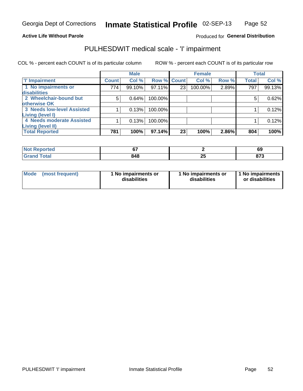## **Active Life Without Parole**

## Produced for General Distribution

# PULHESDWIT medical scale - 'I' impairment

|                            |              | <b>Male</b> |             |    | <b>Female</b> |       |              | <b>Total</b> |
|----------------------------|--------------|-------------|-------------|----|---------------|-------|--------------|--------------|
| <b>T' Impairment</b>       | <b>Count</b> | Col %       | Row % Count |    | Col %         | Row % | <b>Total</b> | Col %        |
| 1 No impairments or        | 774          | 99.10%      | 97.11%      | 23 | 100.00%       | 2.89% | 797          | 99.13%       |
| disabilities               |              |             |             |    |               |       |              |              |
| 2 Wheelchair-bound but     | 5            | 0.64%       | 100.00%     |    |               |       | 5            | 0.62%        |
| otherwise OK               |              |             |             |    |               |       |              |              |
| 3 Needs low-level Assisted |              | 0.13%       | 100.00%     |    |               |       |              | 0.12%        |
| Living (level I)           |              |             |             |    |               |       |              |              |
| 4 Needs moderate Assisted  |              | 0.13%       | 100.00%     |    |               |       |              | 0.12%        |
| <b>Living (level II)</b>   |              |             |             |    |               |       |              |              |
| <b>Total Reported</b>      | 781          | 100%        | 97.14%      | 23 | 100%          | 2.86% | 804          | 100%         |

| orted        | $\sim$ |    | r.          |
|--------------|--------|----|-------------|
| N            | ÷.     |    | 0A          |
| <b>Total</b> | 848    | ∠J | $\sim$<br>o |

| Mode | (most frequent) | 1 No impairments or<br>disabilities | 1 No impairments or<br>disabilities | 1 No impairments  <br>or disabilities |
|------|-----------------|-------------------------------------|-------------------------------------|---------------------------------------|
|------|-----------------|-------------------------------------|-------------------------------------|---------------------------------------|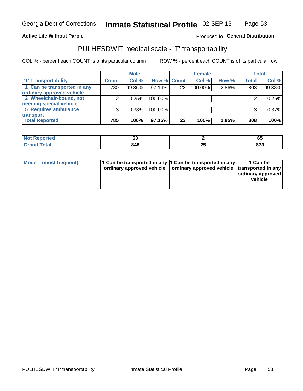## **Active Life Without Parole**

## Produced fo General Distribution

# PULHESDWIT medical scale - 'T' transportability

COL % - percent each COUNT is of its particular column

|                             |              | <b>Male</b> |             |    | <b>Female</b> |       |              | <b>Total</b> |
|-----------------------------|--------------|-------------|-------------|----|---------------|-------|--------------|--------------|
| <b>T' Transportability</b>  | <b>Count</b> | Col%        | Row % Count |    | Col %         | Row % | <b>Total</b> | Col %        |
| 1 Can be transported in any | 780          | 99.36%      | 97.14%      | 23 | 100.00%       | 2.86% | 803          | 99.38%       |
| ordinary approved vehicle   |              |             |             |    |               |       |              |              |
| 2 Wheelchair-bound, not     |              | 0.25%       | 100.00%     |    |               |       |              | 0.25%        |
| needing special vehicle     |              |             |             |    |               |       |              |              |
| 5 Requires ambulance        |              | 0.38%       | 100.00%     |    |               |       |              | 0.37%        |
| transport                   |              |             |             |    |               |       |              |              |
| <b>Total Reported</b>       | 785          | 100%        | 97.15%      | 23 | 100%          | 2.85% | 808          | 100%         |

| Reported    | ~~<br>ບປ |          | --<br>ບບ    |
|-------------|----------|----------|-------------|
| <b>otal</b> | 848      | ZJ<br>__ | ~~~<br>০। ৩ |

| Mode (most frequent) | 1 Can be transported in any 1 Can be transported in any | ordinary approved vehicle   ordinary approved vehicle   transported in any | 1 Can be<br>ordinary approved<br>vehicle |
|----------------------|---------------------------------------------------------|----------------------------------------------------------------------------|------------------------------------------|
|                      |                                                         |                                                                            |                                          |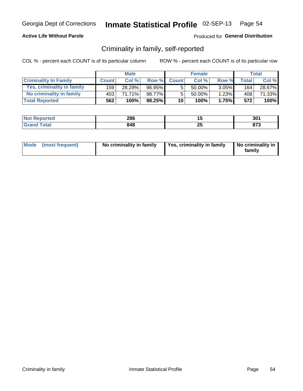## **Active Life Without Parole**

## Produced for General Distribution

## Criminality in family, self-reported

COL % - percent each COUNT is of its particular column

|                              |              | <b>Male</b> |           |                 | <b>Female</b> |          |       | Total  |
|------------------------------|--------------|-------------|-----------|-----------------|---------------|----------|-------|--------|
| <b>Criminality In Family</b> | <b>Count</b> | Col %       | Row %     | <b>Count</b>    | Col %         | Row %    | Total | Col %  |
| Yes, criminality in family   | 159          | 28.29%      | 96.95%    | 5               | 50.00%        | $3.05\%$ | 164   | 28.67% |
| No criminality in family     | 403          | 71.71%      | 98.77%    | 5               | $50.00\%$     | 1.23%    | 408   | 71.33% |
| <b>Total Reported</b>        | 562          | 100%        | $98.25\%$ | 10 <sub>1</sub> | $100\%$       | 1.75%    | 572   | 100%   |

| <b>Not Reported</b> | 286 |   | 301                 |
|---------------------|-----|---|---------------------|
| <b>Total</b>        | 848 | ∼ | <b>070</b><br>0 I J |

|  | Mode (most frequent) | No criminality in family | Yes, criminality in family | No criminality in<br>family |
|--|----------------------|--------------------------|----------------------------|-----------------------------|
|--|----------------------|--------------------------|----------------------------|-----------------------------|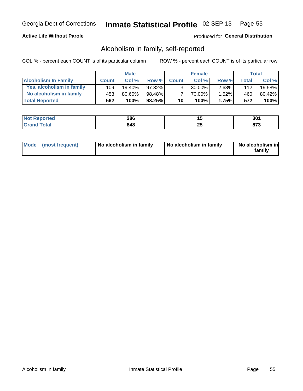## **Active Life Without Parole**

## Produced for General Distribution

## Alcoholism in family, self-reported

COL % - percent each COUNT is of its particular column

|                             |              | <b>Male</b> |           |                 | <b>Female</b> |       |       | Total  |
|-----------------------------|--------------|-------------|-----------|-----------------|---------------|-------|-------|--------|
| <b>Alcoholism In Family</b> | <b>Count</b> | Col %       | Row %     | <b>Count</b>    | Col %         | Row % | Total | Col %  |
| Yes, alcoholism in family   | 109          | 19.40%      | $97.32\%$ | $\mathcal{R}$   | $30.00\%$     | 2.68% | 112   | 19.58% |
| No alcoholism in family     | 453          | 80.60%      | 98.48%    |                 | 70.00%        | 1.52% | 460   | 80.42% |
| <b>Total Reported</b>       | 562          | 100%        | $98.25\%$ | 10 <sup>1</sup> | 100%          | 1.75% | 572   | 100%   |

| <b>Not Reported</b>             | 286 | . . | ٦Λ٠<br>JV. |
|---------------------------------|-----|-----|------------|
| <b>Total</b><br><b>ˈGrand ì</b> | 848 | --  | ~-~<br>.   |

|  | Mode (most frequent) | No alcoholism in family | No alcoholism in family | No alcoholism in<br>family |
|--|----------------------|-------------------------|-------------------------|----------------------------|
|--|----------------------|-------------------------|-------------------------|----------------------------|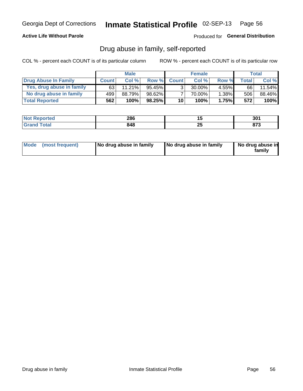## **Active Life Without Parole**

## Produced for General Distribution

## Drug abuse in family, self-reported

COL % - percent each COUNT is of its particular column

|                           |              | <b>Male</b> |           |                 | <b>Female</b> |          |        | <b>Total</b> |
|---------------------------|--------------|-------------|-----------|-----------------|---------------|----------|--------|--------------|
| Drug Abuse In Family      | <b>Count</b> | Col%        | Row %     | <b>Count</b>    | Col%          | Row %    | Total. | Col %        |
| Yes, drug abuse in family | 63           | 11.21%      | $95.45\%$ | 3 <sub>1</sub>  | $30.00\%$     | $4.55\%$ | 66 I   | 11.54%       |
| No drug abuse in family   | 499          | 88.79%      | 98.62%    |                 | 70.00%        | 1.38%    | 506    | 88.46%       |
| <b>Total Reported</b>     | 562          | 100%        | $98.25\%$ | 10 <sup>1</sup> | $100\%$       | 1.75%    | 572    | 100%         |

| <b>Not Reported</b>             | 286 | . . | ٦Λ٠<br>JV. |
|---------------------------------|-----|-----|------------|
| <b>Total</b><br><b>ˈGrand ì</b> | 848 | --  | ~-~<br>.   |

|  | Mode (most frequent) | No drug abuse in family | No drug abuse in family | No drug abuse in<br>family |
|--|----------------------|-------------------------|-------------------------|----------------------------|
|--|----------------------|-------------------------|-------------------------|----------------------------|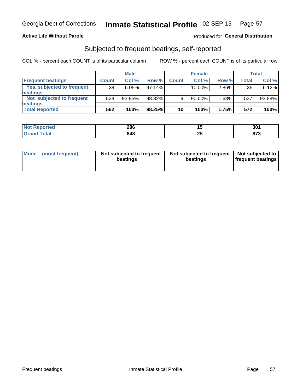## **Active Life Without Parole**

## Produced for General Distribution

## Subjected to frequent beatings, self-reported

COL % - percent each COUNT is of its particular column

|                                   |              | <b>Male</b> |           |              | <b>Female</b> |       |       | Total  |
|-----------------------------------|--------------|-------------|-----------|--------------|---------------|-------|-------|--------|
| <b>Frequent beatings</b>          | <b>Count</b> | Col %       | Row %     | <b>Count</b> | Col %         | Row % | Total | Col %  |
| <b>Yes, subjected to frequent</b> | 34           | 6.05%       | 97.14%    |              | 10.00%        | 2.86% | 35    | 6.12%  |
| <b>beatings</b>                   |              |             |           |              |               |       |       |        |
| Not subjected to frequent         | 528          | 93.95%      | 98.32%    | 9            | 90.00%        | 1.68% | 537   | 93.88% |
| <b>beatings</b>                   |              |             |           |              |               |       |       |        |
| <b>Total Reported</b>             | 562          | 100%        | $98.25\%$ | 10           | 100%          | 1.75% | 572   | 100%   |

| <b>Not Reported</b> | 286 |          | 301         |
|---------------------|-----|----------|-------------|
| Total               | 848 | つら<br>20 | 072<br>01 J |

| Mode (most frequent) | Not subjected to frequent<br>beatings | Not subjected to frequent<br>beatings | Not subjected to<br><b>frequent beatings</b> |
|----------------------|---------------------------------------|---------------------------------------|----------------------------------------------|
|                      |                                       |                                       |                                              |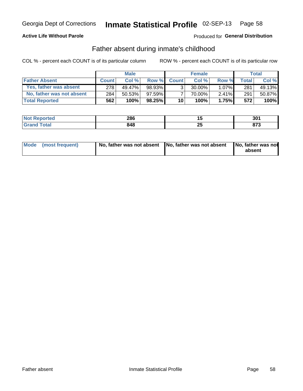## **Active Life Without Parole**

## **Produced for General Distribution**

## Father absent during inmate's childhood

COL % - percent each COUNT is of its particular column

|                           |              | <b>Male</b> |           |                 | <b>Female</b> |          |       | Total  |
|---------------------------|--------------|-------------|-----------|-----------------|---------------|----------|-------|--------|
| <b>Father Absent</b>      | <b>Count</b> | Col%        | Row %     | <b>Count</b>    | Col %         | Row %    | Total | Col %  |
| Yes, father was absent    | 278          | 49.47%      | 98.93%    | 3 <sub>1</sub>  | $30.00\%$     | $1.07\%$ | 281   | 49.13% |
| No, father was not absent | 284          | 50.53%      | 97.59%    |                 | 70.00%        | $2.41\%$ | 291   | 50.87% |
| <b>Total Reported</b>     | 562          | 100%        | $98.25\%$ | 10 <sup>1</sup> | 100%          | 1.75%    | 572   | 100%   |

| <b>Not Reported</b>    | 286 | w             | 301         |
|------------------------|-----|---------------|-------------|
| <b>Total</b><br>'Grand | 848 | --<br>"<br>__ | 079<br>০। ৩ |

|  | Mode (most frequent) | No, father was not absent No, father was not absent |  | No, father was not<br>absent |
|--|----------------------|-----------------------------------------------------|--|------------------------------|
|--|----------------------|-----------------------------------------------------|--|------------------------------|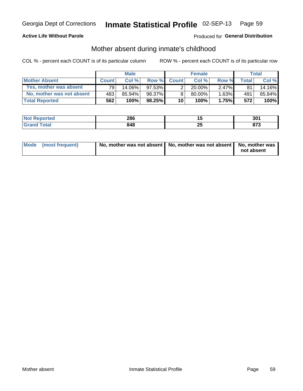## **Active Life Without Parole**

## **Produced for General Distribution**

## Mother absent during inmate's childhood

COL % - percent each COUNT is of its particular column

|                           |              | <b>Male</b> |           |                       | <b>Female</b> |          |       | Total  |
|---------------------------|--------------|-------------|-----------|-----------------------|---------------|----------|-------|--------|
| <b>Mother Absent</b>      | <b>Count</b> | Col%        | Row %     | <b>Count</b>          | Col%          | Row %    | Total | Col %  |
| Yes, mother was absent    | 791          | 14.06%      | $97.53\%$ | $\mathbf{2}^{\prime}$ | $20.00\%$     | $2.47\%$ | 81    | 14.16% |
| No, mother was not absent | 4831         | 85.94%      | 98.37%    | 8                     | $80.00\%$     | $1.63\%$ | 491   | 85.84% |
| <b>Total Reported</b>     | 562          | 100%        | $98.25\%$ | 10                    | 100%          | 1.75%    | 572   | 100%   |

| <b>Not Reported</b> | 286 |   | 301                 |
|---------------------|-----|---|---------------------|
| <b>Total</b>        | 848 | ∼ | <b>070</b><br>0 I J |

| Mode (most frequent) | No, mother was not absent   No, mother was not absent   No, mother was | not absent |
|----------------------|------------------------------------------------------------------------|------------|
|----------------------|------------------------------------------------------------------------|------------|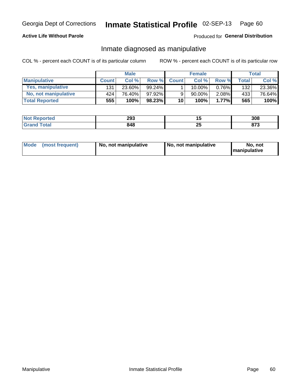## **Active Life Without Parole**

## Produced for General Distribution

## Inmate diagnosed as manipulative

COL % - percent each COUNT is of its particular column

|                       |              | <b>Male</b> |        |              | <b>Female</b> |          |       | Total  |
|-----------------------|--------------|-------------|--------|--------------|---------------|----------|-------|--------|
| <b>Manipulative</b>   | <b>Count</b> | Col %       | Row %  | <b>Count</b> | Col %         | Row %    | Total | Col %  |
| Yes, manipulative     | 131          | 23.60%      | 99.24% |              | 10.00%        | $0.76\%$ | 132   | 23.36% |
| No, not manipulative  | 424          | 76.40%      | 97.92% | 9            | $90.00\%$     | $2.08\%$ | 433   | 76.64% |
| <b>Total Reported</b> | 555          | 100%        | 98.23% | 10           | 100%          | $1.77\%$ | 565   | 100%   |

| <b>Not</b><br><b>Reported</b> | 293                | . .              | 308 |
|-------------------------------|--------------------|------------------|-----|
| <b>ota</b><br>l Gran          | <b>010</b><br>04 O | - -<br>2.<br>$-$ | 079 |

|  | Mode (most frequent) | No, not manipulative | No, not manipulative | No. not<br><b>I</b> manipulative |
|--|----------------------|----------------------|----------------------|----------------------------------|
|--|----------------------|----------------------|----------------------|----------------------------------|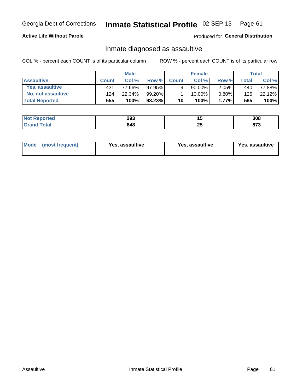# Inmate Statistical Profile 02-SEP-13 Page 61

## **Active Life Without Parole**

Produced for General Distribution

## Inmate diagnosed as assaultive

COL % - percent each COUNT is of its particular column

|                       |              | <b>Male</b> |         |              | <b>Female</b> |          |       | Total           |
|-----------------------|--------------|-------------|---------|--------------|---------------|----------|-------|-----------------|
| <b>Assaultive</b>     | <b>Count</b> | Col%        | Row %   | <b>Count</b> | Col%          | Row %    | Total | Col %           |
| Yes, assaultive       | 431          | 77.66%      | 97.95%  | 9            | 90.00%        | $2.05\%$ | 440   | 77.88% <b>I</b> |
| No, not assaultive    | 124          | 22.34%      | 99.20%1 |              | 10.00%        | $0.80\%$ | 125   | 22.12%          |
| <b>Total Reported</b> | 555          | 100%        | 98.23%  | 10           | 100%          | $1.77\%$ | 565   | 100%            |

| <b>Not</b><br>Reported | 293 | 1 J      | າດດ<br>ასბ  |
|------------------------|-----|----------|-------------|
| <b>otal</b>            | 848 | ^г<br>ΔJ | ~-~<br>01 J |

| Mode (most frequent)<br>Yes, assaultive | Yes, assaultive | <b>Yes, assaultive</b> |
|-----------------------------------------|-----------------|------------------------|
|-----------------------------------------|-----------------|------------------------|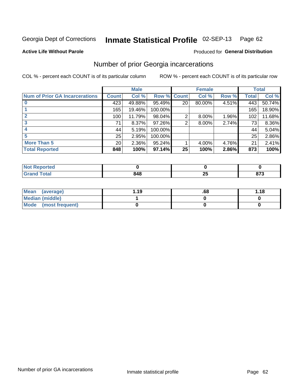#### Inmate Statistical Profile 02-SEP-13 Page 62

### **Active Life Without Parole**

### Produced for General Distribution

## Number of prior Georgia incarcerations

COL % - percent each COUNT is of its particular column

|                                       |                 | <b>Male</b> |                    |    | <b>Female</b> |       |       | <b>Total</b> |
|---------------------------------------|-----------------|-------------|--------------------|----|---------------|-------|-------|--------------|
| <b>Num of Prior GA Incarcerations</b> | <b>Count</b>    | Col %       | <b>Row % Count</b> |    | Col %         | Row % | Total | Col %        |
|                                       | 423             | 49.88%      | 95.49%             | 20 | 80.00%        | 4.51% | 443   | 50.74%       |
|                                       | 165             | 19.46%      | 100.00%            |    |               |       | 165   | 18.90%       |
|                                       | 100             | 11.79%      | 98.04%             | 2  | 8.00%         | 1.96% | 102   | 11.68%       |
| 3                                     | 71              | 8.37%       | 97.26%             | 2  | 8.00%         | 2.74% | 73    | 8.36%        |
|                                       | 44              | 5.19%       | 100.00%            |    |               |       | 44    | 5.04%        |
|                                       | 25              | 2.95%       | 100.00%            |    |               |       | 25    | 2.86%        |
| <b>More Than 5</b>                    | 20 <sup>°</sup> | 2.36%       | 95.24%             |    | 4.00%         | 4.76% | 21    | 2.41%        |
| <b>Total Reported</b>                 | 848             | 100%        | 97.14%             | 25 | 100%          | 2.86% | 873   | 100%         |

| A (÷IO) |         |                          |             |
|---------|---------|--------------------------|-------------|
|         | <br>74C | $\overline{\phantom{a}}$ | היה<br>JI J |

| Mean (average)       | 1.19 | .68 | 1.18 |
|----------------------|------|-----|------|
| Median (middle)      |      |     |      |
| Mode (most frequent) |      |     |      |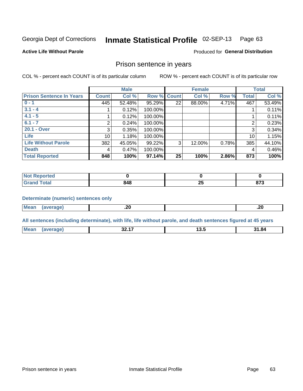#### Inmate Statistical Profile 02-SEP-13 Page 63

**Active Life Without Parole** 

Produced for General Distribution

## Prison sentence in years

COL % - percent each COUNT is of its particular column

ROW % - percent each COUNT is of its particular row

|                                 |              | <b>Male</b> |         |              | <b>Female</b> |       |                 | <b>Total</b> |
|---------------------------------|--------------|-------------|---------|--------------|---------------|-------|-----------------|--------------|
| <b>Prison Sentence In Years</b> | <b>Count</b> | Col %       | Row %   | <b>Count</b> | Col %         | Row % | <b>Total</b>    | Col %        |
| $0 - 1$                         | 445          | 52.48%      | 95.29%  | 22           | 88.00%        | 4.71% | 467             | 53.49%       |
| $3.1 - 4$                       |              | 0.12%       | 100.00% |              |               |       |                 | 0.11%        |
| $4.1 - 5$                       |              | 0.12%       | 100.00% |              |               |       |                 | 0.11%        |
| $6.1 - 7$                       | 2            | 0.24%       | 100.00% |              |               |       | $\overline{2}$  | 0.23%        |
| 20.1 - Over                     | 3            | 0.35%       | 100.00% |              |               |       | 3               | 0.34%        |
| <b>Life</b>                     | 10           | 1.18%       | 100.00% |              |               |       | 10 <sup>1</sup> | 1.15%        |
| <b>Life Without Parole</b>      | 382          | 45.05%      | 99.22%  | 3            | 12.00%        | 0.78% | 385             | 44.10%       |
| <b>Death</b>                    | 4            | 0.47%       | 100.00% |              |               |       | 4               | 0.46%        |
| <b>Total Reported</b>           | 848          | 100%        | 97.14%  | 25           | 100%          | 2.86% | 873             | 100%         |

| <b>Not</b><br>Reported |     |              |              |
|------------------------|-----|--------------|--------------|
| <b>Total</b>           | 848 | --<br>$\sim$ | 070<br>০ ৷ ১ |

### **Determinate (numeric) sentences only**

| $\mathbf{r}$<br>Me:<br>. . |  |       |      |
|----------------------------|--|-------|------|
| __                         |  | $- -$ | $-1$ |

All sentences (including determinate), with life, life without parole, and death sentences figured at 45 years

| Mean<br>$\cdots$ | "ane. | $\cdots$<br>JZ | ט טו | 1.84<br>94<br>____ |
|------------------|-------|----------------|------|--------------------|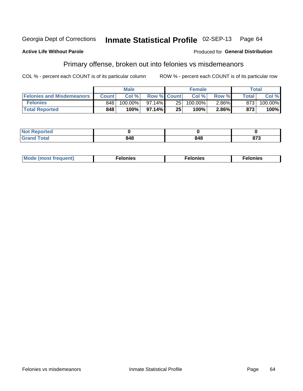#### Inmate Statistical Profile 02-SEP-13 Georgia Dept of Corrections Page 64

### **Active Life Without Parole**

## **Produced for General Distribution**

## Primary offense, broken out into felonies vs misdemeanors

COL % - percent each COUNT is of its particular column

|                                  |              | <b>Male</b> |                    |     | <b>Female</b> |          |                    | Total   |
|----------------------------------|--------------|-------------|--------------------|-----|---------------|----------|--------------------|---------|
| <b>Felonies and Misdemeanors</b> | <b>Count</b> | Col%        | <b>Row % Count</b> |     | Col%          | Row %    | Total <sub>1</sub> | Col %   |
| <b>Felonies</b>                  | 848          | 100.00%     | 97.14%             | 251 | 100.00%       | $2.86\%$ | 873                | 100.00% |
| <b>Total Reported</b>            | 848          | $100\%$     | 97.14%             | 25  | 100%          | 2.86%    | 873                | 100%    |

| <b>Not Reported</b>          |                      |     |     |
|------------------------------|----------------------|-----|-----|
| <b>Total</b><br>Grand<br>ישי | <b>010</b><br>- טויי | 848 | 873 |

| <b>Mode</b><br>frequent)<br>nies<br>≧ (most tr.<br>. | onies<br>. | lonies<br>енл<br>____ |
|------------------------------------------------------|------------|-----------------------|
|------------------------------------------------------|------------|-----------------------|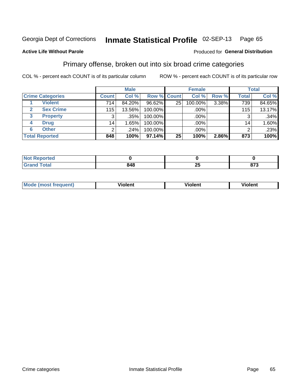#### Inmate Statistical Profile 02-SEP-13 Page 65

## **Active Life Without Parole**

### Produced for General Distribution

## Primary offense, broken out into six broad crime categories

COL % - percent each COUNT is of its particular column

|                         |                 | <b>Male</b> |             |    | <b>Female</b> |       |              | <b>Total</b> |
|-------------------------|-----------------|-------------|-------------|----|---------------|-------|--------------|--------------|
| <b>Crime Categories</b> | <b>Count</b>    | Col %       | Row % Count |    | Col %         | Row % | <b>Total</b> | Col %        |
| <b>Violent</b>          | 714             | 84.20%      | 96.62%      | 25 | 100.00%       | 3.38% | 739          | 84.65%       |
| <b>Sex Crime</b>        | 115             | 13.56%      | 100.00%     |    | .00%          |       | 115          | 13.17%       |
| 3<br><b>Property</b>    | 3               | .35%        | 100.00%     |    | .00%          |       |              | .34%         |
| <b>Drug</b><br>4        | 14 <sub>1</sub> | 1.65%       | 100.00%     |    | .00%          |       | 14.          | 1.60%        |
| <b>Other</b><br>6       | 2               | .24%        | 100.00%     |    | $.00\%$       |       |              | .23%         |
| <b>Total Reported</b>   | 848             | 100%        | 97.14%      | 25 | 100%          | 2.86% | 873          | 100%         |

| <b>Not Reported</b> |     |                          |              |
|---------------------|-----|--------------------------|--------------|
| <b>Total</b>        | 848 | $\mathbf{f}$<br><u>_</u> | 072<br>0 I J |

| М |   | - -- - |         |
|---|---|--------|---------|
|   | ш | וחי    | 1.91311 |
|   |   |        |         |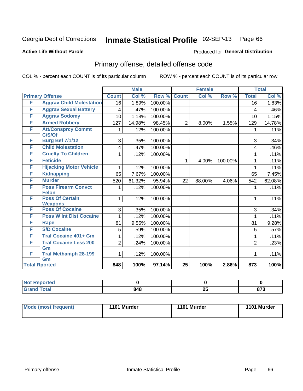#### Inmate Statistical Profile 02-SEP-13 Page 66

## **Active Life Without Parole**

### Produced for General Distribution

# Primary offense, detailed offense code

COL % - percent each COUNT is of its particular column

|   |                                            |                | <b>Male</b> |         |                 | <b>Female</b> |         |                         | <b>Total</b> |
|---|--------------------------------------------|----------------|-------------|---------|-----------------|---------------|---------|-------------------------|--------------|
|   | <b>Primary Offense</b>                     | <b>Count</b>   | Col %       | Row %   | <b>Count</b>    | Col %         | Row %   | <b>Total</b>            | Col %        |
| F | <b>Aggrav Child Molestation</b>            | 16             | 1.89%       | 100.00% |                 |               |         | $\overline{16}$         | 1.83%        |
| F | <b>Aggrav Sexual Battery</b>               | 4              | .47%        | 100.00% |                 |               |         | $\overline{\mathbf{4}}$ | .46%         |
| F | <b>Aggrav Sodomy</b>                       | 10             | 1.18%       | 100.00% |                 |               |         | 10                      | 1.15%        |
| F | <b>Armed Robbery</b>                       | 127            | 14.98%      | 98.45%  | $\overline{2}$  | 8.00%         | 1.55%   | 129                     | 14.78%       |
| F | <b>Att/Consprcy Commt</b><br>C/S/Of        | 1              | .12%        | 100.00% |                 |               |         | 1                       | .11%         |
| F | <b>Burg Bef 7/1/12</b>                     | 3              | .35%        | 100.00% |                 |               |         | 3                       | .34%         |
| F | <b>Child Molestation</b>                   | 4              | .47%        | 100.00% |                 |               |         | 4                       | .46%         |
| F | <b>Cruelty To Children</b>                 | 1              | .12%        | 100.00% |                 |               |         | 1                       | .11%         |
| F | <b>Feticide</b>                            |                |             |         | 1               | 4.00%         | 100.00% | 1                       | .11%         |
| F | <b>Hijacking Motor Vehicle</b>             | 1              | .12%        | 100.00% |                 |               |         | 1                       | .11%         |
| F | <b>Kidnapping</b>                          | 65             | 7.67%       | 100.00% |                 |               |         | 65                      | 7.45%        |
| F | <b>Murder</b>                              | 520            | 61.32%      | 95.94%  | 22              | 88.00%        | 4.06%   | 542                     | 62.08%       |
| F | <b>Poss Firearm Convct</b><br><b>Felon</b> |                | .12%        | 100.00% |                 |               |         | 1                       | .11%         |
| F | <b>Poss Of Certain</b><br><b>Weapons</b>   | 1              | .12%        | 100.00% |                 |               |         | 1                       | .11%         |
| F | <b>Poss Of Cocaine</b>                     | 3              | .35%        | 100.00% |                 |               |         | 3                       | .34%         |
| F | <b>Poss W Int Dist Cocaine</b>             |                | .12%        | 100.00% |                 |               |         | 1                       | .11%         |
| F | <b>Rape</b>                                | 81             | 9.55%       | 100.00% |                 |               |         | 81                      | 9.28%        |
| F | <b>S/D Cocaine</b>                         | 5              | .59%        | 100.00% |                 |               |         | 5                       | .57%         |
| F | <b>Traf Cocaine 401+ Gm</b>                |                | .12%        | 100.00% |                 |               |         | 1                       | .11%         |
| F | <b>Traf Cocaine Less 200</b><br>Gm         | $\overline{2}$ | .24%        | 100.00% |                 |               |         | $\overline{2}$          | .23%         |
| F | <b>Traf Methamph 28-199</b><br>Gm          | 1              | .12%        | 100.00% |                 |               |         | 1                       | .11%         |
|   | <b>Total Rported</b>                       | 848            | 100%        | 97.14%  | $\overline{25}$ | 100%          | 2.86%   | 873                     | 100%         |

| oorted<br>- IN 4 |     |          |          |
|------------------|-----|----------|----------|
| <b>otal</b>      | 848 | OF.<br>w | ~-~<br>. |

| <b>Mode (most frequent)</b> | 1101 Murder | 1101 Murder | 1101 Murder |
|-----------------------------|-------------|-------------|-------------|
|                             |             |             |             |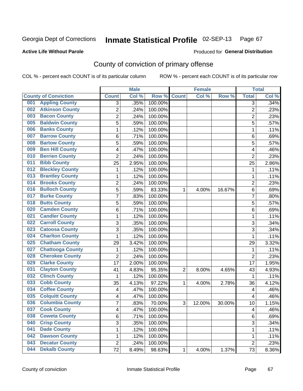## **Active Life Without Parole**

### Produced for **General Distribution**

# County of conviction of primary offense

|                                |                | <b>Male</b> |                  |                | <b>Female</b> |        |                | <b>Total</b> |
|--------------------------------|----------------|-------------|------------------|----------------|---------------|--------|----------------|--------------|
| <b>County of Conviction</b>    | <b>Count</b>   | Col %       | Row <sup>%</sup> | <b>Count</b>   | Col %         | Row %  | <b>Total</b>   | Col %        |
| <b>Appling County</b><br>001   | 3              | .35%        | 100.00%          |                |               |        | 3              | .34%         |
| <b>Atkinson County</b><br>002  | 2              | .24%        | 100.00%          |                |               |        | $\overline{2}$ | .23%         |
| <b>Bacon County</b><br>003     | 2              | .24%        | 100.00%          |                |               |        | 2              | .23%         |
| <b>Baldwin County</b><br>005   | $\overline{5}$ | .59%        | 100.00%          |                |               |        | $\overline{5}$ | .57%         |
| <b>Banks County</b><br>006     | 1              | .12%        | 100.00%          |                |               |        | $\mathbf{1}$   | .11%         |
| <b>Barrow County</b><br>007    | 6              | .71%        | 100.00%          |                |               |        | 6              | .69%         |
| <b>Bartow County</b><br>008    | 5              | .59%        | 100.00%          |                |               |        | 5              | .57%         |
| <b>Ben Hill County</b><br>009  | 4              | .47%        | 100.00%          |                |               |        | 4              | .46%         |
| <b>Berrien County</b><br>010   | $\overline{2}$ | .24%        | 100.00%          |                |               |        | $\overline{2}$ | .23%         |
| <b>Bibb County</b><br>011      | 25             | 2.95%       | 100.00%          |                |               |        | 25             | 2.86%        |
| <b>Bleckley County</b><br>012  | 1              | .12%        | 100.00%          |                |               |        | 1              | .11%         |
| <b>Brantley County</b><br>013  | 1              | .12%        | 100.00%          |                |               |        | 1              | .11%         |
| <b>Brooks County</b><br>014    | $\overline{2}$ | .24%        | 100.00%          |                |               |        | $\overline{2}$ | .23%         |
| <b>Bulloch County</b><br>016   | 5              | .59%        | 83.33%           | 1              | 4.00%         | 16.67% | 6              | .69%         |
| <b>Burke County</b><br>017     | 7              | .83%        | 100.00%          |                |               |        | $\overline{7}$ | .80%         |
| <b>Butts County</b><br>018     | 5              | .59%        | 100.00%          |                |               |        | 5              | .57%         |
| <b>Camden County</b><br>020    | 6              | .71%        | 100.00%          |                |               |        | 6              | .69%         |
| <b>Candler County</b><br>021   | 1              | .12%        | 100.00%          |                |               |        | 1              | .11%         |
| <b>Carroll County</b><br>022   | 3              | .35%        | 100.00%          |                |               |        | 3              | .34%         |
| <b>Catoosa County</b><br>023   | 3              | .35%        | 100.00%          |                |               |        | $\overline{3}$ | .34%         |
| <b>Charlton County</b><br>024  | 1              | .12%        | 100.00%          |                |               |        | 1              | .11%         |
| <b>Chatham County</b><br>025   | 29             | 3.42%       | 100.00%          |                |               |        | 29             | 3.32%        |
| <b>Chattooga County</b><br>027 | 1              | .12%        | 100.00%          |                |               |        | $\mathbf{1}$   | .11%         |
| <b>Cherokee County</b><br>028  | $\overline{2}$ | .24%        | 100.00%          |                |               |        | $\overline{2}$ | .23%         |
| <b>Clarke County</b><br>029    | 17             | 2.00%       | 100.00%          |                |               |        | 17             | 1.95%        |
| <b>Clayton County</b><br>031   | 41             | 4.83%       | 95.35%           | $\overline{2}$ | 8.00%         | 4.65%  | 43             | 4.93%        |
| <b>Clinch County</b><br>032    | 1              | .12%        | 100.00%          |                |               |        | 1              | .11%         |
| <b>Cobb County</b><br>033      | 35             | 4.13%       | 97.22%           | 1              | 4.00%         | 2.78%  | 36             | 4.12%        |
| <b>Coffee County</b><br>034    | 4              | .47%        | 100.00%          |                |               |        | 4              | .46%         |
| <b>Colquitt County</b><br>035  | 4              | .47%        | 100.00%          |                |               |        | 4              | .46%         |
| <b>Columbia County</b><br>036  | 7              | .83%        | 70.00%           | 3              | 12.00%        | 30.00% | 10             | 1.15%        |
| 037<br><b>Cook County</b>      | 4              | .47%        | 100.00%          |                |               |        | 4              | .46%         |
| <b>Coweta County</b><br>038    | 6              | .71%        | 100.00%          |                |               |        | 6              | .69%         |
| 040<br><b>Crisp County</b>     | 3              | .35%        | 100.00%          |                |               |        | 3              | .34%         |
| <b>Dade County</b><br>041      | 1              | .12%        | 100.00%          |                |               |        | $\mathbf{1}$   | .11%         |
| <b>Dawson County</b><br>042    | 1              | .12%        | 100.00%          |                |               |        | 1              | .11%         |
| <b>Decatur County</b><br>043   | $\overline{2}$ | .24%        | 100.00%          |                |               |        | $\overline{2}$ | .23%         |
| <b>Dekalb County</b><br>044    | 72             | 8.49%       | 98.63%           | 1              | 4.00%         | 1.37%  | 73             | 8.36%        |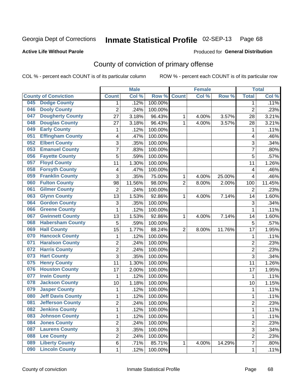### **Active Life Without Parole**

### Produced for **General Distribution**

# County of conviction of primary offense

|     |                             |                | <b>Male</b> |         |                | <b>Female</b> |        |                | <b>Total</b> |
|-----|-----------------------------|----------------|-------------|---------|----------------|---------------|--------|----------------|--------------|
|     | <b>County of Conviction</b> | <b>Count</b>   | Col %       | Row %   | <b>Count</b>   | Col %         | Row %  | <b>Total</b>   | Col %        |
| 045 | <b>Dodge County</b>         | 1              | .12%        | 100.00% |                |               |        | 1              | .11%         |
| 046 | <b>Dooly County</b>         | $\overline{2}$ | .24%        | 100.00% |                |               |        | $\overline{2}$ | .23%         |
| 047 | <b>Dougherty County</b>     | 27             | 3.18%       | 96.43%  | 1              | 4.00%         | 3.57%  | 28             | 3.21%        |
| 048 | <b>Douglas County</b>       | 27             | 3.18%       | 96.43%  | 1              | 4.00%         | 3.57%  | 28             | 3.21%        |
| 049 | <b>Early County</b>         | $\mathbf{1}$   | .12%        | 100.00% |                |               |        | $\mathbf{1}$   | .11%         |
| 051 | <b>Effingham County</b>     | 4              | .47%        | 100.00% |                |               |        | 4              | .46%         |
| 052 | <b>Elbert County</b>        | 3              | .35%        | 100.00% |                |               |        | 3              | .34%         |
| 053 | <b>Emanuel County</b>       | $\overline{7}$ | .83%        | 100.00% |                |               |        | $\overline{7}$ | .80%         |
| 056 | <b>Fayette County</b>       | 5              | .59%        | 100.00% |                |               |        | 5              | .57%         |
| 057 | <b>Floyd County</b>         | 11             | 1.30%       | 100.00% |                |               |        | 11             | 1.26%        |
| 058 | <b>Forsyth County</b>       | 4              | .47%        | 100.00% |                |               |        | 4              | .46%         |
| 059 | <b>Franklin County</b>      | 3              | .35%        | 75.00%  | 1              | 4.00%         | 25.00% | 4              | .46%         |
| 060 | <b>Fulton County</b>        | 98             | 11.56%      | 98.00%  | $\overline{2}$ | 8.00%         | 2.00%  | 100            | 11.45%       |
| 061 | <b>Gilmer County</b>        | $\overline{2}$ | .24%        | 100.00% |                |               |        | $\overline{2}$ | .23%         |
| 063 | <b>Glynn County</b>         | 13             | 1.53%       | 92.86%  | 1              | 4.00%         | 7.14%  | 14             | 1.60%        |
| 064 | <b>Gordon County</b>        | 3              | .35%        | 100.00% |                |               |        | 3              | .34%         |
| 066 | <b>Greene County</b>        | $\mathbf 1$    | .12%        | 100.00% |                |               |        | $\mathbf{1}$   | .11%         |
| 067 | <b>Gwinnett County</b>      | 13             | 1.53%       | 92.86%  | 1              | 4.00%         | 7.14%  | 14             | 1.60%        |
| 068 | <b>Habersham County</b>     | 5              | .59%        | 100.00% |                |               |        | 5              | .57%         |
| 069 | <b>Hall County</b>          | 15             | 1.77%       | 88.24%  | $\overline{2}$ | 8.00%         | 11.76% | 17             | 1.95%        |
| 070 | <b>Hancock County</b>       | $\mathbf{1}$   | .12%        | 100.00% |                |               |        | $\mathbf 1$    | .11%         |
| 071 | <b>Haralson County</b>      | $\overline{2}$ | .24%        | 100.00% |                |               |        | $\overline{2}$ | .23%         |
| 072 | <b>Harris County</b>        | $\overline{c}$ | .24%        | 100.00% |                |               |        | $\overline{2}$ | .23%         |
| 073 | <b>Hart County</b>          | 3              | .35%        | 100.00% |                |               |        | $\overline{3}$ | .34%         |
| 075 | <b>Henry County</b>         | 11             | 1.30%       | 100.00% |                |               |        | 11             | 1.26%        |
| 076 | <b>Houston County</b>       | 17             | 2.00%       | 100.00% |                |               |        | 17             | 1.95%        |
| 077 | <b>Irwin County</b>         | $\mathbf 1$    | .12%        | 100.00% |                |               |        | 1              | .11%         |
| 078 | <b>Jackson County</b>       | 10             | 1.18%       | 100.00% |                |               |        | 10             | 1.15%        |
| 079 | <b>Jasper County</b>        | $\mathbf{1}$   | .12%        | 100.00% |                |               |        | $\mathbf{1}$   | .11%         |
| 080 | <b>Jeff Davis County</b>    | $\mathbf{1}$   | .12%        | 100.00% |                |               |        | $\mathbf{1}$   | .11%         |
| 081 | <b>Jefferson County</b>     | $\overline{2}$ | .24%        | 100.00% |                |               |        | $\overline{2}$ | .23%         |
| 082 | <b>Jenkins County</b>       | 1              | .12%        | 100.00% |                |               |        | 1              | .11%         |
| 083 | <b>Johnson County</b>       | $\mathbf{1}$   | .12%        | 100.00% |                |               |        | $\mathbf{1}$   | .11%         |
| 084 | <b>Jones County</b>         | $\overline{2}$ | .24%        | 100.00% |                |               |        | $\overline{2}$ | .23%         |
| 087 | <b>Laurens County</b>       | $\overline{3}$ | .35%        | 100.00% |                |               |        | $\overline{3}$ | .34%         |
| 088 | <b>Lee County</b>           | $\overline{2}$ | .24%        | 100.00% |                |               |        | $\overline{2}$ | .23%         |
| 089 | <b>Liberty County</b>       | 6              | .71%        | 85.71%  | $\mathbf{1}$   | 4.00%         | 14.29% | $\overline{7}$ | .80%         |
| 090 | <b>Lincoln County</b>       | 1              | .12%        | 100.00% |                |               |        | $\mathbf 1$    | .11%         |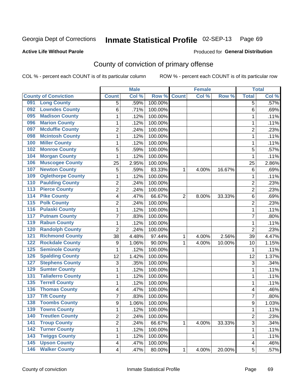### **Active Life Without Parole**

## Produced for **General Distribution**

# County of conviction of primary offense

|                                          |                  | <b>Male</b> |         |                | <b>Female</b> |        |                         | <b>Total</b> |
|------------------------------------------|------------------|-------------|---------|----------------|---------------|--------|-------------------------|--------------|
| <b>County of Conviction</b>              | <b>Count</b>     | Col %       | Row %   | <b>Count</b>   | Col %         | Row %  | <b>Total</b>            | Col %        |
| <b>Long County</b><br>091                | 5                | .59%        | 100.00% |                |               |        | 5                       | .57%         |
| <b>Lowndes County</b><br>092             | 6                | .71%        | 100.00% |                |               |        | 6                       | .69%         |
| <b>Madison County</b><br>095             | 1                | .12%        | 100.00% |                |               |        | 1                       | .11%         |
| <b>Marion County</b><br>096              | 1                | .12%        | 100.00% |                |               |        | 1                       | .11%         |
| <b>Mcduffie County</b><br>097            | 2                | .24%        | 100.00% |                |               |        | $\overline{2}$          | .23%         |
| <b>Mcintosh County</b><br>098            | 1                | .12%        | 100.00% |                |               |        | $\mathbf{1}$            | .11%         |
| <b>Miller County</b><br>100              | 1                | .12%        | 100.00% |                |               |        | 1                       | .11%         |
| <b>Monroe County</b><br>102              | 5                | .59%        | 100.00% |                |               |        | 5                       | .57%         |
| <b>Morgan County</b><br>104              | 1                | .12%        | 100.00% |                |               |        | 1                       | .11%         |
| <b>Muscogee County</b><br>106            | 25               | 2.95%       | 100.00% |                |               |        | 25                      | 2.86%        |
| <b>Newton County</b><br>107              | 5                | .59%        | 83.33%  | 1              | 4.00%         | 16.67% | $\,6$                   | .69%         |
| <b>Oglethorpe County</b><br>109          | 1                | .12%        | 100.00% |                |               |        | 1                       | .11%         |
| <b>Paulding County</b><br>110            | 2                | .24%        | 100.00% |                |               |        | $\overline{2}$          | .23%         |
| <b>Pierce County</b><br>113              | $\overline{2}$   | .24%        | 100.00% |                |               |        | $\overline{2}$          | .23%         |
| <b>Pike County</b><br>$\overline{114}$   | 4                | .47%        | 66.67%  | $\overline{2}$ | 8.00%         | 33.33% | 6                       | .69%         |
| <b>Polk County</b><br>$\overline{115}$   | $\overline{2}$   | .24%        | 100.00% |                |               |        | $\overline{2}$          | .23%         |
| <b>Pulaski County</b><br>116             | 1                | .12%        | 100.00% |                |               |        | 1                       | .11%         |
| <b>Putnam County</b><br>117              | 7                | .83%        | 100.00% |                |               |        | 7                       | .80%         |
| <b>Rabun County</b><br>119               | 1                | .12%        | 100.00% |                |               |        | $\mathbf{1}$            | .11%         |
| <b>Randolph County</b><br>120            | $\overline{2}$   | .24%        | 100.00% |                |               |        | $\overline{2}$          | .23%         |
| <b>Richmond County</b><br>121            | 38               | 4.48%       | 97.44%  | 1              | 4.00%         | 2.56%  | 39                      | 4.47%        |
| <b>Rockdale County</b><br>122            | $\boldsymbol{9}$ | 1.06%       | 90.00%  | 1              | 4.00%         | 10.00% | 10                      | 1.15%        |
| <b>Seminole County</b><br>125            | 1                | .12%        | 100.00% |                |               |        | 1                       | .11%         |
| <b>Spalding County</b><br>126            | 12               | 1.42%       | 100.00% |                |               |        | 12                      | 1.37%        |
| <b>Stephens County</b><br>127            | 3                | .35%        | 100.00% |                |               |        | 3                       | .34%         |
| <b>Sumter County</b><br>129              | 1                | .12%        | 100.00% |                |               |        | $\mathbf{1}$            | .11%         |
| <b>Taliaferro County</b><br>131          | 1                | .12%        | 100.00% |                |               |        | $\mathbf{1}$            | .11%         |
| <b>Terrell County</b><br>135             | 1                | .12%        | 100.00% |                |               |        | $\mathbf{1}$            | .11%         |
| <b>Thomas County</b><br>136              | 4                | .47%        | 100.00% |                |               |        | 4                       | .46%         |
| <b>Tift County</b><br>137                | 7                | .83%        | 100.00% |                |               |        | $\overline{7}$          | .80%         |
| <b>Toombs County</b><br>138              | 9                | 1.06%       | 100.00% |                |               |        | 9                       | 1.03%        |
| 139<br><b>Towns County</b>               | 1                | .12%        | 100.00% |                |               |        | 1                       | .11%         |
| <b>Treutlen County</b><br>140            | $\overline{2}$   | .24%        | 100.00% |                |               |        | $\overline{c}$          | .23%         |
| $\overline{141}$<br><b>Troup County</b>  | $\overline{2}$   | .24%        | 66.67%  | 1              | 4.00%         | 33.33% | 3                       | .34%         |
| <b>Turner County</b><br>142              | 1                | .12%        | 100.00% |                |               |        | 1                       | .11%         |
| <b>Twiggs County</b><br>143              | 1                | .12%        | 100.00% |                |               |        | 1                       | .11%         |
| <b>Upson County</b><br>$\overline{145}$  | 4                | .47%        | 100.00% |                |               |        | $\overline{\mathbf{4}}$ | .46%         |
| <b>Walker County</b><br>$\overline{146}$ | 4                | .47%        | 80.00%  | 1              | 4.00%         | 20.00% | 5                       | .57%         |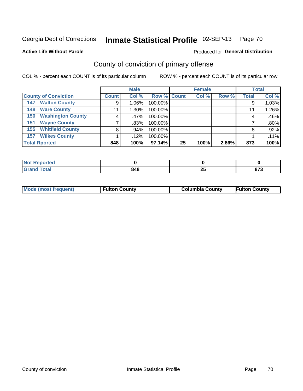**Active Life Without Parole** 

### Produced for **General Distribution**

# County of conviction of primary offense

|                                 |              | <b>Male</b> |             |    | <b>Female</b> |       |              | <b>Total</b> |
|---------------------------------|--------------|-------------|-------------|----|---------------|-------|--------------|--------------|
| <b>County of Conviction</b>     | <b>Count</b> | Col %       | Row % Count |    | Col %         | Row % | <b>Total</b> | Col %        |
| <b>Walton County</b><br>147     | 9            | $1.06\%$    | 100.00%     |    |               |       | 9            | $1.03\%$     |
| <b>Ware County</b><br>148       | 11           | $1.30\%$    | 100.00%     |    |               |       | 11           | 1.26%        |
| <b>Washington County</b><br>150 |              | $.47\%$     | 100.00%     |    |               |       | 4            | .46%         |
| <b>Wayne County</b><br>151      |              | $.83\%$     | 100.00%     |    |               |       |              | .80%         |
| <b>Whitfield County</b><br>155  | 8            | .94%        | 100.00%     |    |               |       | 8            | $.92\%$      |
| <b>Wilkes County</b><br>157     |              | .12%        | 100.00%     |    |               |       |              | .11%         |
| <b>Total Rported</b>            | 848          | 100%        | 97.14%      | 25 | 100%          | 2.86% | 873          | 100%         |

| rtea<br>. |     |         |                  |
|-----------|-----|---------|------------------|
|           | 848 | ົ<br>ΔJ | $- - -$<br>. . J |

|  | Mode (most frequent) | <b>Fulton County</b> | <b>Columbia County</b> | <b>Fulton County</b> |
|--|----------------------|----------------------|------------------------|----------------------|
|--|----------------------|----------------------|------------------------|----------------------|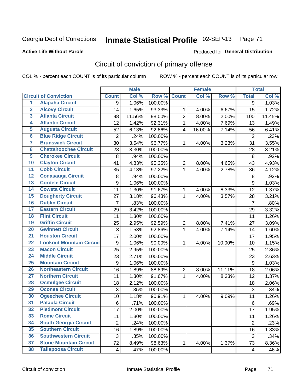## **Active Life Without Parole**

## Produced for **General Distribution**

# Circuit of conviction of primary offense

|                         |                                 |                | <b>Male</b> |         |                         | <b>Female</b> |        |                         | <b>Total</b> |
|-------------------------|---------------------------------|----------------|-------------|---------|-------------------------|---------------|--------|-------------------------|--------------|
|                         | <b>Circuit of Conviction</b>    | <b>Count</b>   | Col %       | Row %   | <b>Count</b>            | Col %         | Row %  | <b>Total</b>            | Col %        |
| 1                       | <b>Alapaha Circuit</b>          | 9              | 1.06%       | 100.00% |                         |               |        | $\overline{9}$          | 1.03%        |
| $\overline{2}$          | <b>Alcovy Circuit</b>           | 14             | 1.65%       | 93.33%  | 1                       | 4.00%         | 6.67%  | 15                      | 1.72%        |
| $\overline{\mathbf{3}}$ | <b>Atlanta Circuit</b>          | 98             | 11.56%      | 98.00%  | $\overline{2}$          | 8.00%         | 2.00%  | 100                     | 11.45%       |
| 4                       | <b>Atlantic Circuit</b>         | 12             | 1.42%       | 92.31%  | $\mathbf{1}$            | 4.00%         | 7.69%  | 13                      | 1.49%        |
| $\overline{5}$          | <b>Augusta Circuit</b>          | 52             | 6.13%       | 92.86%  | $\overline{\mathbf{4}}$ | 16.00%        | 7.14%  | 56                      | 6.41%        |
| $\overline{6}$          | <b>Blue Ridge Circuit</b>       | $\overline{c}$ | .24%        | 100.00% |                         |               |        | $\overline{2}$          | .23%         |
| 7                       | <b>Brunswick Circuit</b>        | 30             | 3.54%       | 96.77%  | 1                       | 4.00%         | 3.23%  | 31                      | 3.55%        |
| $\overline{\mathbf{8}}$ | <b>Chattahoochee Circuit</b>    | 28             | 3.30%       | 100.00% |                         |               |        | 28                      | 3.21%        |
| $\overline{9}$          | <b>Cherokee Circuit</b>         | 8              | .94%        | 100.00% |                         |               |        | 8                       | .92%         |
| 10                      | <b>Clayton Circuit</b>          | 41             | 4.83%       | 95.35%  | $\overline{2}$          | 8.00%         | 4.65%  | 43                      | 4.93%        |
| $\overline{11}$         | <b>Cobb Circuit</b>             | 35             | 4.13%       | 97.22%  | $\mathbf{1}$            | 4.00%         | 2.78%  | 36                      | 4.12%        |
| $\overline{12}$         | <b>Conasauga Circuit</b>        | 8              | .94%        | 100.00% |                         |               |        | 8                       | .92%         |
| $\overline{13}$         | <b>Cordele Circuit</b>          | 9              | 1.06%       | 100.00% |                         |               |        | $\boldsymbol{9}$        | 1.03%        |
| $\overline{14}$         | <b>Coweta Circuit</b>           | 11             | 1.30%       | 91.67%  | $\mathbf{1}$            | 4.00%         | 8.33%  | 12                      | 1.37%        |
| $\overline{15}$         | <b>Dougherty Circuit</b>        | 27             | 3.18%       | 96.43%  | 1                       | 4.00%         | 3.57%  | 28                      | 3.21%        |
| 16                      | <b>Dublin Circuit</b>           | 7              | .83%        | 100.00% |                         |               |        | $\overline{7}$          | .80%         |
| $\overline{17}$         | <b>Eastern Circuit</b>          | 29             | 3.42%       | 100.00% |                         |               |        | 29                      | 3.32%        |
| 18                      | <b>Flint Circuit</b>            | 11             | 1.30%       | 100.00% |                         |               |        | 11                      | 1.26%        |
| 19                      | <b>Griffin Circuit</b>          | 25             | 2.95%       | 92.59%  | $\overline{2}$          | 8.00%         | 7.41%  | 27                      | 3.09%        |
| $\overline{20}$         | <b>Gwinnett Circuit</b>         | 13             | 1.53%       | 92.86%  | 1                       | 4.00%         | 7.14%  | 14                      | 1.60%        |
| $\overline{21}$         | <b>Houston Circuit</b>          | 17             | 2.00%       | 100.00% |                         |               |        | 17                      | 1.95%        |
| $\overline{22}$         | <b>Lookout Mountain Circuit</b> | 9              | 1.06%       | 90.00%  | $\mathbf{1}$            | 4.00%         | 10.00% | 10                      | 1.15%        |
| 23                      | <b>Macon Circuit</b>            | 25             | 2.95%       | 100.00% |                         |               |        | 25                      | 2.86%        |
| $\overline{24}$         | <b>Middle Circuit</b>           | 23             | 2.71%       | 100.00% |                         |               |        | 23                      | 2.63%        |
| $\overline{25}$         | <b>Mountain Circuit</b>         | 9              | 1.06%       | 100.00% |                         |               |        | $\boldsymbol{9}$        | 1.03%        |
| 26                      | <b>Northeastern Circuit</b>     | 16             | 1.89%       | 88.89%  | 2                       | 8.00%         | 11.11% | 18                      | 2.06%        |
| $\overline{27}$         | <b>Northern Circuit</b>         | 11             | 1.30%       | 91.67%  | $\mathbf{1}$            | 4.00%         | 8.33%  | 12                      | 1.37%        |
| 28                      | <b>Ocmulgee Circuit</b>         | 18             | 2.12%       | 100.00% |                         |               |        | 18                      | 2.06%        |
| 29                      | <b>Oconee Circuit</b>           | 3              | .35%        | 100.00% |                         |               |        | 3                       | .34%         |
| 30                      | <b>Ogeechee Circuit</b>         | 10             | 1.18%       | 90.91%  | $\mathbf{1}$            | 4.00%         | 9.09%  | 11                      | 1.26%        |
| $\overline{31}$         | <b>Pataula Circuit</b>          | 6              | .71%        | 100.00% |                         |               |        | 6                       | .69%         |
| 32                      | <b>Piedmont Circuit</b>         | 17             | 2.00%       | 100.00% |                         |               |        | 17                      | 1.95%        |
| 33                      | <b>Rome Circuit</b>             | 11             | 1.30%       | 100.00% |                         |               |        | 11                      | 1.26%        |
| 34                      | <b>South Georgia Circuit</b>    | $\overline{2}$ | .24%        | 100.00% |                         |               |        | $\overline{2}$          | .23%         |
| 35                      | <b>Southern Circuit</b>         | 16             | 1.89%       | 100.00% |                         |               |        | 16                      | 1.83%        |
| 36                      | <b>Southwestern Circuit</b>     | $\mathfrak{S}$ | .35%        | 100.00% |                         |               |        | 3                       | .34%         |
| 37                      | <b>Stone Mountain Circuit</b>   | 72             | 8.49%       | 98.63%  | 1                       | 4.00%         | 1.37%  | 73                      | 8.36%        |
| 38                      | <b>Tallapoosa Circuit</b>       | 4              | .47%        | 100.00% |                         |               |        | $\overline{\mathbf{4}}$ | .46%         |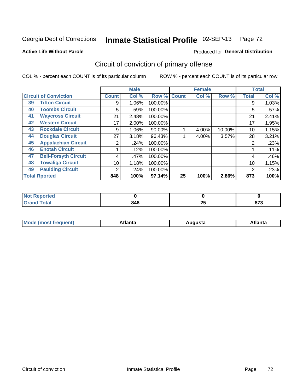**Active Life Without Parole** 

### Produced for **General Distribution**

# Circuit of conviction of primary offense

|    |                              |              | <b>Male</b> |         |              | <b>Female</b> |        |              | <b>Total</b> |
|----|------------------------------|--------------|-------------|---------|--------------|---------------|--------|--------------|--------------|
|    | <b>Circuit of Conviction</b> | <b>Count</b> | Col %       | Row %   | <b>Count</b> | Col %         | Row %  | <b>Total</b> | Col %        |
| 39 | <b>Tifton Circuit</b>        | 9            | 1.06%       | 100.00% |              |               |        | 9            | 1.03%        |
| 40 | <b>Toombs Circuit</b>        | 5            | .59%        | 100.00% |              |               |        | 5            | .57%         |
| 41 | <b>Waycross Circuit</b>      | 21           | 2.48%       | 100.00% |              |               |        | 21           | 2.41%        |
| 42 | <b>Western Circuit</b>       | 17           | 2.00%       | 100.00% |              |               |        | 17           | 1.95%        |
| 43 | <b>Rockdale Circuit</b>      | 9            | 1.06%       | 90.00%  |              | 4.00%         | 10.00% | 10           | 1.15%        |
| 44 | <b>Douglas Circuit</b>       | 27           | 3.18%       | 96.43%  |              | 4.00%         | 3.57%  | 28           | 3.21%        |
| 45 | <b>Appalachian Circuit</b>   | 2            | .24%        | 100.00% |              |               |        | 2            | .23%         |
| 46 | <b>Enotah Circuit</b>        |              | .12%        | 100.00% |              |               |        |              | .11%         |
| 47 | <b>Bell-Forsyth Circuit</b>  | 4            | .47%        | 100.00% |              |               |        | 4            | .46%         |
| 48 | <b>Towaliga Circuit</b>      | 10           | 1.18%       | 100.00% |              |               |        | 10           | 1.15%        |
| 49 | <b>Paulding Circuit</b>      | 2            | .24%        | 100.00% |              |               |        | 2            | .23%         |
|    | <b>Total Rported</b>         | 848          | 100%        | 97.14%  | 25           | 100%          | 2.86%  | 873          | 100%         |

| ported<br>N  |     |           |                     |
|--------------|-----|-----------|---------------------|
| <b>Total</b> | 848 | ח ה<br>ΔJ | <b>070</b><br>0 I J |

| М<br>. Innás<br>.<br>.<br>wanta<br>ााद्व<br>31.<br>$\sim$ $\sim$ $\sim$ |
|-------------------------------------------------------------------------|
|-------------------------------------------------------------------------|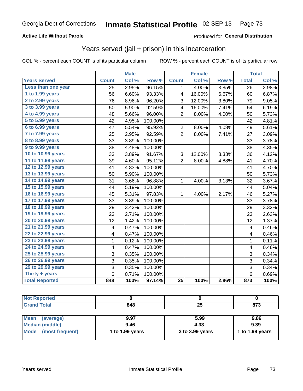### **Active Life Without Parole**

#### Produced for **General Distribution**

## Years served (jail + prison) in this incarceration

|                        | <b>Male</b>             |       | <b>Female</b> |                         |        | <b>Total</b> |                         |       |
|------------------------|-------------------------|-------|---------------|-------------------------|--------|--------------|-------------------------|-------|
| <b>Years Served</b>    | <b>Count</b>            | Col % | Row %         | <b>Count</b>            | Col %  | Row %        | <b>Total</b>            | Col % |
| Less than one year     | 25                      | 2.95% | 96.15%        | $\mathbf{1}$            | 4.00%  | 3.85%        | 26                      | 2.98% |
| 1 to 1.99 years        | 56                      | 6.60% | 93.33%        | 4                       | 16.00% | 6.67%        | 60                      | 6.87% |
| 2 to 2.99 years        | 76                      | 8.96% | 96.20%        | 3                       | 12.00% | 3.80%        | 79                      | 9.05% |
| 3 to 3.99 years        | 50                      | 5.90% | 92.59%        | $\overline{\mathbf{4}}$ | 16.00% | 7.41%        | 54                      | 6.19% |
| 4 to 4.99 years        | 48                      | 5.66% | 96.00%        | $\overline{2}$          | 8.00%  | 4.00%        | 50                      | 5.73% |
| 5 to 5.99 years        | 42                      | 4.95% | 100.00%       |                         |        |              | 42                      | 4.81% |
| 6 to 6.99 years        | 47                      | 5.54% | 95.92%        | $\overline{2}$          | 8.00%  | 4.08%        | 49                      | 5.61% |
| 7 to 7.99 years        | 25                      | 2.95% | 92.59%        | $\overline{2}$          | 8.00%  | 7.41%        | 27                      | 3.09% |
| <b>8 to 8.99 years</b> | 33                      | 3.89% | 100.00%       |                         |        |              | 33                      | 3.78% |
| 9 to 9.99 years        | 38                      | 4.48% | 100.00%       |                         |        |              | 38                      | 4.35% |
| 10 to 10.99 years      | 33                      | 3.89% | 91.67%        | 3                       | 12.00% | 8.33%        | 36                      | 4.12% |
| 11 to 11.99 years      | 39                      | 4.60% | 95.12%        | $\overline{2}$          | 8.00%  | 4.88%        | 41                      | 4.70% |
| 12 to 12.99 years      | 41                      | 4.83% | 100.00%       |                         |        |              | 41                      | 4.70% |
| 13 to 13.99 years      | 50                      | 5.90% | 100.00%       |                         |        |              | 50                      | 5.73% |
| 14 to 14.99 years      | 31                      | 3.66% | 96.88%        | 1                       | 4.00%  | 3.13%        | 32                      | 3.67% |
| 15 to 15.99 years      | 44                      | 5.19% | 100.00%       |                         |        |              | 44                      | 5.04% |
| 16 to 16.99 years      | 45                      | 5.31% | 97.83%        | $\mathbf{1}$            | 4.00%  | 2.17%        | 46                      | 5.27% |
| 17 to 17.99 years      | 33                      | 3.89% | 100.00%       |                         |        |              | 33                      | 3.78% |
| 18 to 18.99 years      | 29                      | 3.42% | 100.00%       |                         |        |              | 29                      | 3.32% |
| 19 to 19.99 years      | 23                      | 2.71% | 100.00%       |                         |        |              | 23                      | 2.63% |
| 20 to 20.99 years      | 12                      | 1.42% | 100.00%       |                         |        |              | 12                      | 1.37% |
| 21 to 21.99 years      | 4                       | 0.47% | 100.00%       |                         |        |              | 4                       | 0.46% |
| 22 to 22.99 years      | 4                       | 0.47% | 100.00%       |                         |        |              | 4                       | 0.46% |
| 23 to 23.99 years      | $\mathbf{1}$            | 0.12% | 100.00%       |                         |        |              | $\mathbf{1}$            | 0.11% |
| 24 to 24.99 years      | $\overline{\mathbf{4}}$ | 0.47% | 100.00%       |                         |        |              | $\overline{\mathbf{4}}$ | 0.46% |
| 25 to 25.99 years      | 3                       | 0.35% | 100.00%       |                         |        |              | 3                       | 0.34% |
| 26 to 26.99 years      | 3                       | 0.35% | 100.00%       |                         |        |              | 3                       | 0.34% |
| 29 to 29.99 years      | 3                       | 0.35% | 100.00%       |                         |        |              | 3                       | 0.34% |
| Thirty + years         | $\overline{6}$          | 0.71% | 100.00%       |                         |        |              | $\overline{6}$          | 0.69% |
| <b>Total Reported</b>  | 848                     | 100%  | 97.14%        | 25                      | 100%   | 2.86%        | 873                     | 100%  |

| <b>Not Reported</b>      |                 |                 |                 |
|--------------------------|-----------------|-----------------|-----------------|
| <b>Grand Total</b>       | 848             | 25              | 873             |
|                          |                 |                 |                 |
| <b>Mean</b><br>(average) | 9.97            | 5.99            | 9.86            |
| <b>Median (middle)</b>   | 9.46            | 4.33            | 9.39            |
| Mode<br>(most frequent)  | 1 to 1.99 years | 3 to 3.99 years | 1 to 1.99 years |
|                          |                 |                 |                 |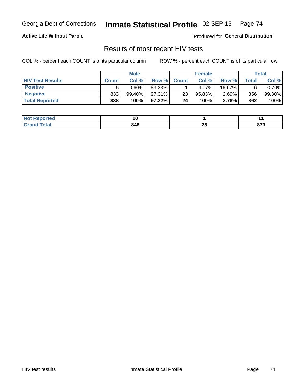### **Active Life Without Parole**

Produced for **General Distribution**

## Results of most recent HIV tests

|                         | <b>Male</b>  |           |           | <b>Female</b> |           |          | Total |        |
|-------------------------|--------------|-----------|-----------|---------------|-----------|----------|-------|--------|
| <b>HIV Test Results</b> | <b>Count</b> | Col %     | Row %I    | <b>Count</b>  | Col %     | Row %    | Total | Col %  |
| <b>Positive</b>         |              | $0.60\%$  | 83.33%    |               | 4.17%     | 16.67%   |       | 0.70%  |
| <b>Negative</b>         | 833          | $99.40\%$ | 97.31%    | 23            | $95.83\%$ | $2.69\%$ | 856   | 99.30% |
| <b>Total Reported</b>   | 838          | 100%      | $97.22\%$ | 24            | 100%      | 2.78%    | 862   | 100%   |

| <b>Not Reported</b> | . v |    |                 |
|---------------------|-----|----|-----------------|
| <b>Fotal</b>        | 848 | ΔJ | $\sim$<br>0 I J |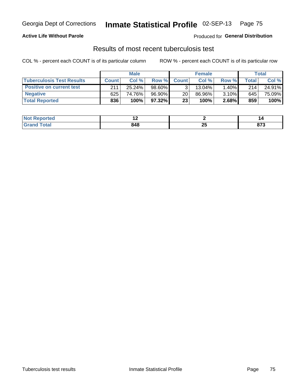### **Active Life Without Parole**

Produced for **General Distribution**

## Results of most recent tuberculosis test

|                                  | <b>Male</b>  |        |        | <b>Female</b>   |           |       | Total   |        |
|----------------------------------|--------------|--------|--------|-----------------|-----------|-------|---------|--------|
| <b>Tuberculosis Test Results</b> | <b>Count</b> | Col%   | Row %I | <b>Count</b>    | Col%      | Row % | Total i | Col %  |
| <b>Positive on current test</b>  | 211          | 25.24% | 98.60% |                 | $13.04\%$ | 1.40% | 214     | 24.91% |
| <b>Negative</b>                  | 625          | 74.76% | 96.90% | 20 <sub>1</sub> | 86.96%    | 3.10% | 645     | 75.09% |
| <b>Total Reported</b>            | 836          | 100%   | 97.32% | 23              | 100%      | 2.68% | 859     | 100%   |

| ported<br>I NOT | . . |    | 10     |
|-----------------|-----|----|--------|
| fota'<br>. сем  | 848 | ΔJ | $\sim$ |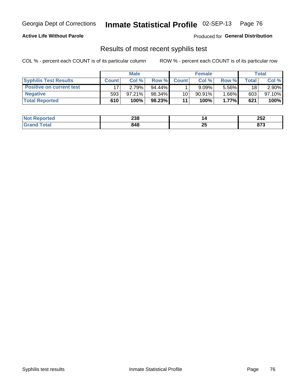### **Active Life Without Parole**

Produced for **General Distribution**

## Results of most recent syphilis test

|                                 | <b>Male</b>  |           |           | <b>Female</b> |           |        | Total |        |
|---------------------------------|--------------|-----------|-----------|---------------|-----------|--------|-------|--------|
| <b>Syphilis Test Results</b>    | <b>Count</b> | Col %     | Row %     | <b>Count</b>  | Col %     | Row %I | Total | Col %  |
| <b>Positive on current test</b> |              | 2.79%     | $94.44\%$ |               | 9.09%     | 5.56%  | 18    | 2.90%  |
| <b>Negative</b>                 | 593          | $97.21\%$ | 98.34%    | 10            | $90.91\%$ | 1.66%  | 603   | 97.10% |
| <b>Total Reported</b>           | 610          | 100%      | 98.23%    | 11            | 100%      | 1.77%  | 621   | 100%   |

| <b>Not Reported</b> | 238 |          | ה הת<br>LJL |
|---------------------|-----|----------|-------------|
| Total               | 848 | ΩL<br>Δv | 079<br>013  |